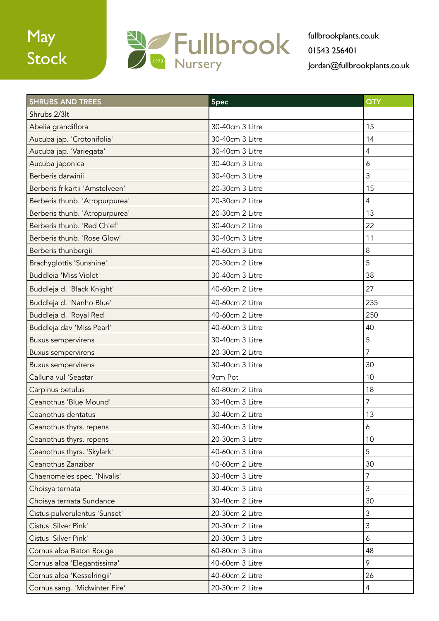# May Stock



| <b>SHRUBS AND TREES</b>         | Spec            | QTY              |
|---------------------------------|-----------------|------------------|
| Shrubs 2/3lt                    |                 |                  |
| Abelia grandiflora              | 30-40cm 3 Litre | 15               |
| Aucuba jap. 'Crotonifolia'      | 30-40cm 3 Litre | 14               |
| Aucuba jap. 'Variegata'         | 30-40cm 3 Litre | $\overline{4}$   |
| Aucuba japonica                 | 30-40cm 3 Litre | $\boldsymbol{6}$ |
| Berberis darwinii               | 30-40cm 3 Litre | 3                |
| Berberis frikartii 'Amstelveen' | 20-30cm 3 Litre | 15               |
| Berberis thunb. 'Atropurpurea'  | 20-30cm 2 Litre | $\overline{4}$   |
| Berberis thunb. 'Atropurpurea'  | 20-30cm 2 Litre | 13               |
| Berberis thunb. 'Red Chief'     | 30-40cm 2 Litre | 22               |
| Berberis thunb. 'Rose Glow'     | 30-40cm 3 Litre | 11               |
| Berberis thunbergii             | 40-60cm 3 Litre | 8                |
| Brachyglottis 'Sunshine'        | 20-30cm 2 Litre | 5                |
| Buddleia 'Miss Violet'          | 30-40cm 3 Litre | 38               |
| Buddleja d. 'Black Knight'      | 40-60cm 2 Litre | 27               |
| Buddleja d. 'Nanho Blue'        | 40-60cm 2 Litre | 235              |
| Buddleja d. 'Royal Red'         | 40-60cm 2 Litre | 250              |
| Buddleja dav 'Miss Pearl'       | 40-60cm 3 Litre | 40               |
| <b>Buxus sempervirens</b>       | 30-40cm 3 Litre | 5                |
| <b>Buxus sempervirens</b>       | 20-30cm 2 Litre | $\overline{7}$   |
| <b>Buxus sempervirens</b>       | 30-40cm 3 Litre | 30               |
| Calluna vul 'Seastar'           | 9cm Pot         | 10               |
| Carpinus betulus                | 60-80cm 2 Litre | 18               |
| Ceanothus 'Blue Mound'          | 30-40cm 3 Litre | $\overline{7}$   |
| Ceanothus dentatus              | 30-40cm 2 Litre | 13               |
| Ceanothus thyrs. repens         | 30-40cm 3 Litre | $\boldsymbol{6}$ |
| Ceanothus thyrs. repens         | 20-30cm 3 Litre | 10               |
| Ceanothus thyrs. 'Skylark'      | 40-60cm 3 Litre | 5                |
| Ceanothus Zanzibar              | 40-60cm 2 Litre | 30               |
| Chaenomeles spec. 'Nivalis'     | 30-40cm 3 Litre | $\overline{7}$   |
| Choisya ternata                 | 30-40cm 3 Litre | $\mathfrak{Z}$   |
| Choisya ternata Sundance        | 30-40cm 2 Litre | 30               |
| Cistus pulverulentus 'Sunset'   | 20-30cm 2 Litre | $\mathfrak{Z}$   |
| Cistus 'Silver Pink'            | 20-30cm 2 Litre | 3                |
| Cistus 'Silver Pink'            | 20-30cm 3 Litre | 6                |
| Cornus alba Baton Rouge         | 60-80cm 3 Litre | 48               |
| Cornus alba 'Elegantissima'     | 40-60cm 3 Litre | 9                |
| Cornus alba 'Kesselringii'      | 40-60cm 2 Litre | 26               |
| Cornus sang. 'Midwinter Fire'   | 20-30cm 2 Litre | $\overline{4}$   |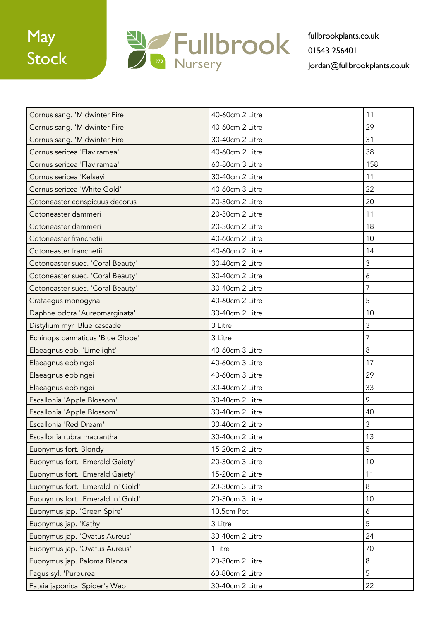

| 40-60cm 2 Litre | 11             |
|-----------------|----------------|
| 40-60cm 2 Litre | 29             |
| 30-40cm 2 Litre | 31             |
| 40-60cm 2 Litre | 38             |
| 60-80cm 3 Litre | 158            |
| 30-40cm 2 Litre | 11             |
| 40-60cm 3 Litre | 22             |
| 20-30cm 2 Litre | 20             |
| 20-30cm 2 Litre | 11             |
| 20-30cm 2 Litre | 18             |
| 40-60cm 2 Litre | 10             |
| 40-60cm 2 Litre | 14             |
| 30-40cm 2 Litre | 3              |
| 30-40cm 2 Litre | 6              |
| 30-40cm 2 Litre | $\overline{7}$ |
| 40-60cm 2 Litre | 5              |
| 30-40cm 2 Litre | 10             |
| 3 Litre         | 3              |
| 3 Litre         | $\overline{7}$ |
| 40-60cm 3 Litre | 8              |
| 40-60cm 3 Litre | 17             |
| 40-60cm 3 Litre | 29             |
| 30-40cm 2 Litre | 33             |
| 30-40cm 2 Litre | 9              |
| 30-40cm 2 Litre | 40             |
| 30-40cm 2 Litre | 3              |
| 30-40cm 2 Litre | 13             |
| 15-20cm 2 Litre | 5              |
| 20-30cm 3 Litre | 10             |
| 15-20cm 2 Litre | 11             |
| 20-30cm 3 Litre | $8\,$          |
| 20-30cm 3 Litre | 10             |
| 10.5cm Pot      | 6              |
| 3 Litre         | 5              |
| 30-40cm 2 Litre | 24             |
| 1 litre         | 70             |
| 20-30cm 2 Litre | 8              |
| 60-80cm 2 Litre | 5              |
| 30-40cm 2 Litre | 22             |
|                 |                |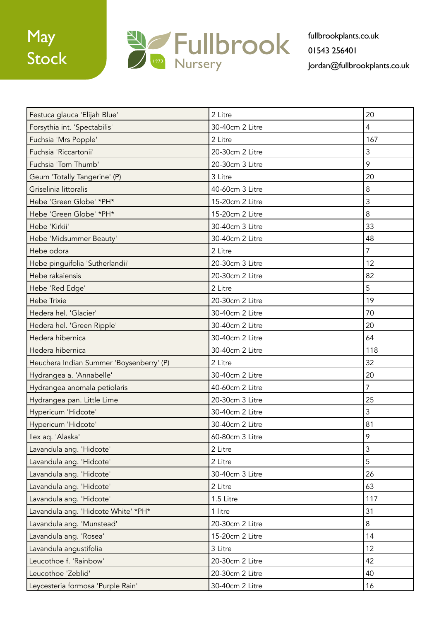

| Festuca glauca 'Elijah Blue'             | 2 Litre         | 20             |
|------------------------------------------|-----------------|----------------|
| Forsythia int. 'Spectabilis'             | 30-40cm 2 Litre | 4              |
| Fuchsia 'Mrs Popple'                     | 2 Litre         | 167            |
| Fuchsia 'Riccartonii'                    | 20-30cm 2 Litre | 3              |
| Fuchsia 'Tom Thumb'                      | 20-30cm 3 Litre | 9              |
| Geum 'Totally Tangerine' (P)             | 3 Litre         | 20             |
| Griselinia littoralis                    | 40-60cm 3 Litre | 8              |
| Hebe 'Green Globe' *PH*                  | 15-20cm 2 Litre | $\mathfrak{Z}$ |
| Hebe 'Green Globe' *PH*                  | 15-20cm 2 Litre | 8              |
| Hebe 'Kirkii'                            | 30-40cm 3 Litre | 33             |
| Hebe 'Midsummer Beauty'                  | 30-40cm 2 Litre | 48             |
| Hebe odora                               | 2 Litre         | $\overline{7}$ |
| Hebe pinguifolia 'Sutherlandii'          | 20-30cm 3 Litre | 12             |
| Hebe rakaiensis                          | 20-30cm 2 Litre | 82             |
| Hebe 'Red Edge'                          | 2 Litre         | 5              |
| <b>Hebe Trixie</b>                       | 20-30cm 2 Litre | 19             |
| Hedera hel. 'Glacier'                    | 30-40cm 2 Litre | 70             |
| Hedera hel. 'Green Ripple'               | 30-40cm 2 Litre | 20             |
| Hedera hibernica                         | 30-40cm 2 Litre | 64             |
| Hedera hibernica                         | 30-40cm 2 Litre | 118            |
| Heuchera Indian Summer 'Boysenberry' (P) | 2 Litre         | 32             |
| Hydrangea a. 'Annabelle'                 | 30-40cm 2 Litre | 20             |
| Hydrangea anomala petiolaris             | 40-60cm 2 Litre | $\overline{7}$ |
| Hydrangea pan. Little Lime               | 20-30cm 3 Litre | 25             |
| Hypericum 'Hidcote'                      | 30-40cm 2 Litre | 3              |
| Hypericum 'Hidcote'                      | 30-40cm 2 Litre | 81             |
| Ilex aq. 'Alaska'                        | 60-80cm 3 Litre | 9              |
| Lavandula ang. 'Hidcote'                 | 2 Litre         | 3              |
| Lavandula ang. 'Hidcote'                 | 2 Litre         | 5              |
| Lavandula ang. 'Hidcote'                 | 30-40cm 3 Litre | 26             |
| Lavandula ang. 'Hidcote'                 | 2 Litre         | 63             |
| Lavandula ang. 'Hidcote'                 | 1.5 Litre       | 117            |
| Lavandula ang. 'Hidcote White' *PH*      | 1 litre         | 31             |
| Lavandula ang. 'Munstead'                | 20-30cm 2 Litre | 8              |
| Lavandula ang. 'Rosea'                   | 15-20cm 2 Litre | 14             |
| Lavandula angustifolia                   | 3 Litre         | 12             |
| Leucothoe f. 'Rainbow'                   | 20-30cm 2 Litre | 42             |
| Leucothoe 'Zeblid'                       | 20-30cm 2 Litre | 40             |
| Leycesteria formosa 'Purple Rain'        | 30-40cm 2 Litre | 16             |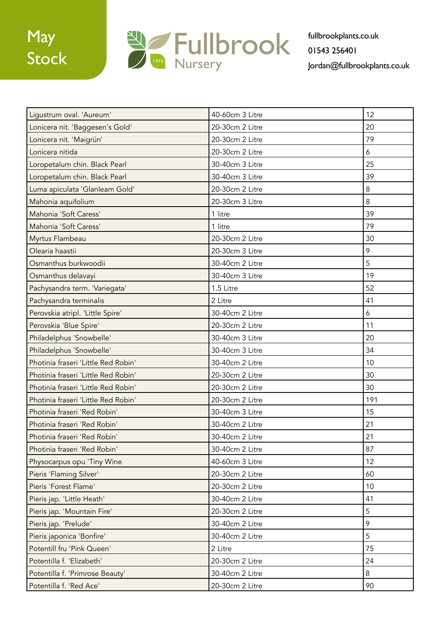

| Ligustrum oval. 'Aureum'            | 40-60cm 3 Litre | 12       |
|-------------------------------------|-----------------|----------|
| Lonicera nit. 'Baggesen's Gold'     | 20-30cm 2 Litre | 20       |
| Lonicera nit. 'Maigrün'             | 20-30cm 2 Litre | 79       |
| Lonicera nitida                     | 20-30cm 2 Litre | 6        |
| Loropetalum chin. Black Pearl       | 30-40cm 3 Litre | 25       |
| Loropetalum chin. Black Pearl       | 30-40cm 3 Litre | 39       |
| Luma apiculata 'Glanleam Gold'      | 20-30cm 2 Litre | $\,8\,$  |
| Mahonia aquifolium                  | 20-30cm 3 Litre | $\delta$ |
| Mahonia 'Soft Caress'               | 1 litre         | 39       |
| Mahonia 'Soft Caress'               | 1 litre         | 79       |
| Myrtus Flambeau                     | 20-30cm 2 Litre | 30       |
| Olearia haastii                     | 20-30cm 3 Litre | 9        |
| Osmanthus burkwoodii                | 30-40cm 2 Litre | 5        |
| Osmanthus delavayi                  | 30-40cm 3 Litre | 19       |
| Pachysandra term. 'Variegata'       | 1.5 Litre       | 52       |
| Pachysandra terminalis              | 2 Litre         | 41       |
| Perovskia atripl. 'Little Spire'    | 30-40cm 2 Litre | 6        |
| Perovskia 'Blue Spire'              | 20-30cm 2 Litre | 11       |
| Philadelphus 'Snowbelle'            | 30-40cm 3 Litre | 20       |
| Philadelphus 'Snowbelle'            | 30-40cm 3 Litre | 34       |
| Photinia fraseri 'Little Red Robin' | 30-40cm 2 Litre | 10       |
| Photinia fraseri 'Little Red Robin' | 20-30cm 2 Litre | 30       |
| Photinia fraseri 'Little Red Robin' | 20-30cm 2 Litre | 30       |
| Photinia fraseri 'Little Red Robin' | 20-30cm 2 Litre | 191      |
| Photinia fraseri 'Red Robin'        | 30-40cm 3 Litre | 15       |
| Photinia fraseri 'Red Robin'        | 30-40cm 2 Litre | 21       |
| Photinia fraseri 'Red Robin'        | 30-40cm 2 Litre | 21       |
| Photinia fraseri 'Red Robin'        | 30-40cm 2 Litre | 87       |
| Physocarpus opu 'Tiny Wine          | 40-60cm 3 Litre | 12       |
| Pieris 'Flaming Silver'             | 20-30cm 2 Litre | 60       |
| Pieris 'Forest Flame'               | 20-30cm 2 Litre | 10       |
| Pieris jap. 'Little Heath'          | 30-40cm 2 Litre | 41       |
| Pieris jap. 'Mountain Fire'         | 20-30cm 2 Litre | 5        |
| Pieris jap. 'Prelude'               | 30-40cm 2 Litre | 9        |
| Pieris japonica 'Bonfire'           | 30-40cm 2 Litre | 5        |
| Potentill fru 'Pink Queen'          | 2 Litre         | 75       |
| Potentilla f. 'Elizabeth'           | 20-30cm 2 Litre | 24       |
| Potentilla f. 'Primrose Beauty'     | 30-40cm 2 Litre | 8        |
| Potentilla f. 'Red Ace'             | 20-30cm 2 Litre | 90       |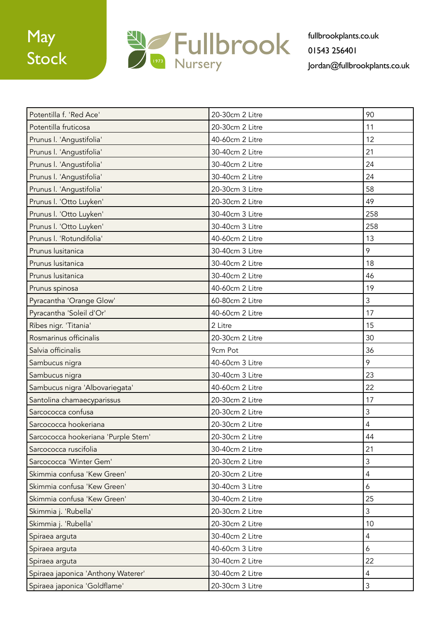

| Potentilla f. 'Red Ace'             | 20-30cm 2 Litre | 90             |
|-------------------------------------|-----------------|----------------|
| Potentilla fruticosa                | 20-30cm 2 Litre | 11             |
| Prunus I. 'Angustifolia'            | 40-60cm 2 Litre | 12             |
| Prunus I. 'Angustifolia'            | 30-40cm 2 Litre | 21             |
| Prunus I. 'Angustifolia'            | 30-40cm 2 Litre | 24             |
| Prunus I. 'Angustifolia'            | 30-40cm 2 Litre | 24             |
| Prunus I. 'Angustifolia'            | 20-30cm 3 Litre | 58             |
| Prunus I. 'Otto Luyken'             | 20-30cm 2 Litre | 49             |
| Prunus I. 'Otto Luyken'             | 30-40cm 3 Litre | 258            |
| Prunus I. 'Otto Luyken'             | 30-40cm 3 Litre | 258            |
| Prunus I. 'Rotundifolia'            | 40-60cm 2 Litre | 13             |
| Prunus lusitanica                   | 30-40cm 3 Litre | 9              |
| Prunus lusitanica                   | 30-40cm 2 Litre | 18             |
| Prunus lusitanica                   | 30-40cm 2 Litre | 46             |
| Prunus spinosa                      | 40-60cm 2 Litre | 19             |
| Pyracantha 'Orange Glow'            | 60-80cm 2 Litre | 3              |
| Pyracantha 'Soleil d'Or'            | 40-60cm 2 Litre | 17             |
| Ribes nigr. 'Titania'               | 2 Litre         | 15             |
| Rosmarinus officinalis              | 20-30cm 2 Litre | 30             |
| Salvia officinalis                  | 9cm Pot         | 36             |
| Sambucus nigra                      | 40-60cm 3 Litre | 9              |
| Sambucus nigra                      | 30-40cm 3 Litre | 23             |
| Sambucus nigra 'Albovariegata'      | 40-60cm 2 Litre | 22             |
| Santolina chamaecyparissus          | 20-30cm 2 Litre | 17             |
| Sarcococca confusa                  | 20-30cm 2 Litre | $\mathfrak{Z}$ |
| Sarcococca hookeriana               | 20-30cm 2 Litre | $\overline{4}$ |
| Sarcococca hookeriana 'Purple Stem' | 20-30cm 2 Litre | 44             |
| Sarcococca ruscifolia               | 30-40cm 2 Litre | 21             |
| Sarcococca 'Winter Gem'             | 20-30cm 2 Litre | $\mathfrak{Z}$ |
| Skimmia confusa 'Kew Green'         | 20-30cm 2 Litre | $\overline{4}$ |
| Skimmia confusa 'Kew Green'         | 30-40cm 3 Litre | 6              |
| Skimmia confusa 'Kew Green'         | 30-40cm 2 Litre | 25             |
| Skimmia j. 'Rubella'                | 20-30cm 2 Litre | 3              |
| Skimmia j. 'Rubella'                | 20-30cm 2 Litre | 10             |
| Spiraea arguta                      | 30-40cm 2 Litre | 4              |
| Spiraea arguta                      | 40-60cm 3 Litre | 6              |
| Spiraea arguta                      | 30-40cm 2 Litre | 22             |
| Spiraea japonica 'Anthony Waterer'  | 30-40cm 2 Litre | $\overline{4}$ |
| Spiraea japonica 'Goldflame'        | 20-30cm 3 Litre | $\mathfrak{Z}$ |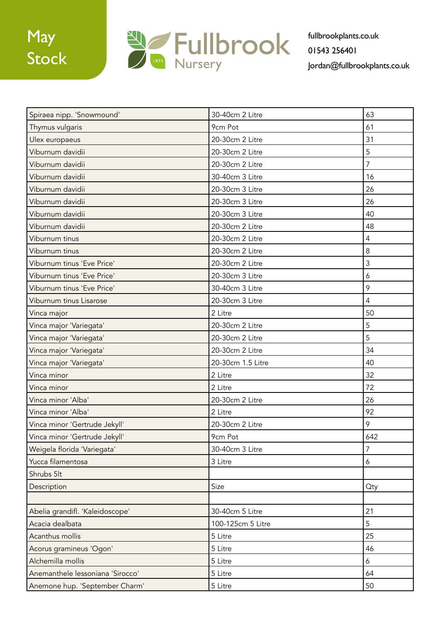

| Spiraea nipp. 'Snowmound'        | 30-40cm 2 Litre   | 63             |
|----------------------------------|-------------------|----------------|
| Thymus vulgaris                  | 9cm Pot           | 61             |
| Ulex europaeus                   | 20-30cm 2 Litre   | 31             |
| Viburnum davidii                 | 20-30cm 2 Litre   | 5              |
| Viburnum davidii                 | 20-30cm 2 Litre   | $\overline{7}$ |
| Viburnum davidii                 | 30-40cm 3 Litre   | 16             |
| Viburnum davidii                 | 20-30cm 3 Litre   | 26             |
| Viburnum davidii                 | 20-30cm 3 Litre   | 26             |
| Viburnum davidii                 | 20-30cm 3 Litre   | 40             |
| Viburnum davidii                 | 20-30cm 2 Litre   | 48             |
| Viburnum tinus                   | 20-30cm 2 Litre   | $\overline{4}$ |
| Viburnum tinus                   | 20-30cm 2 Litre   | 8              |
| Viburnum tinus 'Eve Price'       | 20-30cm 2 Litre   | 3              |
| Viburnum tinus 'Eve Price'       | 20-30cm 3 Litre   | 6              |
| Viburnum tinus 'Eve Price'       | 30-40cm 3 Litre   | 9              |
| Viburnum tinus Lisarose          | 20-30cm 3 Litre   | $\overline{4}$ |
| Vinca major                      | 2 Litre           | 50             |
| Vinca major 'Variegata'          | 20-30cm 2 Litre   | 5              |
| Vinca major 'Variegata'          | 20-30cm 2 Litre   | 5              |
| Vinca major 'Variegata'          | 20-30cm 2 Litre   | 34             |
| Vinca major 'Variegata'          | 20-30cm 1.5 Litre | 40             |
| Vinca minor                      | 2 Litre           | 32             |
| Vinca minor                      | 2 Litre           | 72             |
| Vinca minor 'Alba'               | 20-30cm 2 Litre   | 26             |
| Vinca minor 'Alba'               | 2 Litre           | 92             |
| Vinca minor 'Gertrude Jekyll'    | 20-30cm 2 Litre   | 9              |
| Vinca minor 'Gertrude Jekyll'    | 9cm Pot           | 642            |
| Weigela florida 'Variegata'      | 30-40cm 3 Litre   | 7              |
| Yucca filamentosa                | 3 Litre           | 6              |
| Shrubs 5lt                       |                   |                |
| Description                      | Size              | Oty            |
|                                  |                   |                |
| Abelia grandifl. 'Kaleidoscope'  | 30-40cm 5 Litre   | 21             |
| Acacia dealbata                  | 100-125cm 5 Litre | 5              |
| Acanthus mollis                  | 5 Litre           | 25             |
| Acorus gramineus 'Ogon'          | 5 Litre           | 46             |
| Alchemilla mollis                | 5 Litre           | 6              |
| Anemanthele lessoniana 'Sirocco' | 5 Litre           | 64             |
| Anemone hup. 'September Charm'   | 5 Litre           | 50             |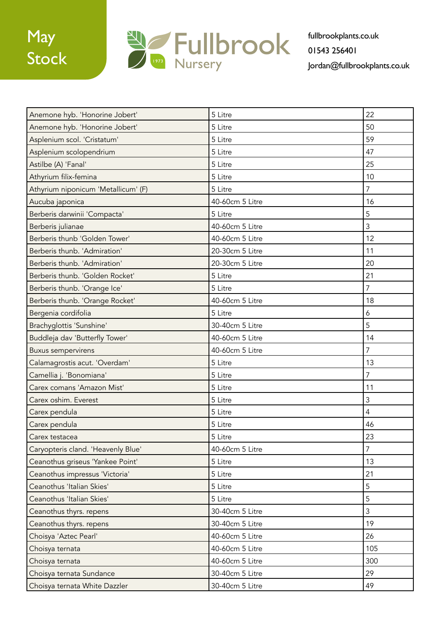

| Anemone hyb. 'Honorine Jobert'      | 5 Litre         | 22             |
|-------------------------------------|-----------------|----------------|
| Anemone hyb. 'Honorine Jobert'      | 5 Litre         | 50             |
| Asplenium scol. 'Cristatum'         | 5 Litre         | 59             |
| Asplenium scolopendrium             | 5 Litre         | 47             |
| Astilbe (A) 'Fanal'                 | 5 Litre         | 25             |
| Athyrium filix-femina               | 5 Litre         | 10             |
| Athyrium niponicum 'Metallicum' (F) | 5 Litre         | $\overline{7}$ |
| Aucuba japonica                     | 40-60cm 5 Litre | 16             |
| Berberis darwinii 'Compacta'        | 5 Litre         | 5              |
| Berberis julianae                   | 40-60cm 5 Litre | 3              |
| Berberis thunb 'Golden Tower'       | 40-60cm 5 Litre | 12             |
| Berberis thunb. 'Admiration'        | 20-30cm 5 Litre | 11             |
| Berberis thunb. 'Admiration'        | 20-30cm 5 Litre | 20             |
| Berberis thunb. 'Golden Rocket'     | 5 Litre         | 21             |
| Berberis thunb. 'Orange Ice'        | 5 Litre         | $\overline{7}$ |
| Berberis thunb. 'Orange Rocket'     | 40-60cm 5 Litre | 18             |
| Bergenia cordifolia                 | 5 Litre         | 6              |
| Brachyglottis 'Sunshine'            | 30-40cm 5 Litre | 5              |
| Buddleja dav 'Butterfly Tower'      | 40-60cm 5 Litre | 14             |
| <b>Buxus sempervirens</b>           | 40-60cm 5 Litre | $\overline{7}$ |
| Calamagrostis acut. 'Overdam'       | 5 Litre         | 13             |
| Camellia j. 'Bonomiana'             | 5 Litre         | $\overline{7}$ |
| Carex comans 'Amazon Mist'          | 5 Litre         | 11             |
| Carex oshim. Everest                | 5 Litre         | 3              |
| Carex pendula                       | 5 Litre         | $\overline{4}$ |
| Carex pendula                       | 5 Litre         | 46             |
| Carex testacea                      | 5 Litre         | 23             |
| Caryopteris cland. 'Heavenly Blue'  | 40-60cm 5 Litre | $\overline{7}$ |
| Ceanothus griseus 'Yankee Point'    | 5 Litre         | 13             |
| Ceanothus impressus 'Victoria'      | 5 Litre         | 21             |
| Ceanothus 'Italian Skies'           | 5 Litre         | 5              |
| Ceanothus 'Italian Skies'           | 5 Litre         | 5              |
| Ceanothus thyrs. repens             | 30-40cm 5 Litre | $\mathfrak{Z}$ |
| Ceanothus thyrs. repens             | 30-40cm 5 Litre | 19             |
| Choisya 'Aztec Pearl'               | 40-60cm 5 Litre | 26             |
| Choisya ternata                     | 40-60cm 5 Litre | 105            |
| Choisya ternata                     | 40-60cm 5 Litre | 300            |
| Choisya ternata Sundance            | 30-40cm 5 Litre | 29             |
| Choisya ternata White Dazzler       | 30-40cm 5 Litre | 49             |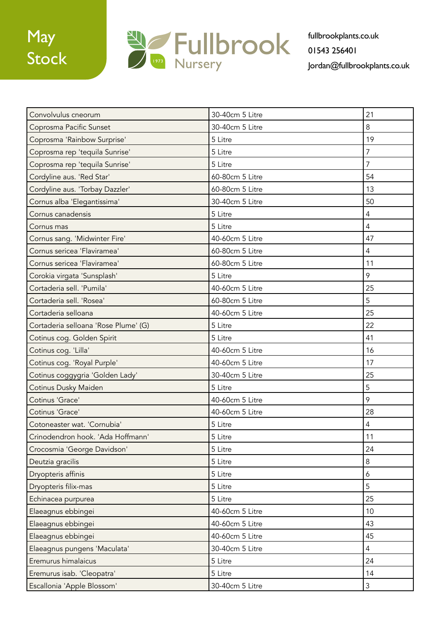

| Convolvulus cneorum                  | 30-40cm 5 Litre | 21               |
|--------------------------------------|-----------------|------------------|
| Coprosma Pacific Sunset              | 30-40cm 5 Litre | 8                |
| Coprosma 'Rainbow Surprise'          | 5 Litre         | 19               |
| Coprosma rep 'tequila Sunrise'       | 5 Litre         | $\overline{7}$   |
| Coprosma rep 'tequila Sunrise'       | 5 Litre         | $\overline{7}$   |
| Cordyline aus. 'Red Star'            | 60-80cm 5 Litre | 54               |
| Cordyline aus. 'Torbay Dazzler'      | 60-80cm 5 Litre | 13               |
| Cornus alba 'Elegantissima'          | 30-40cm 5 Litre | 50               |
| Cornus canadensis                    | 5 Litre         | $\overline{4}$   |
| Cornus mas                           | 5 Litre         | $\overline{4}$   |
| Cornus sang. 'Midwinter Fire'        | 40-60cm 5 Litre | 47               |
| Cornus sericea 'Flaviramea'          | 60-80cm 5 Litre | $\overline{4}$   |
| Cornus sericea 'Flaviramea'          | 60-80cm 5 Litre | 11               |
| Corokia virgata 'Sunsplash'          | 5 Litre         | 9                |
| Cortaderia sell. 'Pumila'            | 40-60cm 5 Litre | 25               |
| Cortaderia sell. 'Rosea'             | 60-80cm 5 Litre | 5                |
| Cortaderia selloana                  | 40-60cm 5 Litre | 25               |
| Cortaderia selloana 'Rose Plume' (G) | 5 Litre         | 22               |
| Cotinus cog. Golden Spirit           | 5 Litre         | 41               |
| Cotinus cog. 'Lilla'                 | 40-60cm 5 Litre | 16               |
| Cotinus cog. 'Royal Purple'          | 40-60cm 5 Litre | 17               |
| Cotinus coggygria 'Golden Lady'      | 30-40cm 5 Litre | 25               |
| Cotinus Dusky Maiden                 | 5 Litre         | 5                |
| Cotinus 'Grace'                      | 40-60cm 5 Litre | 9                |
| Cotinus 'Grace'                      | 40-60cm 5 Litre | 28               |
| Cotoneaster wat. 'Cornubia'          | 5 Litre         | $\overline{4}$   |
| Crinodendron hook. 'Ada Hoffmann'    | 5 Litre         | 11               |
| Crocosmia 'George Davidson'          | 5 Litre         | 24               |
| Deutzia gracilis                     | 5 Litre         | 8                |
| Dryopteris affinis                   | 5 Litre         | $\boldsymbol{6}$ |
| Dryopteris filix-mas                 | 5 Litre         | 5                |
| Echinacea purpurea                   | 5 Litre         | 25               |
| Elaeagnus ebbingei                   | 40-60cm 5 Litre | 10               |
| Elaeagnus ebbingei                   | 40-60cm 5 Litre | 43               |
| Elaeagnus ebbingei                   | 40-60cm 5 Litre | 45               |
| Elaeagnus pungens 'Maculata'         | 30-40cm 5 Litre | $\overline{4}$   |
| Eremurus himalaicus                  | 5 Litre         | 24               |
| Eremurus isab. 'Cleopatra'           | 5 Litre         | 14               |
| Escallonia 'Apple Blossom'           | 30-40cm 5 Litre | $\mathfrak{Z}$   |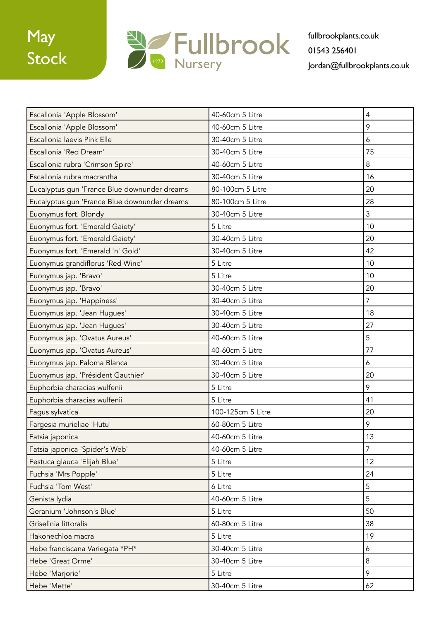

| Escallonia 'Apple Blossom'                    | 40-60cm 5 Litre   | $\overline{4}$ |
|-----------------------------------------------|-------------------|----------------|
| Escallonia 'Apple Blossom'                    | 40-60cm 5 Litre   | 9              |
| Escallonia laevis Pink Elle                   | 30-40cm 5 Litre   | 6              |
| Escallonia 'Red Dream'                        | 30-40cm 5 Litre   | 75             |
| Escallonia rubra 'Crimson Spire'              | 40-60cm 5 Litre   | 8              |
| Escallonia rubra macrantha                    | 30-40cm 5 Litre   | 16             |
| Eucalyptus gun 'France Blue downunder dreams' | 80-100cm 5 Litre  | 20             |
| Eucalyptus gun 'France Blue downunder dreams' | 80-100cm 5 Litre  | 28             |
| Euonymus fort. Blondy                         | 30-40cm 5 Litre   | 3              |
| Euonymus fort. 'Emerald Gaiety'               | 5 Litre           | 10             |
| Euonymus fort. 'Emerald Gaiety'               | 30-40cm 5 Litre   | 20             |
| Euonymus fort. 'Emerald 'n' Gold'             | 30-40cm 5 Litre   | 42             |
| Euonymus grandiflorus 'Red Wine'              | 5 Litre           | 10             |
| Euonymus jap. 'Bravo'                         | 5 Litre           | 10             |
| Euonymus jap. 'Bravo'                         | 30-40cm 5 Litre   | 20             |
| Euonymus jap. 'Happiness'                     | 30-40cm 5 Litre   | $\overline{7}$ |
| Euonymus jap. 'Jean Hugues'                   | 30-40cm 5 Litre   | 18             |
| Euonymus jap. 'Jean Hugues'                   | 30-40cm 5 Litre   | 27             |
| Euonymus jap. 'Ovatus Aureus'                 | 40-60cm 5 Litre   | 5              |
| Euonymus jap. 'Ovatus Aureus'                 | 40-60cm 5 Litre   | 77             |
| Euonymus jap. Paloma Blanca                   | 30-40cm 5 Litre   | 6              |
| Euonymus jap. 'Président Gauthier'            | 30-40cm 5 Litre   | 20             |
| Euphorbia characias wulfenii                  | 5 Litre           | 9              |
| Euphorbia characias wulfenii                  | 5 Litre           | 41             |
| Fagus sylvatica                               | 100-125cm 5 Litre | 20             |
| Fargesia murieliae 'Hutu'                     | 60-80cm 5 Litre   | 9              |
| Fatsia japonica                               | 40-60cm 5 Litre   | 13             |
| Fatsia japonica 'Spider's Web'                | 40-60cm 5 Litre   | 7              |
| Festuca glauca 'Elijah Blue'                  | 5 Litre           | 12             |
| Fuchsia 'Mrs Popple'                          | 5 Litre           | 24             |
| Fuchsia 'Tom West'                            | 6 Litre           | 5              |
| Genista lydia                                 | 40-60cm 5 Litre   | 5              |
| Geranium 'Johnson's Blue'                     | 5 Litre           | 50             |
| Griselinia littoralis                         | 60-80cm 5 Litre   | 38             |
| Hakonechloa macra                             | 5 Litre           | 19             |
| Hebe franciscana Variegata *PH*               | 30-40cm 5 Litre   | 6              |
| Hebe 'Great Orme'                             | 30-40cm 5 Litre   | 8              |
| Hebe 'Marjorie'                               | 5 Litre           | 9              |
| Hebe 'Mette'                                  | 30-40cm 5 Litre   | 62             |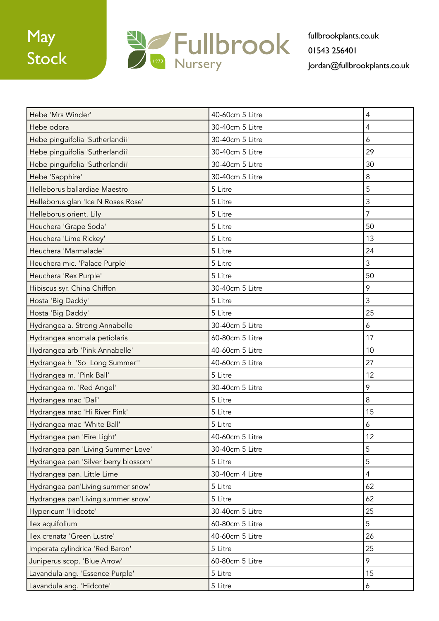

| Hebe 'Mrs Winder'                    | 40-60cm 5 Litre | $\overline{4}$ |
|--------------------------------------|-----------------|----------------|
| Hebe odora                           | 30-40cm 5 Litre | $\overline{4}$ |
| Hebe pinguifolia 'Sutherlandii'      | 30-40cm 5 Litre | 6              |
| Hebe pinguifolia 'Sutherlandii'      | 30-40cm 5 Litre | 29             |
| Hebe pinguifolia 'Sutherlandii'      | 30-40cm 5 Litre | 30             |
| Hebe 'Sapphire'                      | 30-40cm 5 Litre | $\,8\,$        |
| Helleborus ballardiae Maestro        | 5 Litre         | 5              |
| Helleborus glan 'Ice N Roses Rose'   | 5 Litre         | $\mathfrak{Z}$ |
| Helleborus orient. Lily              | 5 Litre         | $\overline{7}$ |
| Heuchera 'Grape Soda'                | 5 Litre         | 50             |
| Heuchera 'Lime Rickey'               | 5 Litre         | 13             |
| Heuchera 'Marmalade'                 | 5 Litre         | 24             |
| Heuchera mic. 'Palace Purple'        | 5 Litre         | 3              |
| Heuchera 'Rex Purple'                | 5 Litre         | 50             |
| Hibiscus syr. China Chiffon          | 30-40cm 5 Litre | 9              |
| Hosta 'Big Daddy'                    | 5 Litre         | $\mathfrak{Z}$ |
| Hosta 'Big Daddy'                    | 5 Litre         | 25             |
| Hydrangea a. Strong Annabelle        | 30-40cm 5 Litre | 6              |
| Hydrangea anomala petiolaris         | 60-80cm 5 Litre | 17             |
| Hydrangea arb 'Pink Annabelle'       | 40-60cm 5 Litre | 10             |
| Hydrangea h 'So Long Summer''        | 40-60cm 5 Litre | 27             |
| Hydrangea m. 'Pink Ball'             | 5 Litre         | 12             |
| Hydrangea m. 'Red Angel'             | 30-40cm 5 Litre | 9              |
| Hydrangea mac 'Dali'                 | 5 Litre         | 8              |
| Hydrangea mac 'Hi River Pink'        | 5 Litre         | 15             |
| Hydrangea mac 'White Ball'           | 5 Litre         | 6              |
| Hydrangea pan 'Fire Light'           | 40-60cm 5 Litre | 12             |
| Hydrangea pan 'Living Summer Love'   | 30-40cm 5 Litre | 5              |
| Hydrangea pan 'Silver berry blossom' | 5 Litre         | 5              |
| Hydrangea pan. Little Lime           | 30-40cm 4 Litre | $\overline{4}$ |
| Hydrangea pan'Living summer snow'    | 5 Litre         | 62             |
| Hydrangea pan'Living summer snow'    | 5 Litre         | 62             |
| Hypericum 'Hidcote'                  | 30-40cm 5 Litre | 25             |
| Ilex aquifolium                      | 60-80cm 5 Litre | 5              |
| Ilex crenata 'Green Lustre'          | 40-60cm 5 Litre | 26             |
| Imperata cylindrica 'Red Baron'      | 5 Litre         | 25             |
| Juniperus scop. 'Blue Arrow'         | 60-80cm 5 Litre | 9              |
| Lavandula ang. 'Essence Purple'      | 5 Litre         | 15             |
| Lavandula ang. 'Hidcote'             | 5 Litre         | 6              |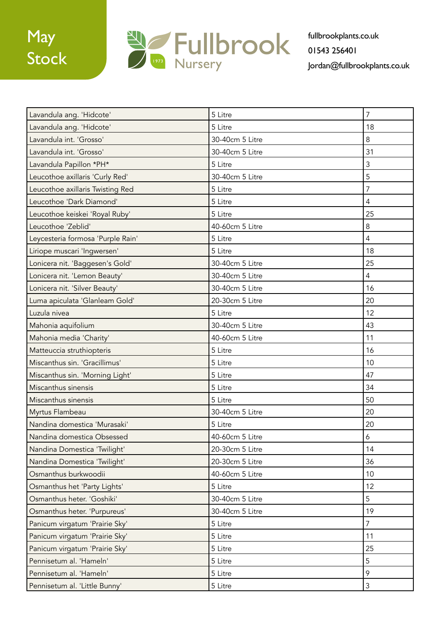

| Lavandula ang. 'Hidcote'          | 5 Litre         | $\overline{7}$ |
|-----------------------------------|-----------------|----------------|
| Lavandula ang. 'Hidcote'          | 5 Litre         | 18             |
| Lavandula int. 'Grosso'           | 30-40cm 5 Litre | 8              |
| Lavandula int. 'Grosso'           | 30-40cm 5 Litre | 31             |
| Lavandula Papillon *PH*           | 5 Litre         | 3              |
| Leucothoe axillaris 'Curly Red'   | 30-40cm 5 Litre | 5              |
| Leucothoe axillaris Twisting Red  | 5 Litre         | 7              |
| Leucothoe 'Dark Diamond'          | 5 Litre         | $\overline{4}$ |
| Leucothoe keiskei 'Royal Ruby'    | 5 Litre         | 25             |
| Leucothoe 'Zeblid'                | 40-60cm 5 Litre | 8              |
| Leycesteria formosa 'Purple Rain' | 5 Litre         | 4              |
| Liriope muscari 'Ingwersen'       | 5 Litre         | 18             |
| Lonicera nit. 'Baggesen's Gold'   | 30-40cm 5 Litre | 25             |
| Lonicera nit. 'Lemon Beauty'      | 30-40cm 5 Litre | $\overline{4}$ |
| Lonicera nit. 'Silver Beauty'     | 30-40cm 5 Litre | 16             |
| Luma apiculata 'Glanleam Gold'    | 20-30cm 5 Litre | 20             |
| Luzula nivea                      | 5 Litre         | 12             |
| Mahonia aquifolium                | 30-40cm 5 Litre | 43             |
| Mahonia media 'Charity'           | 40-60cm 5 Litre | 11             |
| Matteuccia struthiopteris         | 5 Litre         | 16             |
| Miscanthus sin. 'Gracillimus'     | 5 Litre         | 10             |
| Miscanthus sin. 'Morning Light'   | 5 Litre         | 47             |
| Miscanthus sinensis               | 5 Litre         | 34             |
| Miscanthus sinensis               | 5 Litre         | 50             |
| Myrtus Flambeau                   | 30-40cm 5 Litre | 20             |
| Nandina domestica 'Murasaki'      | 5 Litre         | 20             |
| Nandina domestica Obsessed        | 40-60cm 5 Litre | 6              |
| Nandina Domestica 'Twilight'      | 20-30cm 5 Litre | 14             |
| Nandina Domestica 'Twilight'      | 20-30cm 5 Litre | 36             |
| Osmanthus burkwoodii              | 40-60cm 5 Litre | 10             |
| Osmanthus het 'Party Lights'      | 5 Litre         | 12             |
| Osmanthus heter. 'Goshiki'        | 30-40cm 5 Litre | 5              |
| Osmanthus heter. 'Purpureus'      | 30-40cm 5 Litre | 19             |
| Panicum virgatum 'Prairie Sky'    | 5 Litre         | $\overline{7}$ |
| Panicum virgatum 'Prairie Sky'    | 5 Litre         | 11             |
| Panicum virgatum 'Prairie Sky'    | 5 Litre         | 25             |
| Pennisetum al. 'Hameln'           | 5 Litre         | 5              |
| Pennisetum al. 'Hameln'           | 5 Litre         | 9              |
| Pennisetum al. 'Little Bunny'     | 5 Litre         | 3              |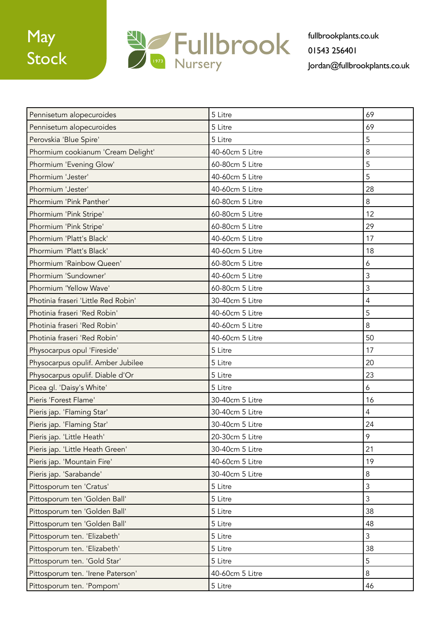

| Pennisetum alopecuroides            | 5 Litre         | 69             |
|-------------------------------------|-----------------|----------------|
| Pennisetum alopecuroides            | 5 Litre         | 69             |
| Perovskia 'Blue Spire'              | 5 Litre         | 5              |
| Phormium cookianum 'Cream Delight'  | 40-60cm 5 Litre | 8              |
| Phormium 'Evening Glow'             | 60-80cm 5 Litre | 5              |
| Phormium 'Jester'                   | 40-60cm 5 Litre | 5              |
| Phormium 'Jester'                   | 40-60cm 5 Litre | 28             |
| Phormium 'Pink Panther'             | 60-80cm 5 Litre | 8              |
| Phormium 'Pink Stripe'              | 60-80cm 5 Litre | 12             |
| Phormium 'Pink Stripe'              | 60-80cm 5 Litre | 29             |
| Phormium 'Platt's Black'            | 40-60cm 5 Litre | 17             |
| Phormium 'Platt's Black'            | 40-60cm 5 Litre | 18             |
| Phormium 'Rainbow Queen'            | 60-80cm 5 Litre | 6              |
| Phormium 'Sundowner'                | 40-60cm 5 Litre | 3              |
| Phormium 'Yellow Wave'              | 60-80cm 5 Litre | 3              |
| Photinia fraseri 'Little Red Robin' | 30-40cm 5 Litre | $\overline{4}$ |
| Photinia fraseri 'Red Robin'        | 40-60cm 5 Litre | 5              |
| Photinia fraseri 'Red Robin'        | 40-60cm 5 Litre | 8              |
| Photinia fraseri 'Red Robin'        | 40-60cm 5 Litre | 50             |
| Physocarpus opul 'Fireside'         | 5 Litre         | 17             |
| Physocarpus opulif. Amber Jubilee   | 5 Litre         | 20             |
| Physocarpus opulif. Diable d'Or     | 5 Litre         | 23             |
| Picea gl. 'Daisy's White'           | 5 Litre         | 6              |
| Pieris 'Forest Flame'               | 30-40cm 5 Litre | 16             |
| Pieris jap. 'Flaming Star'          | 30-40cm 5 Litre | $\overline{4}$ |
| Pieris jap. 'Flaming Star'          | 30-40cm 5 Litre | 24             |
| Pieris jap. 'Little Heath'          | 20-30cm 5 Litre | 9              |
| Pieris jap. 'Little Heath Green'    | 30-40cm 5 Litre | 21             |
| Pieris jap. 'Mountain Fire'         | 40-60cm 5 Litre | 19             |
| Pieris jap. 'Sarabande'             | 30-40cm 5 Litre | $\,8\,$        |
| Pittosporum ten 'Cratus'            | 5 Litre         | $\overline{3}$ |
| Pittosporum ten 'Golden Ball'       | 5 Litre         | $\mathfrak{Z}$ |
| Pittosporum ten 'Golden Ball'       | 5 Litre         | 38             |
| Pittosporum ten 'Golden Ball'       | 5 Litre         | 48             |
| Pittosporum ten. 'Elizabeth'        | 5 Litre         | $\mathfrak{Z}$ |
| Pittosporum ten. 'Elizabeth'        | 5 Litre         | 38             |
| Pittosporum ten. 'Gold Star'        | 5 Litre         | 5              |
| Pittosporum ten. 'Irene Paterson'   | 40-60cm 5 Litre | 8              |
| Pittosporum ten. 'Pompom'           | 5 Litre         | 46             |
|                                     |                 |                |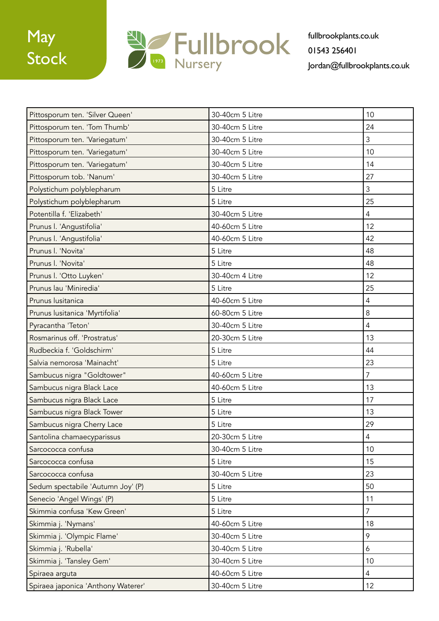

| Pittosporum ten. 'Silver Queen'    | 30-40cm 5 Litre | 10               |
|------------------------------------|-----------------|------------------|
| Pittosporum ten. 'Tom Thumb'       | 30-40cm 5 Litre | 24               |
| Pittosporum ten. 'Variegatum'      | 30-40cm 5 Litre | 3                |
| Pittosporum ten. 'Variegatum'      | 30-40cm 5 Litre | 10               |
| Pittosporum ten. 'Variegatum'      | 30-40cm 5 Litre | 14               |
| Pittosporum tob. 'Nanum'           | 30-40cm 5 Litre | 27               |
| Polystichum polyblepharum          | 5 Litre         | 3                |
| Polystichum polyblepharum          | 5 Litre         | 25               |
| Potentilla f. 'Elizabeth'          | 30-40cm 5 Litre | 4                |
| Prunus I. 'Angustifolia'           | 40-60cm 5 Litre | 12               |
| Prunus I. 'Angustifolia'           | 40-60cm 5 Litre | 42               |
| Prunus I. 'Novita'                 | 5 Litre         | 48               |
| Prunus I. 'Novita'                 | 5 Litre         | 48               |
| Prunus I. 'Otto Luyken'            | 30-40cm 4 Litre | 12               |
| Prunus lau 'Miniredia'             | 5 Litre         | 25               |
| Prunus lusitanica                  | 40-60cm 5 Litre | 4                |
| Prunus lusitanica 'Myrtifolia'     | 60-80cm 5 Litre | 8                |
| Pyracantha 'Teton'                 | 30-40cm 5 Litre | $\overline{4}$   |
| Rosmarinus off. 'Prostratus'       | 20-30cm 5 Litre | 13               |
| Rudbeckia f. 'Goldschirm'          | 5 Litre         | 44               |
| Salvia nemorosa 'Mainacht'         | 5 Litre         | 23               |
| Sambucus nigra "Goldtower"         | 40-60cm 5 Litre | $\overline{7}$   |
| Sambucus nigra Black Lace          | 40-60cm 5 Litre | 13               |
| Sambucus nigra Black Lace          | 5 Litre         | 17               |
| Sambucus nigra Black Tower         | 5 Litre         | 13               |
| Sambucus nigra Cherry Lace         | 5 Litre         | 29               |
| Santolina chamaecyparissus         | 20-30cm 5 Litre | $\overline{4}$   |
| Sarcococca confusa                 | 30-40cm 5 Litre | 10               |
| Sarcococca confusa                 | 5 Litre         | 15               |
| Sarcococca confusa                 | 30-40cm 5 Litre | 23               |
| Sedum spectabile 'Autumn Joy' (P)  | 5 Litre         | 50               |
| Senecio 'Angel Wings' (P)          | 5 Litre         | 11               |
| Skimmia confusa 'Kew Green'        | 5 Litre         | $\overline{7}$   |
| Skimmia j. 'Nymans'                | 40-60cm 5 Litre | 18               |
| Skimmia j. 'Olympic Flame'         | 30-40cm 5 Litre | 9                |
| Skimmia j. 'Rubella'               | 30-40cm 5 Litre | $\boldsymbol{6}$ |
| Skimmia j. 'Tansley Gem'           | 30-40cm 5 Litre | 10               |
| Spiraea arguta                     | 40-60cm 5 Litre | $\overline{4}$   |
| Spiraea japonica 'Anthony Waterer' | 30-40cm 5 Litre | 12               |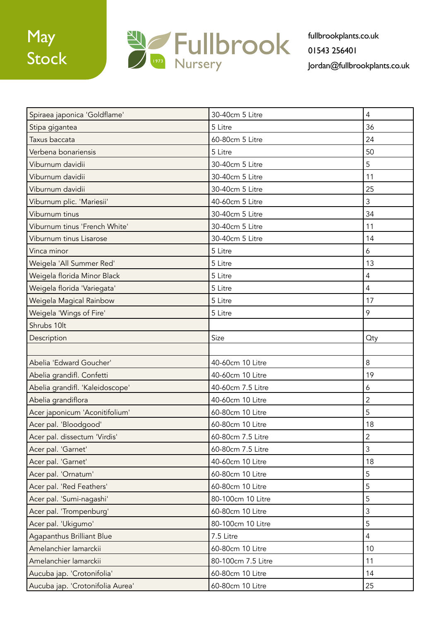

| Spiraea japonica 'Goldflame'     | 30-40cm 5 Litre    | $\overline{4}$ |
|----------------------------------|--------------------|----------------|
| Stipa gigantea                   | 5 Litre            | 36             |
| Taxus baccata                    | 60-80cm 5 Litre    | 24             |
| Verbena bonariensis              | 5 Litre            | 50             |
| Viburnum davidii                 | 30-40cm 5 Litre    | 5              |
| Viburnum davidii                 | 30-40cm 5 Litre    | 11             |
| Viburnum davidii                 | 30-40cm 5 Litre    | 25             |
| Viburnum plic. 'Mariesii'        | 40-60cm 5 Litre    | 3              |
| Viburnum tinus                   | 30-40cm 5 Litre    | 34             |
| Viburnum tinus 'French White'    | 30-40cm 5 Litre    | 11             |
| Viburnum tinus Lisarose          | 30-40cm 5 Litre    | 14             |
| Vinca minor                      | 5 Litre            | 6              |
| Weigela 'All Summer Red'         | 5 Litre            | 13             |
| Weigela florida Minor Black      | 5 Litre            | $\overline{4}$ |
| Weigela florida 'Variegata'      | 5 Litre            | $\overline{4}$ |
| Weigela Magical Rainbow          | 5 Litre            | 17             |
| Weigela 'Wings of Fire'          | 5 Litre            | 9              |
| Shrubs 10lt                      |                    |                |
| Description                      | Size               | <b>Oty</b>     |
|                                  |                    |                |
| Abelia 'Edward Goucher'          | 40-60cm 10 Litre   | 8              |
| Abelia grandifl. Confetti        | 40-60cm 10 Litre   | 19             |
| Abelia grandifl. 'Kaleidoscope'  | 40-60cm 7.5 Litre  | 6              |
| Abelia grandiflora               | 40-60cm 10 Litre   | $\overline{2}$ |
| Acer japonicum 'Aconitifolium'   | 60-80cm 10 Litre   | 5              |
| Acer pal. 'Bloodgood'            | 60-80cm 10 Litre   | 18             |
| Acer pal. dissectum 'Virdis'     | 60-80cm 7.5 Litre  | $\overline{c}$ |
| Acer pal. 'Garnet'               | 60-80cm 7.5 Litre  | $\mathfrak{Z}$ |
| Acer pal. 'Garnet'               | 40-60cm 10 Litre   | 18             |
| Acer pal. 'Ornatum'              | 60-80cm 10 Litre   | 5              |
| Acer pal. 'Red Feathers'         | 60-80cm 10 Litre   | 5              |
| Acer pal. 'Sumi-nagashi'         | 80-100cm 10 Litre  | 5              |
| Acer pal. 'Trompenburg'          | 60-80cm 10 Litre   | $\mathfrak{Z}$ |
| Acer pal. 'Ukigumo'              | 80-100cm 10 Litre  | 5              |
| Agapanthus Brilliant Blue        | 7.5 Litre          | $\overline{4}$ |
| Amelanchier lamarckii            | 60-80cm 10 Litre   | 10             |
| Amelanchier lamarckii            | 80-100cm 7.5 Litre | 11             |
| Aucuba jap. 'Crotonifolia'       | 60-80cm 10 Litre   | 14             |
| Aucuba jap. 'Crotonifolia Aurea' | 60-80cm 10 Litre   | 25             |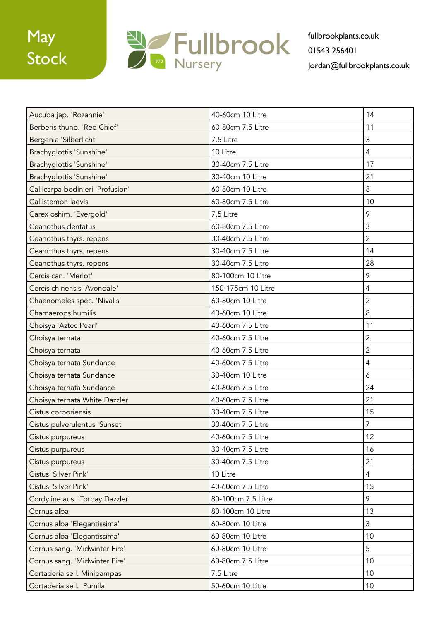

| Aucuba jap. 'Rozannie'           | 40-60cm 10 Litre   | 14             |
|----------------------------------|--------------------|----------------|
| Berberis thunb. 'Red Chief'      | 60-80cm 7.5 Litre  | 11             |
| Bergenia 'Silberlicht'           | 7.5 Litre          | 3              |
| Brachyglottis 'Sunshine'         | 10 Litre           | $\overline{4}$ |
| Brachyglottis 'Sunshine'         | 30-40cm 7.5 Litre  | 17             |
| Brachyglottis 'Sunshine'         | 30-40cm 10 Litre   | 21             |
| Callicarpa bodinieri 'Profusion' | 60-80cm 10 Litre   | 8              |
| Callistemon laevis               | 60-80cm 7.5 Litre  | 10             |
| Carex oshim. 'Evergold'          | 7.5 Litre          | 9              |
| Ceanothus dentatus               | 60-80cm 7.5 Litre  | 3              |
| Ceanothus thyrs. repens          | 30-40cm 7.5 Litre  | $\overline{2}$ |
| Ceanothus thyrs. repens          | 30-40cm 7.5 Litre  | 14             |
| Ceanothus thyrs. repens          | 30-40cm 7.5 Litre  | 28             |
| Cercis can. 'Merlot'             | 80-100cm 10 Litre  | 9              |
| Cercis chinensis 'Avondale'      | 150-175cm 10 Litre | $\overline{4}$ |
| Chaenomeles spec. 'Nivalis'      | 60-80cm 10 Litre   | $\overline{2}$ |
| Chamaerops humilis               | 40-60cm 10 Litre   | 8              |
| Choisya 'Aztec Pearl'            | 40-60cm 7.5 Litre  | 11             |
| Choisya ternata                  | 40-60cm 7.5 Litre  | $\overline{2}$ |
| Choisya ternata                  | 40-60cm 7.5 Litre  | $\overline{c}$ |
| Choisya ternata Sundance         | 40-60cm 7.5 Litre  | 4              |
| Choisya ternata Sundance         | 30-40cm 10 Litre   | 6              |
| Choisya ternata Sundance         | 40-60cm 7.5 Litre  | 24             |
| Choisya ternata White Dazzler    | 40-60cm 7.5 Litre  | 21             |
| Cistus corboriensis              | 30-40cm 7.5 Litre  | 15             |
| Cistus pulverulentus 'Sunset'    | 30-40cm 7.5 Litre  | 7              |
| Cistus purpureus                 | 40-60cm 7.5 Litre  | 12             |
| Cistus purpureus                 | 30-40cm 7.5 Litre  | 16             |
| Cistus purpureus                 | 30-40cm 7.5 Litre  | 21             |
| Cistus 'Silver Pink'             | 10 Litre           | $\overline{4}$ |
| Cistus 'Silver Pink'             | 40-60cm 7.5 Litre  | 15             |
| Cordyline aus. 'Torbay Dazzler'  | 80-100cm 7.5 Litre | 9              |
| Cornus alba                      | 80-100cm 10 Litre  | 13             |
| Cornus alba 'Elegantissima'      | 60-80cm 10 Litre   | $\mathfrak{Z}$ |
| Cornus alba 'Elegantissima'      | 60-80cm 10 Litre   | 10             |
| Cornus sang. 'Midwinter Fire'    | 60-80cm 10 Litre   | 5              |
| Cornus sang. 'Midwinter Fire'    | 60-80cm 7.5 Litre  | 10             |
| Cortaderia sell. Minipampas      | 7.5 Litre          | 10             |
| Cortaderia sell. 'Pumila'        | 50-60cm 10 Litre   | 10             |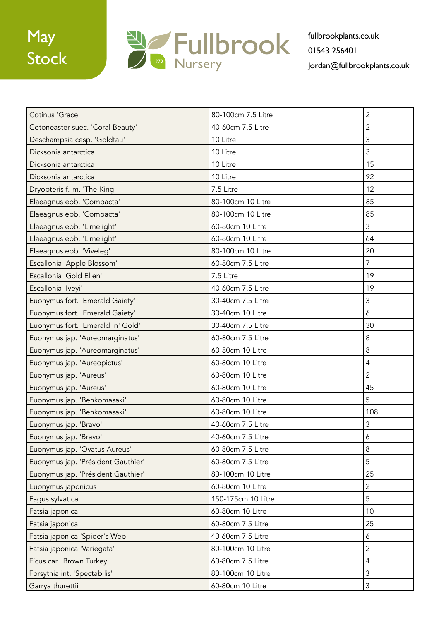

| Cotinus 'Grace'                    | 80-100cm 7.5 Litre | $\overline{2}$ |
|------------------------------------|--------------------|----------------|
| Cotoneaster suec. 'Coral Beauty'   | 40-60cm 7.5 Litre  | $\overline{2}$ |
| Deschampsia cesp. 'Goldtau'        | 10 Litre           | 3              |
| Dicksonia antarctica               | 10 Litre           | 3              |
| Dicksonia antarctica               | 10 Litre           | 15             |
| Dicksonia antarctica               | 10 Litre           | 92             |
| Dryopteris f.-m. 'The King'        | 7.5 Litre          | 12             |
| Elaeagnus ebb. 'Compacta'          | 80-100cm 10 Litre  | 85             |
| Elaeagnus ebb. 'Compacta'          | 80-100cm 10 Litre  | 85             |
| Elaeagnus ebb. 'Limelight'         | 60-80cm 10 Litre   | 3              |
| Elaeagnus ebb. 'Limelight'         | 60-80cm 10 Litre   | 64             |
| Elaeagnus ebb. 'Viveleg'           | 80-100cm 10 Litre  | 20             |
| Escallonia 'Apple Blossom'         | 60-80cm 7.5 Litre  | $\overline{7}$ |
| Escallonia 'Gold Ellen'            | 7.5 Litre          | 19             |
| Escallonia 'Iveyi'                 | 40-60cm 7.5 Litre  | 19             |
| Euonymus fort. 'Emerald Gaiety'    | 30-40cm 7.5 Litre  | 3              |
| Euonymus fort. 'Emerald Gaiety'    | 30-40cm 10 Litre   | 6              |
| Euonymus fort. 'Emerald 'n' Gold'  | 30-40cm 7.5 Litre  | 30             |
| Euonymus jap. 'Aureomarginatus'    | 60-80cm 7.5 Litre  | 8              |
| Euonymus jap. 'Aureomarginatus'    | 60-80cm 10 Litre   | 8              |
| Euonymus jap. 'Aureopictus'        | 60-80cm 10 Litre   | 4              |
| Euonymus jap. 'Aureus'             | 60-80cm 10 Litre   | $\overline{2}$ |
| Euonymus jap. 'Aureus'             | 60-80cm 10 Litre   | 45             |
| Euonymus jap. 'Benkomasaki'        | 60-80cm 10 Litre   | 5              |
| Euonymus jap. 'Benkomasaki'        | 60-80cm 10 Litre   | 108            |
| Euonymus jap. 'Bravo'              | 40-60cm 7.5 Litre  | 3              |
| Euonymus jap. 'Bravo'              | 40-60cm 7.5 Litre  | 6              |
| Euonymus jap. 'Ovatus Aureus'      | 60-80cm 7.5 Litre  | 8              |
| Euonymus jap. 'Président Gauthier' | 60-80cm 7.5 Litre  | 5              |
| Euonymus jap. 'Président Gauthier' | 80-100cm 10 Litre  | 25             |
| Euonymus japonicus                 | 60-80cm 10 Litre   | $\mathbf{2}$   |
| Fagus sylvatica                    | 150-175cm 10 Litre | 5              |
| Fatsia japonica                    | 60-80cm 10 Litre   | 10             |
| Fatsia japonica                    | 60-80cm 7.5 Litre  | 25             |
| Fatsia japonica 'Spider's Web'     | 40-60cm 7.5 Litre  | 6              |
| Fatsia japonica 'Variegata'        | 80-100cm 10 Litre  | $\overline{c}$ |
| Ficus car. 'Brown Turkey'          | 60-80cm 7.5 Litre  | $\overline{4}$ |
| Forsythia int. 'Spectabilis'       | 80-100cm 10 Litre  | $\mathsf 3$    |
| Garrya thurettii                   | 60-80cm 10 Litre   | $\mathfrak{Z}$ |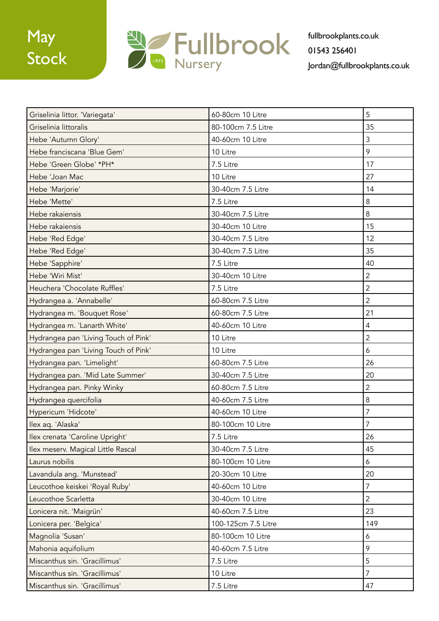

| Griselinia littor. 'Variegata'       | 60-80cm 10 Litre    | 5              |
|--------------------------------------|---------------------|----------------|
| Griselinia littoralis                | 80-100cm 7.5 Litre  | 35             |
| Hebe 'Autumn Glory'                  | 40-60cm 10 Litre    | 3              |
| Hebe franciscana 'Blue Gem'          | 10 Litre            | 9              |
| Hebe 'Green Globe' *PH*              | 7.5 Litre           | 17             |
| Hebe 'Joan Mac                       | 10 Litre            | 27             |
| Hebe 'Marjorie'                      | 30-40cm 7.5 Litre   | 14             |
| Hebe 'Mette'                         | 7.5 Litre           | 8              |
| Hebe rakaiensis                      | 30-40cm 7.5 Litre   | 8              |
| Hebe rakaiensis                      | 30-40cm 10 Litre    | 15             |
| Hebe 'Red Edge'                      | 30-40cm 7.5 Litre   | 12             |
| Hebe 'Red Edge'                      | 30-40cm 7.5 Litre   | 35             |
| Hebe 'Sapphire'                      | 7.5 Litre           | 40             |
| Hebe 'Wiri Mist'                     | 30-40cm 10 Litre    | $\overline{2}$ |
| Heuchera 'Chocolate Ruffles'         | 7.5 Litre           | $\overline{2}$ |
| Hydrangea a. 'Annabelle'             | 60-80cm 7.5 Litre   | $\overline{2}$ |
| Hydrangea m. 'Bouquet Rose'          | 60-80cm 7.5 Litre   | 21             |
| Hydrangea m. 'Lanarth White'         | 40-60cm 10 Litre    | 4              |
| Hydrangea pan 'Living Touch of Pink' | 10 Litre            | $\overline{2}$ |
| Hydrangea pan 'Living Touch of Pink' | 10 Litre            | 6              |
| Hydrangea pan. 'Limelight'           | 60-80cm 7.5 Litre   | 26             |
| Hydrangea pan. 'Mid Late Summer'     | 30-40cm 7.5 Litre   | 20             |
| Hydrangea pan. Pinky Winky           | 60-80cm 7.5 Litre   | 2              |
| Hydrangea quercifolia                | 40-60cm 7.5 Litre   | $\,8\,$        |
| Hypericum 'Hidcote'                  | 40-60cm 10 Litre    | 7              |
| Ilex aq. 'Alaska'                    | 80-100cm 10 Litre   | 7              |
| Ilex crenata 'Caroline Upright'      | 7.5 Litre           | 26             |
| Ilex meserv. Magical Little Rascal   | 30-40cm 7.5 Litre   | 45             |
| Laurus nobilis                       | 80-100cm 10 Litre   | 6              |
| Lavandula ang. 'Munstead'            | 20-30cm 10 Litre    | 20             |
| Leucothoe keiskei 'Royal Ruby'       | 40-60cm 10 Litre    | $\overline{7}$ |
| Leucothoe Scarletta                  | 30-40cm 10 Litre    | $\overline{2}$ |
| Lonicera nit. 'Maigrün'              | 40-60cm 7.5 Litre   | 23             |
| Lonicera per. 'Belgica'              | 100-125cm 7.5 Litre | 149            |
| Magnolia 'Susan'                     | 80-100cm 10 Litre   | 6              |
| Mahonia aquifolium                   | 40-60cm 7.5 Litre   | 9              |
| Miscanthus sin. 'Gracillimus'        | 7.5 Litre           | 5              |
| Miscanthus sin. 'Gracillimus'        | 10 Litre            | $\overline{7}$ |
| Miscanthus sin. 'Gracillimus'        | 7.5 Litre           | 47             |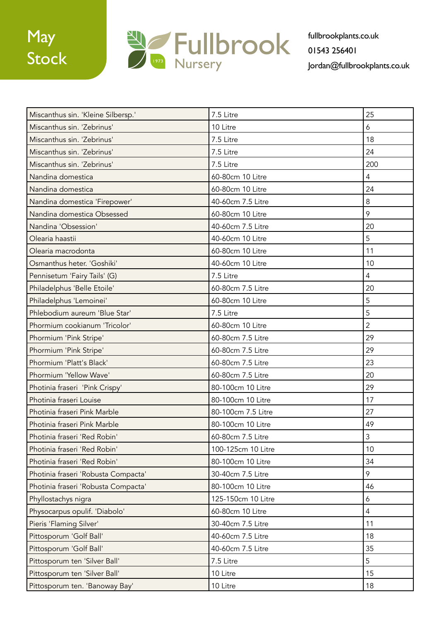

| Miscanthus sin. 'Kleine Silbersp.'  | 7.5 Litre          | 25             |
|-------------------------------------|--------------------|----------------|
| Miscanthus sin. 'Zebrinus'          | 10 Litre           | 6              |
| Miscanthus sin. 'Zebrinus'          | 7.5 Litre          | 18             |
| Miscanthus sin. 'Zebrinus'          | 7.5 Litre          | 24             |
| Miscanthus sin. 'Zebrinus'          | 7.5 Litre          | 200            |
| Nandina domestica                   | 60-80cm 10 Litre   | 4              |
| Nandina domestica                   | 60-80cm 10 Litre   | 24             |
| Nandina domestica 'Firepower'       | 40-60cm 7.5 Litre  | 8              |
| Nandina domestica Obsessed          | 60-80cm 10 Litre   | 9              |
| Nandina 'Obsession'                 | 40-60cm 7.5 Litre  | 20             |
| Olearia haastii                     | 40-60cm 10 Litre   | 5              |
| Olearia macrodonta                  | 60-80cm 10 Litre   | 11             |
| Osmanthus heter. 'Goshiki'          | 40-60cm 10 Litre   | 10             |
| Pennisetum 'Fairy Tails' (G)        | 7.5 Litre          | $\overline{4}$ |
| Philadelphus 'Belle Etoile'         | 60-80cm 7.5 Litre  | 20             |
| Philadelphus 'Lemoinei'             | 60-80cm 10 Litre   | 5              |
| Phlebodium aureum 'Blue Star'       | 7.5 Litre          | 5              |
| Phormium cookianum 'Tricolor'       | 60-80cm 10 Litre   | $\overline{2}$ |
| Phormium 'Pink Stripe'              | 60-80cm 7.5 Litre  | 29             |
| Phormium 'Pink Stripe'              | 60-80cm 7.5 Litre  | 29             |
| Phormium 'Platt's Black'            | 60-80cm 7.5 Litre  | 23             |
| Phormium 'Yellow Wave'              | 60-80cm 7.5 Litre  | 20             |
| Photinia fraseri 'Pink Crispy'      | 80-100cm 10 Litre  | 29             |
| Photinia fraseri Louise             | 80-100cm 10 Litre  | 17             |
| Photinia fraseri Pink Marble        | 80-100cm 7.5 Litre | 27             |
| Photinia fraseri Pink Marble        | 80-100cm 10 Litre  | 49             |
| Photinia fraseri 'Red Robin'        | 60-80cm 7.5 Litre  | $\mathfrak{Z}$ |
| Photinia fraseri 'Red Robin'        | 100-125cm 10 Litre | 10             |
| Photinia fraseri 'Red Robin'        | 80-100cm 10 Litre  | 34             |
| Photinia fraseri 'Robusta Compacta' | 30-40cm 7.5 Litre  | 9              |
| Photinia fraseri 'Robusta Compacta' | 80-100cm 10 Litre  | 46             |
| Phyllostachys nigra                 | 125-150cm 10 Litre | 6              |
| Physocarpus opulif. 'Diabolo'       | 60-80cm 10 Litre   | 4              |
| Pieris 'Flaming Silver'             | 30-40cm 7.5 Litre  | 11             |
| Pittosporum 'Golf Ball'             | 40-60cm 7.5 Litre  | 18             |
| Pittosporum 'Golf Ball'             | 40-60cm 7.5 Litre  | 35             |
| Pittosporum ten 'Silver Ball'       | 7.5 Litre          | 5              |
| Pittosporum ten 'Silver Ball'       | 10 Litre           | 15             |
| Pittosporum ten. 'Banoway Bay'      | 10 Litre           | 18             |
|                                     |                    |                |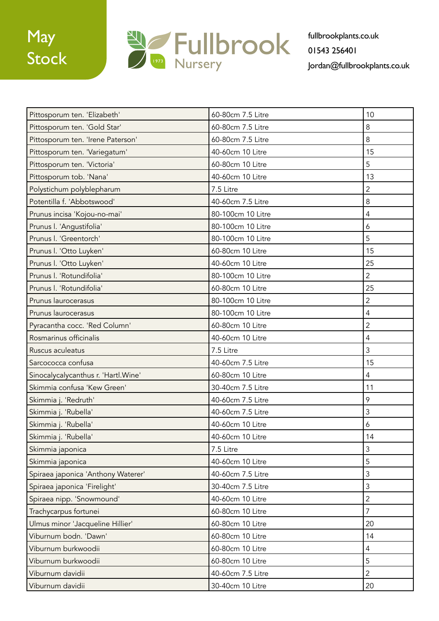

| Pittosporum ten. 'Elizabeth'         | 60-80cm 7.5 Litre | 10             |
|--------------------------------------|-------------------|----------------|
| Pittosporum ten. 'Gold Star'         | 60-80cm 7.5 Litre | 8              |
| Pittosporum ten. 'Irene Paterson'    | 60-80cm 7.5 Litre | 8              |
| Pittosporum ten. 'Variegatum'        | 40-60cm 10 Litre  | 15             |
| Pittosporum ten. 'Victoria'          | 60-80cm 10 Litre  | 5              |
| Pittosporum tob. 'Nana'              | 40-60cm 10 Litre  | 13             |
| Polystichum polyblepharum            | 7.5 Litre         | $\overline{2}$ |
| Potentilla f. 'Abbotswood'           | 40-60cm 7.5 Litre | $\,8\,$        |
| Prunus incisa 'Kojou-no-mai'         | 80-100cm 10 Litre | 4              |
| Prunus I. 'Angustifolia'             | 80-100cm 10 Litre | 6              |
| Prunus I. 'Greentorch'               | 80-100cm 10 Litre | 5              |
| Prunus I. 'Otto Luyken'              | 60-80cm 10 Litre  | 15             |
| Prunus I. 'Otto Luyken'              | 40-60cm 10 Litre  | 25             |
| Prunus I. 'Rotundifolia'             | 80-100cm 10 Litre | $\overline{2}$ |
| Prunus I. 'Rotundifolia'             | 60-80cm 10 Litre  | 25             |
| Prunus laurocerasus                  | 80-100cm 10 Litre | $\overline{2}$ |
| Prunus laurocerasus                  | 80-100cm 10 Litre | 4              |
| Pyracantha cocc. 'Red Column'        | 60-80cm 10 Litre  | $\overline{c}$ |
| Rosmarinus officinalis               | 40-60cm 10 Litre  | 4              |
| Ruscus aculeatus                     | 7.5 Litre         | 3              |
| Sarcococca confusa                   | 40-60cm 7.5 Litre | 15             |
| Sinocalycalycanthus r. 'Hartl. Wine' | 60-80cm 10 Litre  | 4              |
| Skimmia confusa 'Kew Green'          | 30-40cm 7.5 Litre | 11             |
| Skimmia j. 'Redruth'                 | 40-60cm 7.5 Litre | 9              |
| Skimmia j. 'Rubella'                 | 40-60cm 7.5 Litre | 3              |
| Skimmia j. 'Rubella'                 | 40-60cm 10 Litre  | 6              |
| Skimmia j. 'Rubella'                 | 40-60cm 10 Litre  | 14             |
| Skimmia japonica                     | 7.5 Litre         | 3              |
| Skimmia japonica                     | 40-60cm 10 Litre  | 5              |
| Spiraea japonica 'Anthony Waterer'   | 40-60cm 7.5 Litre | 3              |
| Spiraea japonica 'Firelight'         | 30-40cm 7.5 Litre | 3              |
| Spiraea nipp. 'Snowmound'            | 40-60cm 10 Litre  | $\overline{2}$ |
| Trachycarpus fortunei                | 60-80cm 10 Litre  | $\overline{7}$ |
| Ulmus minor 'Jacqueline Hillier'     | 60-80cm 10 Litre  | 20             |
| Viburnum bodn. 'Dawn'                | 60-80cm 10 Litre  | 14             |
| Viburnum burkwoodii                  | 60-80cm 10 Litre  | 4              |
| Viburnum burkwoodii                  | 60-80cm 10 Litre  | 5              |
| Viburnum davidii                     | 40-60cm 7.5 Litre | $\overline{2}$ |
| Viburnum davidii                     | 30-40cm 10 Litre  | 20             |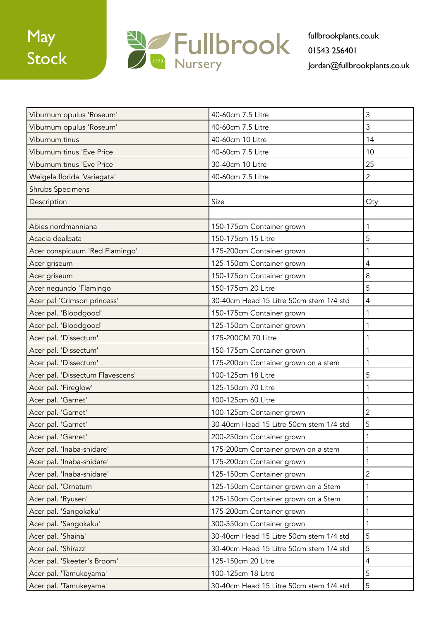

| Viburnum opulus 'Roseum'         | 40-60cm 7.5 Litre                       | 3              |
|----------------------------------|-----------------------------------------|----------------|
| Viburnum opulus 'Roseum'         | 40-60cm 7.5 Litre                       | 3              |
| Viburnum tinus                   | 40-60cm 10 Litre                        | 14             |
| Viburnum tinus 'Eve Price'       | 40-60cm 7.5 Litre                       | 10             |
| Viburnum tinus 'Eve Price'       | 30-40cm 10 Litre                        | 25             |
| Weigela florida 'Variegata'      | 40-60cm 7.5 Litre                       | $\overline{2}$ |
| <b>Shrubs Specimens</b>          |                                         |                |
| Description                      | Size                                    | Qty            |
|                                  |                                         |                |
| Abies nordmanniana               | 150-175cm Container grown               | 1              |
| Acacia dealbata                  | 150-175cm 15 Litre                      | 5              |
| Acer conspicuum 'Red Flamingo'   | 175-200cm Container grown               |                |
| Acer griseum                     | 125-150cm Container grown               | 4              |
| Acer griseum                     | 150-175cm Container grown               | 8              |
| Acer negundo 'Flamingo'          | 150-175cm 20 Litre                      | 5              |
| Acer pal 'Crimson princess'      | 30-40cm Head 15 Litre 50cm stem 1/4 std | 4              |
| Acer pal. 'Bloodgood'            | 150-175cm Container grown               | 1              |
| Acer pal. 'Bloodgood'            | 125-150cm Container grown               | 1              |
| Acer pal. 'Dissectum'            | 175-200CM 70 Litre                      |                |
| Acer pal. 'Dissectum'            | 150-175cm Container grown               | 1              |
| Acer pal. 'Dissectum'            | 175-200cm Container grown on a stem     |                |
| Acer pal. 'Dissectum Flavescens' | 100-125cm 18 Litre                      | 5              |
| Acer pal. 'Fireglow'             | 125-150cm 70 Litre                      | 1              |
| Acer pal. 'Garnet'               | 100-125cm 60 Litre                      | 1              |
| Acer pal. 'Garnet'               | 100-125cm Container grown               | $\overline{2}$ |
| Acer pal. 'Garnet'               | 30-40cm Head 15 Litre 50cm stem 1/4 std | 5              |
| Acer pal. 'Garnet'               | 200-250cm Container grown               | $\mathbf 1$    |
| Acer pal. 'Inaba-shidare'        | 175-200cm Container grown on a stem     | 1              |
| Acer pal. 'Inaba-shidare'        | 175-200cm Container grown               | 1              |
| Acer pal. 'Inaba-shidare'        | 125-150cm Container grown               | 2              |
| Acer pal. 'Ornatum'              | 125-150cm Container grown on a Stem     | 1              |
| Acer pal. 'Ryusen'               | 125-150cm Container grown on a Stem     | 1              |
| Acer pal. 'Sangokaku'            | 175-200cm Container grown               | 1              |
| Acer pal. 'Sangokaku'            | 300-350cm Container grown               | 1              |
| Acer pal. 'Shaina'               | 30-40cm Head 15 Litre 50cm stem 1/4 std | 5              |
| Acer pal. 'Shirazz'              | 30-40cm Head 15 Litre 50cm stem 1/4 std | 5              |
| Acer pal. 'Skeeter's Broom'      | 125-150cm 20 Litre                      | $\overline{4}$ |
| Acer pal. 'Tamukeyama'           | 100-125cm 18 Litre                      | 5              |
| Acer pal. 'Tamukeyama'           | 30-40cm Head 15 Litre 50cm stem 1/4 std | 5              |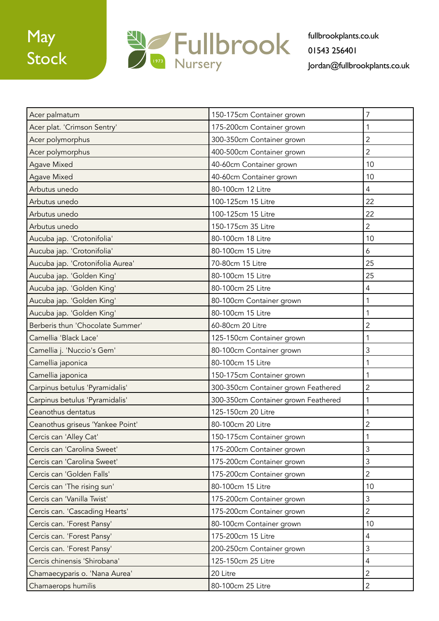

| Acer palmatum                    | 150-175cm Container grown           | $\overline{7}$   |
|----------------------------------|-------------------------------------|------------------|
| Acer plat. 'Crimson Sentry'      | 175-200cm Container grown           | $\mathbf{1}$     |
| Acer polymorphus                 | 300-350cm Container grown           | $\overline{2}$   |
| Acer polymorphus                 | 400-500cm Container grown           | $\overline{2}$   |
| <b>Agave Mixed</b>               | 40-60cm Container grown             | 10               |
| <b>Agave Mixed</b>               | 40-60cm Container grown             | 10               |
| Arbutus unedo                    | 80-100cm 12 Litre                   | $\overline{4}$   |
| Arbutus unedo                    | 100-125cm 15 Litre                  | 22               |
| Arbutus unedo                    | 100-125cm 15 Litre                  | 22               |
| Arbutus unedo                    | 150-175cm 35 Litre                  | $\overline{2}$   |
| Aucuba jap. 'Crotonifolia'       | 80-100cm 18 Litre                   | 10               |
| Aucuba jap. 'Crotonifolia'       | 80-100cm 15 Litre                   | $\boldsymbol{6}$ |
| Aucuba jap. 'Crotonifolia Aurea' | 70-80cm 15 Litre                    | 25               |
| Aucuba jap. 'Golden King'        | 80-100cm 15 Litre                   | 25               |
| Aucuba jap. 'Golden King'        | 80-100cm 25 Litre                   | $\overline{4}$   |
| Aucuba jap. 'Golden King'        | 80-100cm Container grown            | 1                |
| Aucuba jap. 'Golden King'        | 80-100cm 15 Litre                   | $\mathbf{1}$     |
| Berberis thun 'Chocolate Summer' | 60-80cm 20 Litre                    | $\overline{2}$   |
| Camellia 'Black Lace'            | 125-150cm Container grown           | 1                |
| Camellia j. 'Nuccio's Gem'       | 80-100cm Container grown            | 3                |
| Camellia japonica                | 80-100cm 15 Litre                   | 1                |
| Camellia japonica                | 150-175cm Container grown           | 1                |
| Carpinus betulus 'Pyramidalis'   | 300-350cm Container grown Feathered | $\overline{2}$   |
| Carpinus betulus 'Pyramidalis'   | 300-350cm Container grown Feathered | 1                |
| Ceanothus dentatus               | 125-150cm 20 Litre                  | 1                |
| Ceanothus griseus 'Yankee Point' | 80-100cm 20 Litre                   | $\overline{2}$   |
| Cercis can 'Alley Cat'           | 150-175cm Container grown           | 1                |
| Cercis can 'Carolina Sweet'      | 175-200cm Container grown           | 3                |
| Cercis can 'Carolina Sweet'      | 175-200cm Container grown           | $\mathfrak{Z}$   |
| Cercis can 'Golden Falls'        | 175-200cm Container grown           | $\overline{2}$   |
| Cercis can 'The rising sun'      | 80-100cm 15 Litre                   | 10               |
| Cercis can 'Vanilla Twist'       | 175-200cm Container grown           | $\mathfrak{Z}$   |
| Cercis can. 'Cascading Hearts'   | 175-200cm Container grown           | $\overline{2}$   |
| Cercis can. 'Forest Pansy'       | 80-100cm Container grown            | 10               |
| Cercis can. 'Forest Pansy'       | 175-200cm 15 Litre                  | $\overline{4}$   |
| Cercis can. 'Forest Pansy'       | 200-250cm Container grown           | $\mathfrak{Z}$   |
| Cercis chinensis 'Shirobana'     | 125-150cm 25 Litre                  | $\overline{4}$   |
| Chamaecyparis o. 'Nana Aurea'    | 20 Litre                            | $\overline{2}$   |
| Chamaerops humilis               | 80-100cm 25 Litre                   | $\overline{2}$   |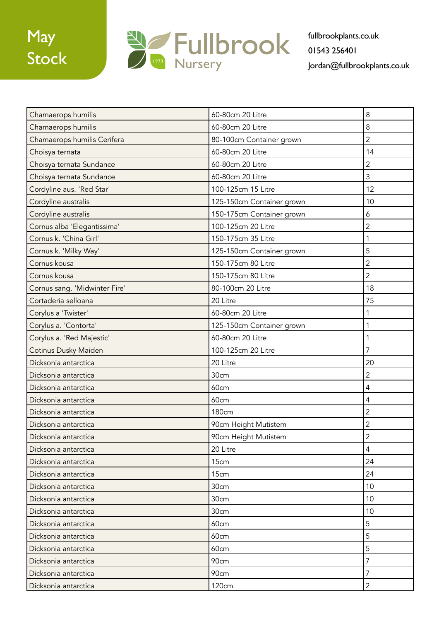

| Chamaerops humilis            | 60-80cm 20 Litre          | 8              |
|-------------------------------|---------------------------|----------------|
| Chamaerops humilis            | 60-80cm 20 Litre          | 8              |
| Chamaerops humilis Cerifera   | 80-100cm Container grown  | $\overline{2}$ |
| Choisya ternata               | 60-80cm 20 Litre          | 14             |
| Choisya ternata Sundance      | 60-80cm 20 Litre          | $\overline{2}$ |
| Choisya ternata Sundance      | 60-80cm 20 Litre          | 3              |
| Cordyline aus. 'Red Star'     | 100-125cm 15 Litre        | 12             |
| Cordyline australis           | 125-150cm Container grown | 10             |
| Cordyline australis           | 150-175cm Container grown | 6              |
| Cornus alba 'Elegantissima'   | 100-125cm 20 Litre        | $\overline{2}$ |
| Cornus k. 'China Girl'        | 150-175cm 35 Litre        | $\mathbf{1}$   |
| Cornus k. 'Milky Way'         | 125-150cm Container grown | 5              |
| Cornus kousa                  | 150-175cm 80 Litre        | $\overline{2}$ |
| Cornus kousa                  | 150-175cm 80 Litre        | $\overline{2}$ |
| Cornus sang. 'Midwinter Fire' | 80-100cm 20 Litre         | 18             |
| Cortaderia selloana           | 20 Litre                  | 75             |
| Corylus a 'Twister'           | 60-80cm 20 Litre          | $\mathbf 1$    |
| Corylus a. 'Contorta'         | 125-150cm Container grown | 1              |
| Corylus a. 'Red Majestic'     | 60-80cm 20 Litre          | 1              |
| Cotinus Dusky Maiden          | 100-125cm 20 Litre        | $\overline{7}$ |
| Dicksonia antarctica          | 20 Litre                  | 20             |
| Dicksonia antarctica          | 30cm                      | $\overline{2}$ |
| Dicksonia antarctica          | 60cm                      | $\overline{4}$ |
| Dicksonia antarctica          | 60cm                      | $\overline{4}$ |
| Dicksonia antarctica          | <b>180cm</b>              | $\overline{2}$ |
| Dicksonia antarctica          | 90cm Height Mutistem      | $\overline{2}$ |
| Dicksonia antarctica          | 90cm Height Mutistem      | $\mathbf 2$    |
| Dicksonia antarctica          | 20 Litre                  | 4              |
| Dicksonia antarctica          | 15cm                      | 24             |
| Dicksonia antarctica          | 15cm                      | 24             |
| Dicksonia antarctica          | 30cm                      | 10             |
| Dicksonia antarctica          | 30cm                      | 10             |
| Dicksonia antarctica          | 30cm                      | 10             |
| Dicksonia antarctica          | 60cm                      | 5              |
| Dicksonia antarctica          | 60cm                      | 5              |
| Dicksonia antarctica          | 60cm                      | 5              |
| Dicksonia antarctica          | 90cm                      | $\overline{7}$ |
| Dicksonia antarctica          | 90cm                      | 7              |
| Dicksonia antarctica          | 120cm                     | $\overline{2}$ |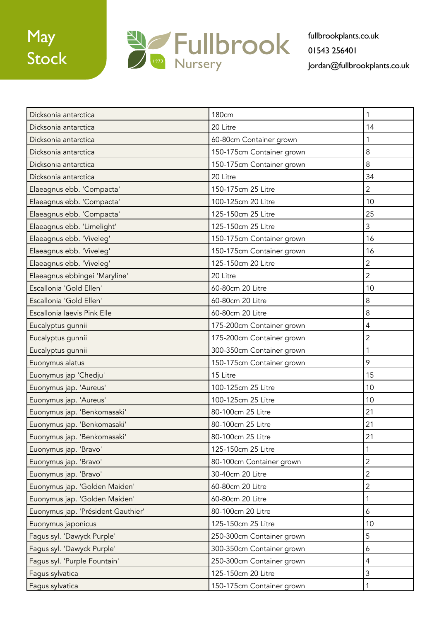

| Dicksonia antarctica               | <b>180cm</b>              |                |
|------------------------------------|---------------------------|----------------|
| Dicksonia antarctica               | 20 Litre                  | 14             |
| Dicksonia antarctica               | 60-80cm Container grown   | 1              |
| Dicksonia antarctica               | 150-175cm Container grown | 8              |
| Dicksonia antarctica               | 150-175cm Container grown | 8              |
| Dicksonia antarctica               | 20 Litre                  | 34             |
| Elaeagnus ebb. 'Compacta'          | 150-175cm 25 Litre        | $\overline{2}$ |
| Elaeagnus ebb. 'Compacta'          | 100-125cm 20 Litre        | 10             |
| Elaeagnus ebb. 'Compacta'          | 125-150cm 25 Litre        | 25             |
| Elaeagnus ebb. 'Limelight'         | 125-150cm 25 Litre        | 3              |
| Elaeagnus ebb. 'Viveleg'           | 150-175cm Container grown | 16             |
| Elaeagnus ebb. 'Viveleg'           | 150-175cm Container grown | 16             |
| Elaeagnus ebb. 'Viveleg'           | 125-150cm 20 Litre        | $\overline{2}$ |
| Elaeagnus ebbingei 'Maryline'      | 20 Litre                  | $\overline{2}$ |
| Escallonia 'Gold Ellen'            | 60-80cm 20 Litre          | 10             |
| Escallonia 'Gold Ellen'            | 60-80cm 20 Litre          | 8              |
| Escallonia laevis Pink Elle        | 60-80cm 20 Litre          | $\,8\,$        |
| Eucalyptus gunnii                  | 175-200cm Container grown | $\overline{4}$ |
| Eucalyptus gunnii                  | 175-200cm Container grown | $\overline{2}$ |
| Eucalyptus gunnii                  | 300-350cm Container grown | $\mathbf{1}$   |
| Euonymus alatus                    | 150-175cm Container grown | 9              |
| Euonymus jap 'Chedju'              | 15 Litre                  | 15             |
| Euonymus jap. 'Aureus'             | 100-125cm 25 Litre        | 10             |
| Euonymus jap. 'Aureus'             | 100-125cm 25 Litre        | 10             |
| Euonymus jap. 'Benkomasaki'        | 80-100cm 25 Litre         | 21             |
| Euonymus jap. 'Benkomasaki'        | 80-100cm 25 Litre         | 21             |
| Euonymus jap. 'Benkomasaki'        | 80-100cm 25 Litre         | 21             |
| Euonymus jap. 'Bravo'              | 125-150cm 25 Litre        | 1              |
| Euonymus jap. 'Bravo'              | 80-100cm Container grown  | $\overline{2}$ |
| Euonymus jap. 'Bravo'              | 30-40cm 20 Litre          | $\overline{2}$ |
| Euonymus jap. 'Golden Maiden'      | 60-80cm 20 Litre          | $\overline{2}$ |
| Euonymus jap. 'Golden Maiden'      | 60-80cm 20 Litre          | 1              |
| Euonymus jap. 'Président Gauthier' | 80-100cm 20 Litre         | 6              |
| Euonymus japonicus                 | 125-150cm 25 Litre        | 10             |
| Fagus syl. 'Dawyck Purple'         | 250-300cm Container grown | 5              |
| Fagus syl. 'Dawyck Purple'         | 300-350cm Container grown | 6              |
| Fagus syl. 'Purple Fountain'       | 250-300cm Container grown | $\overline{4}$ |
| Fagus sylvatica                    | 125-150cm 20 Litre        | $\mathfrak{Z}$ |
| Fagus sylvatica                    | 150-175cm Container grown | 1              |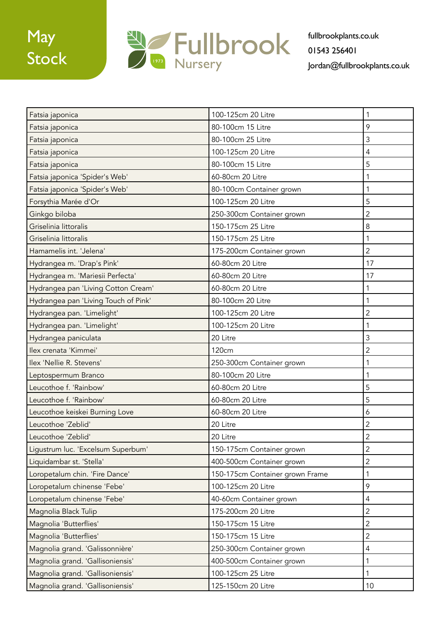

| Fatsia japonica                      | 100-125cm 20 Litre              | 1              |
|--------------------------------------|---------------------------------|----------------|
| Fatsia japonica                      | 80-100cm 15 Litre               | 9              |
| Fatsia japonica                      | 80-100cm 25 Litre               | 3              |
| Fatsia japonica                      | 100-125cm 20 Litre              | 4              |
| Fatsia japonica                      | 80-100cm 15 Litre               | 5              |
| Fatsia japonica 'Spider's Web'       | 60-80cm 20 Litre                | 1              |
| Fatsia japonica 'Spider's Web'       | 80-100cm Container grown        | 1              |
| Forsythia Marée d'Or                 | 100-125cm 20 Litre              | 5              |
| Ginkgo biloba                        | 250-300cm Container grown       | $\overline{2}$ |
| Griselinia littoralis                | 150-175cm 25 Litre              | 8              |
| Griselinia littoralis                | 150-175cm 25 Litre              | 1              |
| Hamamelis int. 'Jelena'              | 175-200cm Container grown       | $\overline{2}$ |
| Hydrangea m. 'Drap's Pink'           | 60-80cm 20 Litre                | 17             |
| Hydrangea m. 'Mariesii Perfecta'     | 60-80cm 20 Litre                | 17             |
| Hydrangea pan 'Living Cotton Cream'  | 60-80cm 20 Litre                | 1              |
| Hydrangea pan 'Living Touch of Pink' | 80-100cm 20 Litre               | 1              |
| Hydrangea pan. 'Limelight'           | 100-125cm 20 Litre              | $\overline{2}$ |
| Hydrangea pan. 'Limelight'           | 100-125cm 20 Litre              | 1              |
| Hydrangea paniculata                 | 20 Litre                        | 3              |
| Ilex crenata 'Kimmei'                | 120cm                           | $\overline{2}$ |
| Ilex 'Nellie R. Stevens'             | 250-300cm Container grown       | 1              |
| Leptospermum Branco                  | 80-100cm 20 Litre               | 1              |
| Leucothoe f. 'Rainbow'               | 60-80cm 20 Litre                | 5              |
| Leucothoe f. 'Rainbow'               | 60-80cm 20 Litre                | 5              |
| Leucothoe keiskei Burning Love       | 60-80cm 20 Litre                | 6              |
| Leucothoe 'Zeblid'                   | 20 Litre                        | $\overline{2}$ |
| Leucothoe 'Zeblid'                   | 20 Litre                        | $\overline{c}$ |
| Ligustrum luc. 'Excelsum Superbum'   | 150-175cm Container grown       | $\overline{2}$ |
| Liquidambar st. 'Stella'             | 400-500cm Container grown       | 2              |
| Loropetalum chin. 'Fire Dance'       | 150-175cm Container grown Frame | 1              |
| Loropetalum chinense 'Febe'          | 100-125cm 20 Litre              | 9              |
| Loropetalum chinense 'Febe'          | 40-60cm Container grown         | $\overline{4}$ |
| Magnolia Black Tulip                 | 175-200cm 20 Litre              | $\overline{2}$ |
| Magnolia 'Butterflies'               | 150-175cm 15 Litre              | $\overline{2}$ |
| Magnolia 'Butterflies'               | 150-175cm 15 Litre              | $\overline{2}$ |
| Magnolia grand. 'Galissonnière'      | 250-300cm Container grown       | $\overline{4}$ |
| Magnolia grand. 'Gallisoniensis'     | 400-500cm Container grown       | 1              |
| Magnolia grand. 'Gallisoniensis'     | 100-125cm 25 Litre              | 1              |
| Magnolia grand. 'Gallisoniensis'     | 125-150cm 20 Litre              | 10             |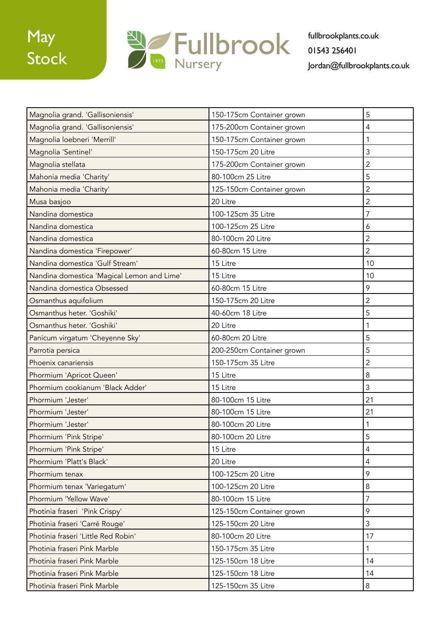

| Magnolia grand. 'Gallisoniensis'           | 150-175cm Container grown | 5              |
|--------------------------------------------|---------------------------|----------------|
| Magnolia grand. 'Gallisoniensis'           | 175-200cm Container grown | 4              |
| Magnolia loebneri 'Merrill'                | 150-175cm Container grown | 1              |
| Magnolia 'Sentinel'                        | 150-175cm 20 Litre        | 3              |
| Magnolia stellata                          | 175-200cm Container grown | $\overline{2}$ |
| Mahonia media 'Charity'                    | 80-100cm 25 Litre         | 5              |
| Mahonia media 'Charity'                    | 125-150cm Container grown | $\overline{2}$ |
| Musa basjoo                                | 20 Litre                  | $\overline{2}$ |
| Nandina domestica                          | 100-125cm 35 Litre        | 7              |
| Nandina domestica                          | 100-125cm 25 Litre        | 6              |
| Nandina domestica                          | 80-100cm 20 Litre         | $\overline{2}$ |
| Nandina domestica 'Firepower'              | 60-80cm 15 Litre          | $\overline{2}$ |
| Nandina domestica 'Gulf Stream'            | 15 Litre                  | 10             |
| Nandina domestica 'Magical Lemon and Lime' | 15 Litre                  | 10             |
| Nandina domestica Obsessed                 | 60-80cm 15 Litre          | 9              |
| Osmanthus aquifolium                       | 150-175cm 20 Litre        | $\overline{c}$ |
| Osmanthus heter. 'Goshiki'                 | 40-60cm 18 Litre          | 5              |
| Osmanthus heter. 'Goshiki'                 | 20 Litre                  | 1              |
| Panicum virgatum 'Cheyenne Sky'            | 60-80cm 20 Litre          | 5              |
| Parrotia persica                           | 200-250cm Container grown | 5              |
| Phoenix canariensis                        | 150-175cm 35 Litre        | $\overline{2}$ |
| Phormium 'Apricot Queen'                   | 15 Litre                  | 8              |
| Phormium cookianum 'Black Adder'           | 15 Litre                  | 3              |
| Phormium 'Jester'                          | 80-100cm 15 Litre         | 21             |
| Phormium 'Jester'                          | 80-100cm 15 Litre         | 21             |
| Phormium 'Jester'                          | 80-100cm 20 Litre         |                |
| Phormium 'Pink Stripe'                     | 80-100cm 20 Litre         | 5              |
| Phormium 'Pink Stripe'                     | 15 Litre                  | 4              |
| Phormium 'Platt's Black'                   | 20 Litre                  | $\overline{4}$ |
| Phormium tenax                             | 100-125cm 20 Litre        | 9              |
| Phormium tenax 'Variegatum'                | 100-125cm 20 Litre        | $\,8\,$        |
| Phormium 'Yellow Wave'                     | 80-100cm 15 Litre         | $\overline{7}$ |
| Photinia fraseri 'Pink Crispy'             | 125-150cm Container grown | 9              |
| Photinia fraseri 'Carré Rouge'             | 125-150cm 20 Litre        | $\mathfrak{Z}$ |
| Photinia fraseri 'Little Red Robin'        | 80-100cm 20 Litre         | 17             |
| Photinia fraseri Pink Marble               | 150-175cm 35 Litre        | 1              |
| Photinia fraseri Pink Marble               | 125-150cm 18 Litre        | 14             |
| Photinia fraseri Pink Marble               | 125-150cm 18 Litre        | 14             |
| Photinia fraseri Pink Marble               | 125-150cm 35 Litre        | 8              |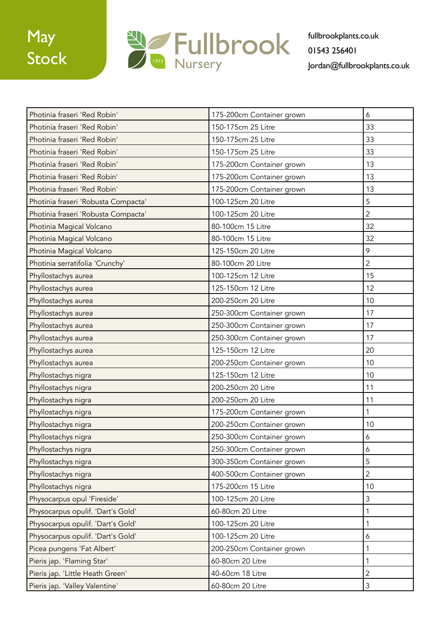

| Photinia fraseri 'Red Robin'        | 175-200cm Container grown | 6              |
|-------------------------------------|---------------------------|----------------|
| Photinia fraseri 'Red Robin'        | 150-175cm 25 Litre        | 33             |
| Photinia fraseri 'Red Robin'        | 150-175cm 25 Litre        | 33             |
| Photinia fraseri 'Red Robin'        | 150-175cm 25 Litre        | 33             |
| Photinia fraseri 'Red Robin'        | 175-200cm Container grown | 13             |
| Photinia fraseri 'Red Robin'        | 175-200cm Container grown | 13             |
| Photinia fraseri 'Red Robin'        | 175-200cm Container grown | 13             |
| Photinia fraseri 'Robusta Compacta' | 100-125cm 20 Litre        | 5              |
| Photinia fraseri 'Robusta Compacta' | 100-125cm 20 Litre        | $\overline{2}$ |
| Photinia Magical Volcano            | 80-100cm 15 Litre         | 32             |
| Photinia Magical Volcano            | 80-100cm 15 Litre         | 32             |
| Photinia Magical Volcano            | 125-150cm 20 Litre        | 9              |
| Photinia serratifolia 'Crunchy'     | 80-100cm 20 Litre         | $\overline{2}$ |
| Phyllostachys aurea                 | 100-125cm 12 Litre        | 15             |
| Phyllostachys aurea                 | 125-150cm 12 Litre        | 12             |
| Phyllostachys aurea                 | 200-250cm 20 Litre        | 10             |
| Phyllostachys aurea                 | 250-300cm Container grown | 17             |
| Phyllostachys aurea                 | 250-300cm Container grown | 17             |
| Phyllostachys aurea                 | 250-300cm Container grown | 17             |
| Phyllostachys aurea                 | 125-150cm 12 Litre        | 20             |
| Phyllostachys aurea                 | 200-250cm Container grown | 10             |
| Phyllostachys nigra                 | 125-150cm 12 Litre        | 10             |
| Phyllostachys nigra                 | 200-250cm 20 Litre        | 11             |
| Phyllostachys nigra                 | 200-250cm 20 Litre        | 11             |
| Phyllostachys nigra                 | 175-200cm Container grown | 1              |
| Phyllostachys nigra                 | 200-250cm Container grown | 10             |
| Phyllostachys nigra                 | 250-300cm Container grown | 6              |
| Phyllostachys nigra                 | 250-300cm Container grown | 6              |
| Phyllostachys nigra                 | 300-350cm Container grown | 5              |
| Phyllostachys nigra                 | 400-500cm Container grown | $\overline{2}$ |
| Phyllostachys nigra                 | 175-200cm 15 Litre        | 10             |
| Physocarpus opul 'Fireside'         | 100-125cm 20 Litre        | 3              |
| Physocarpus opulif. 'Dart's Gold'   | 60-80cm 20 Litre          | 1              |
| Physocarpus opulif. 'Dart's Gold'   | 100-125cm 20 Litre        | 1              |
| Physocarpus opulif. 'Dart's Gold'   | 100-125cm 20 Litre        | 6              |
| Picea pungens 'Fat Albert'          | 200-250cm Container grown | 1              |
| Pieris jap. 'Flaming Star'          | 60-80cm 20 Litre          | 1              |
| Pieris jap. 'Little Heath Green'    | 40-60cm 18 Litre          | $\overline{2}$ |
| Pieris jap. 'Valley Valentine'      | 60-80cm 20 Litre          | 3              |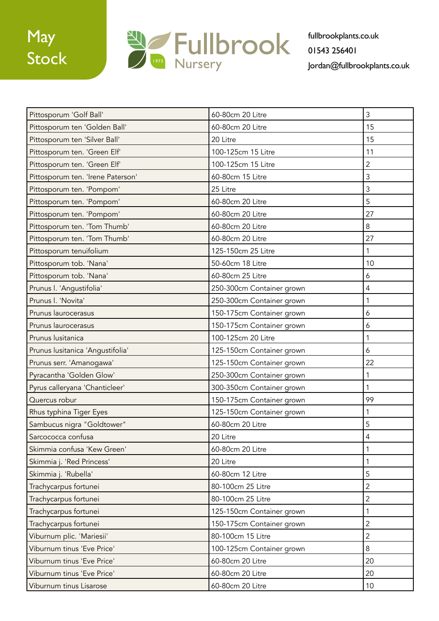

| Pittosporum 'Golf Ball'           | 60-80cm 20 Litre          | 3              |
|-----------------------------------|---------------------------|----------------|
| Pittosporum ten 'Golden Ball'     | 60-80cm 20 Litre          | 15             |
| Pittosporum ten 'Silver Ball'     | 20 Litre                  | 15             |
| Pittosporum ten. 'Green Elf'      | 100-125cm 15 Litre        | 11             |
| Pittosporum ten. 'Green Elf'      | 100-125cm 15 Litre        | 2              |
| Pittosporum ten. 'Irene Paterson' | 60-80cm 15 Litre          | 3              |
| Pittosporum ten. 'Pompom'         | 25 Litre                  | 3              |
| Pittosporum ten. 'Pompom'         | 60-80cm 20 Litre          | 5              |
| Pittosporum ten. 'Pompom'         | 60-80cm 20 Litre          | 27             |
| Pittosporum ten. 'Tom Thumb'      | 60-80cm 20 Litre          | 8              |
| Pittosporum ten. 'Tom Thumb'      | 60-80cm 20 Litre          | 27             |
| Pittosporum tenuifolium           | 125-150cm 25 Litre        | 1              |
| Pittosporum tob. 'Nana'           | 50-60cm 18 Litre          | 10             |
| Pittosporum tob. 'Nana'           | 60-80cm 25 Litre          | 6              |
| Prunus I. 'Angustifolia'          | 250-300cm Container grown | 4              |
| Prunus I. 'Novita'                | 250-300cm Container grown | 1              |
| Prunus laurocerasus               | 150-175cm Container grown | 6              |
| Prunus laurocerasus               | 150-175cm Container grown | 6              |
| Prunus lusitanica                 | 100-125cm 20 Litre        | 1              |
| Prunus lusitanica 'Angustifolia'  | 125-150cm Container grown | 6              |
| Prunus serr. 'Amanogawa'          | 125-150cm Container grown | 22             |
| Pyracantha 'Golden Glow'          | 250-300cm Container grown | 1              |
| Pyrus calleryana 'Chanticleer'    | 300-350cm Container grown | 1              |
| Quercus robur                     | 150-175cm Container grown | 99             |
| Rhus typhina Tiger Eyes           | 125-150cm Container grown | 1              |
| Sambucus nigra "Goldtower"        | 60-80cm 20 Litre          | 5              |
| Sarcococca confusa                | 20 Litre                  | 4              |
| Skimmia confusa 'Kew Green'       | 60-80cm 20 Litre          |                |
| Skimmia j. 'Red Princess'         | 20 Litre                  | 1              |
| Skimmia j. 'Rubella'              | 60-80cm 12 Litre          | 5              |
| Trachycarpus fortunei             | 80-100cm 25 Litre         | $\overline{2}$ |
| Trachycarpus fortunei             | 80-100cm 25 Litre         | $\overline{2}$ |
| Trachycarpus fortunei             | 125-150cm Container grown | 1              |
| Trachycarpus fortunei             | 150-175cm Container grown | $\overline{2}$ |
| Viburnum plic. 'Mariesii'         | 80-100cm 15 Litre         | $\overline{2}$ |
| Viburnum tinus 'Eve Price'        | 100-125cm Container grown | 8              |
| Viburnum tinus 'Eve Price'        | 60-80cm 20 Litre          | 20             |
| Viburnum tinus 'Eve Price'        | 60-80cm 20 Litre          | 20             |
| Viburnum tinus Lisarose           | 60-80cm 20 Litre          | 10             |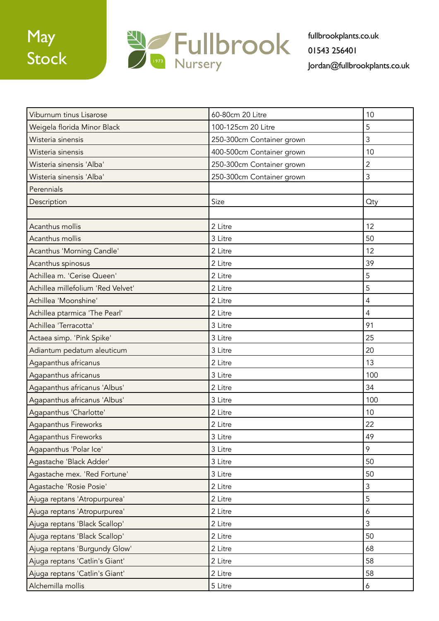

| Viburnum tinus Lisarose           | 60-80cm 20 Litre          | 10             |
|-----------------------------------|---------------------------|----------------|
| Weigela florida Minor Black       | 100-125cm 20 Litre        | 5              |
| Wisteria sinensis                 | 250-300cm Container grown | 3              |
| Wisteria sinensis                 | 400-500cm Container grown | 10             |
| Wisteria sinensis 'Alba'          | 250-300cm Container grown | $\overline{2}$ |
| Wisteria sinensis 'Alba'          | 250-300cm Container grown | 3              |
| Perennials                        |                           |                |
| Description                       | Size                      | <b>Qty</b>     |
|                                   |                           |                |
| Acanthus mollis                   | 2 Litre                   | 12             |
| Acanthus mollis                   | 3 Litre                   | 50             |
| Acanthus 'Morning Candle'         | 2 Litre                   | 12             |
| Acanthus spinosus                 | 2 Litre                   | 39             |
| Achillea m. 'Cerise Queen'        | 2 Litre                   | 5              |
| Achillea millefolium 'Red Velvet' | 2 Litre                   | 5              |
| Achillea 'Moonshine'              | 2 Litre                   | $\overline{4}$ |
| Achillea ptarmica 'The Pearl'     | 2 Litre                   | $\overline{4}$ |
| Achillea 'Terracotta'             | 3 Litre                   | 91             |
| Actaea simp. 'Pink Spike'         | 3 Litre                   | 25             |
| Adiantum pedatum aleuticum        | 3 Litre                   | 20             |
| Agapanthus africanus              | 2 Litre                   | 13             |
| Agapanthus africanus              | 3 Litre                   | 100            |
| Agapanthus africanus 'Albus'      | 2 Litre                   | 34             |
| Agapanthus africanus 'Albus'      | 3 Litre                   | 100            |
| Agapanthus 'Charlotte'            | 2 Litre                   | 10             |
| Agapanthus Fireworks              | 2 Litre                   | 22             |
| Agapanthus Fireworks              | 3 Litre                   | 49             |
| Agapanthus 'Polar Ice'            | 3 Litre                   | 9              |
| Agastache 'Black Adder'           | 3 Litre                   | 50             |
| Agastache mex. 'Red Fortune'      | 3 Litre                   | 50             |
| Agastache 'Rosie Posie'           | 2 Litre                   | $\mathfrak{Z}$ |
| Ajuga reptans 'Atropurpurea'      | 2 Litre                   | 5              |
| Ajuga reptans 'Atropurpurea'      | 2 Litre                   | 6              |
| Ajuga reptans 'Black Scallop'     | 2 Litre                   | $\mathfrak{Z}$ |
| Ajuga reptans 'Black Scallop'     | 2 Litre                   | 50             |
| Ajuga reptans 'Burgundy Glow'     | 2 Litre                   | 68             |
| Ajuga reptans 'Catlin's Giant'    | 2 Litre                   | 58             |
| Ajuga reptans 'Catlin's Giant'    | 2 Litre                   | 58             |
| Alchemilla mollis                 | 5 Litre                   | 6              |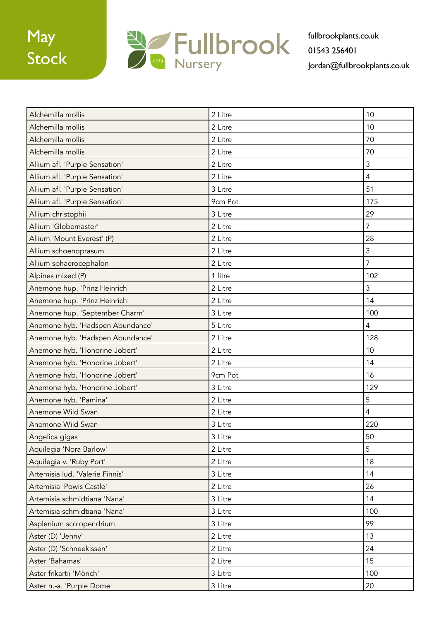

| Alchemilla mollis                | 2 Litre | 10             |
|----------------------------------|---------|----------------|
| Alchemilla mollis                | 2 Litre | 10             |
| Alchemilla mollis                | 2 Litre | 70             |
| Alchemilla mollis                | 2 Litre | 70             |
| Allium afl. 'Purple Sensation'   | 2 Litre | 3              |
| Allium afl. 'Purple Sensation'   | 2 Litre | $\overline{4}$ |
| Allium afl. 'Purple Sensation'   | 3 Litre | 51             |
| Allium afl. 'Purple Sensation'   | 9cm Pot | 175            |
| Allium christophii               | 3 Litre | 29             |
| Allium 'Globemaster'             | 2 Litre | $\overline{7}$ |
| Allium 'Mount Everest' (P)       | 2 Litre | 28             |
| Allium schoenoprasum             | 2 Litre | 3              |
| Allium sphaerocephalon           | 2 Litre | $\overline{7}$ |
| Alpines mixed (P)                | 1 litre | 102            |
| Anemone hup. 'Prinz Heinrich'    | 2 Litre | 3              |
| Anemone hup. 'Prinz Heinrich'    | 2 Litre | 14             |
| Anemone hup. 'September Charm'   | 3 Litre | 100            |
| Anemone hyb. 'Hadspen Abundance' | 5 Litre | 4              |
| Anemone hyb. 'Hadspen Abundance' | 2 Litre | 128            |
| Anemone hyb. 'Honorine Jobert'   | 2 Litre | 10             |
| Anemone hyb. 'Honorine Jobert'   | 2 Litre | 14             |
| Anemone hyb. 'Honorine Jobert'   | 9cm Pot | 16             |
| Anemone hyb. 'Honorine Jobert'   | 3 Litre | 129            |
| Anemone hyb. 'Pamina'            | 2 Litre | 5              |
| Anemone Wild Swan                | 2 Litre | $\overline{4}$ |
| Anemone Wild Swan                | 3 Litre | 220            |
| Angelica gigas                   | 3 Litre | 50             |
| Aquilegia 'Nora Barlow'          | 2 Litre | 5              |
| Aquilegia v. 'Ruby Port'         | 2 Litre | 18             |
| Artemisia lud. 'Valerie Finnis'  | 3 Litre | 14             |
| Artemisia 'Powis Castle'         | 2 Litre | 26             |
| Artemisia schmidtiana 'Nana'     | 3 Litre | 14             |
| Artemisia schmidtiana 'Nana'     | 3 Litre | 100            |
| Asplenium scolopendrium          | 3 Litre | 99             |
| Aster (D) 'Jenny'                | 2 Litre | 13             |
| Aster (D) 'Schneekissen'         | 2 Litre | 24             |
| Aster 'Bahamas'                  | 2 Litre | 15             |
| Aster frikartii 'Mönch'          | 3 Litre | 100            |
| Aster n.-a. 'Purple Dome'        | 3 Litre | 20             |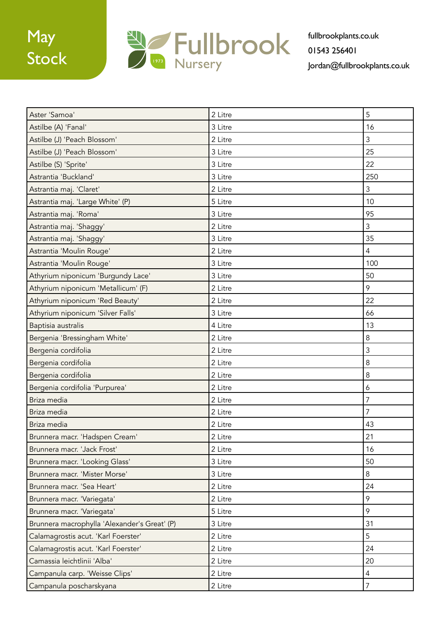

| Aster 'Samoa'                                | 2 Litre | 5              |
|----------------------------------------------|---------|----------------|
| Astilbe (A) 'Fanal'                          | 3 Litre | 16             |
| Astilbe (J) 'Peach Blossom'                  | 2 Litre | 3              |
| Astilbe (J) 'Peach Blossom'                  | 3 Litre | 25             |
| Astilbe (S) 'Sprite'                         | 3 Litre | 22             |
| Astrantia 'Buckland'                         | 3 Litre | 250            |
| Astrantia maj. 'Claret'                      | 2 Litre | 3              |
| Astrantia maj. 'Large White' (P)             | 5 Litre | 10             |
| Astrantia maj. 'Roma'                        | 3 Litre | 95             |
| Astrantia maj. 'Shaggy'                      | 2 Litre | 3              |
| Astrantia maj. 'Shaggy'                      | 3 Litre | 35             |
| Astrantia 'Moulin Rouge'                     | 2 Litre | $\overline{4}$ |
| Astrantia 'Moulin Rouge'                     | 3 Litre | 100            |
| Athyrium niponicum 'Burgundy Lace'           | 3 Litre | 50             |
| Athyrium niponicum 'Metallicum' (F)          | 2 Litre | 9              |
| Athyrium niponicum 'Red Beauty'              | 2 Litre | 22             |
| Athyrium niponicum 'Silver Falls'            | 3 Litre | 66             |
| Baptisia australis                           | 4 Litre | 13             |
| Bergenia 'Bressingham White'                 | 2 Litre | 8              |
| Bergenia cordifolia                          | 2 Litre | 3              |
| Bergenia cordifolia                          | 2 Litre | $\,8\,$        |
| Bergenia cordifolia                          | 2 Litre | 8              |
| Bergenia cordifolia 'Purpurea'               | 2 Litre | 6              |
| Briza media                                  | 2 Litre | $\overline{7}$ |
| Briza media                                  | 2 Litre | 7              |
| Briza media                                  | 2 Litre | 43             |
| Brunnera macr. 'Hadspen Cream'               | 2 Litre | 21             |
| Brunnera macr. 'Jack Frost'                  | 2 Litre | 16             |
| Brunnera macr. 'Looking Glass'               | 3 Litre | 50             |
| Brunnera macr. 'Mister Morse'                | 3 Litre | 8              |
| Brunnera macr. 'Sea Heart'                   | 2 Litre | 24             |
| Brunnera macr. 'Variegata'                   | 2 Litre | 9              |
| Brunnera macr. 'Variegata'                   | 5 Litre | 9              |
| Brunnera macrophylla 'Alexander's Great' (P) | 3 Litre | 31             |
| Calamagrostis acut. 'Karl Foerster'          | 2 Litre | 5              |
| Calamagrostis acut. 'Karl Foerster'          | 2 Litre | 24             |
| Camassia leichtlinii 'Alba'                  | 2 Litre | 20             |
| Campanula carp. 'Weisse Clips'               | 2 Litre | $\overline{4}$ |
| Campanula poscharskyana                      | 2 Litre | $\overline{7}$ |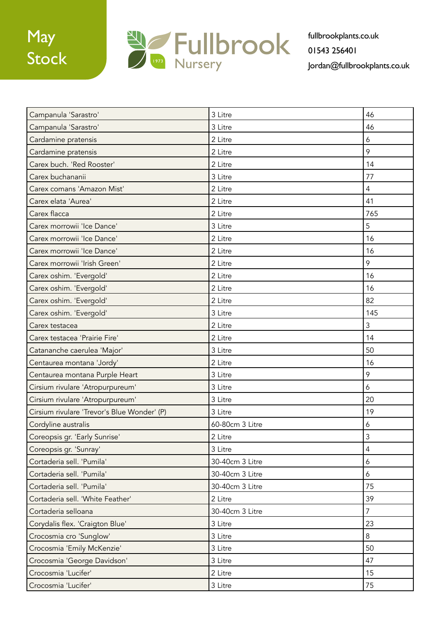

| Campanula 'Sarastro'                        | 3 Litre         | 46             |
|---------------------------------------------|-----------------|----------------|
| Campanula 'Sarastro'                        | 3 Litre         | 46             |
| Cardamine pratensis                         | 2 Litre         | 6              |
| Cardamine pratensis                         | 2 Litre         | 9              |
| Carex buch. 'Red Rooster'                   | 2 Litre         | 14             |
| Carex buchananii                            | 3 Litre         | 77             |
| Carex comans 'Amazon Mist'                  | 2 Litre         | $\overline{4}$ |
| Carex elata 'Aurea'                         | 2 Litre         | 41             |
| Carex flacca                                | 2 Litre         | 765            |
| Carex morrowii 'Ice Dance'                  | 3 Litre         | 5              |
| Carex morrowii 'Ice Dance'                  | 2 Litre         | 16             |
| Carex morrowii 'Ice Dance'                  | 2 Litre         | 16             |
| Carex morrowii 'Irish Green'                | 2 Litre         | 9              |
| Carex oshim. 'Evergold'                     | 2 Litre         | 16             |
| Carex oshim. 'Evergold'                     | 2 Litre         | 16             |
| Carex oshim. 'Evergold'                     | 2 Litre         | 82             |
| Carex oshim. 'Evergold'                     | 3 Litre         | 145            |
| Carex testacea                              | 2 Litre         | 3              |
| Carex testacea 'Prairie Fire'               | 2 Litre         | 14             |
| Catananche caerulea 'Major'                 | 3 Litre         | 50             |
| Centaurea montana 'Jordy'                   | 2 Litre         | 16             |
| Centaurea montana Purple Heart              | 3 Litre         | 9              |
| Cirsium rivulare 'Atropurpureum'            | 3 Litre         | 6              |
| Cirsium rivulare 'Atropurpureum'            | 3 Litre         | 20             |
| Cirsium rivulare 'Trevor's Blue Wonder' (P) | 3 Litre         | 19             |
| Cordyline australis                         | 60-80cm 3 Litre | 6              |
| Coreopsis gr. 'Early Sunrise'               | 2 Litre         | $\mathfrak{Z}$ |
| Coreopsis gr. 'Sunray'                      | 3 Litre         | $\overline{4}$ |
| Cortaderia sell. 'Pumila'                   | 30-40cm 3 Litre | $\overline{6}$ |
| Cortaderia sell. 'Pumila'                   | 30-40cm 3 Litre | 6              |
| Cortaderia sell. 'Pumila'                   | 30-40cm 3 Litre | 75             |
| Cortaderia sell. 'White Feather'            | 2 Litre         | 39             |
| Cortaderia selloana                         | 30-40cm 3 Litre | $\overline{7}$ |
| Corydalis flex. 'Craigton Blue'             | 3 Litre         | 23             |
| Crocosmia cro 'Sunglow'                     | 3 Litre         | 8              |
| Crocosmia 'Emily McKenzie'                  | 3 Litre         | 50             |
| Crocosmia 'George Davidson'                 | 3 Litre         | 47             |
| Crocosmia 'Lucifer'                         | 2 Litre         | 15             |
| Crocosmia 'Lucifer'                         | 3 Litre         | 75             |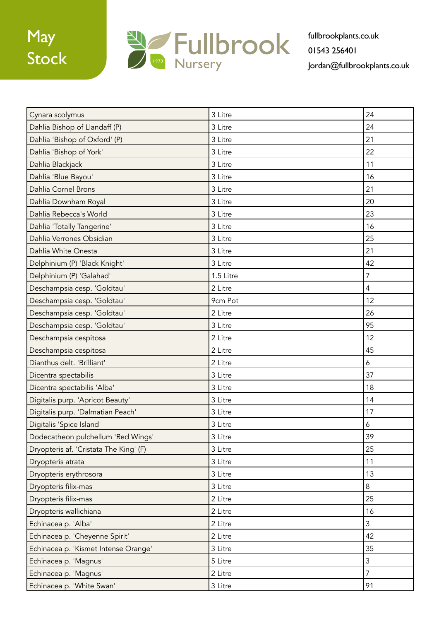

| Cynara scolymus                        | 3 Litre   | 24             |
|----------------------------------------|-----------|----------------|
| Dahlia Bishop of Llandaff (P)          | 3 Litre   | 24             |
| Dahlia 'Bishop of Oxford' (P)          | 3 Litre   | 21             |
| Dahlia 'Bishop of York'                | 3 Litre   | 22             |
| Dahlia Blackjack                       | 3 Litre   | 11             |
| Dahlia 'Blue Bayou'                    | 3 Litre   | 16             |
| Dahlia Cornel Brons                    | 3 Litre   | 21             |
| Dahlia Downham Royal                   | 3 Litre   | 20             |
| Dahlia Rebecca's World                 | 3 Litre   | 23             |
| Dahlia 'Totally Tangerine'             | 3 Litre   | 16             |
| Dahlia Verrones Obsidian               | 3 Litre   | 25             |
| Dahlia White Onesta                    | 3 Litre   | 21             |
| Delphinium (P) 'Black Knight'          | 3 Litre   | 42             |
| Delphinium (P) 'Galahad'               | 1.5 Litre | $\overline{7}$ |
| Deschampsia cesp. 'Goldtau'            | 2 Litre   | $\overline{4}$ |
| Deschampsia cesp. 'Goldtau'            | 9cm Pot   | 12             |
| Deschampsia cesp. 'Goldtau'            | 2 Litre   | 26             |
| Deschampsia cesp. 'Goldtau'            | 3 Litre   | 95             |
| Deschampsia cespitosa                  | 2 Litre   | 12             |
| Deschampsia cespitosa                  | 2 Litre   | 45             |
| Dianthus delt. 'Brilliant'             | 2 Litre   | 6              |
| Dicentra spectabilis                   | 3 Litre   | 37             |
| Dicentra spectabilis 'Alba'            | 3 Litre   | 18             |
| Digitalis purp. 'Apricot Beauty'       | 3 Litre   | 14             |
| Digitalis purp. 'Dalmatian Peach'      | 3 Litre   | 17             |
| Digitalis 'Spice Island'               | 3 Litre   | 6              |
| Dodecatheon pulchellum 'Red Wings'     | 3 Litre   | 39             |
| Dryopteris af. 'Cristata The King' (F) | 3 Litre   | 25             |
| Dryopteris atrata                      | 3 Litre   | 11             |
| Dryopteris erythrosora                 | 3 Litre   | 13             |
| Dryopteris filix-mas                   | 3 Litre   | $8\phantom{1}$ |
| Dryopteris filix-mas                   | 2 Litre   | 25             |
| Dryopteris wallichiana                 | 2 Litre   | 16             |
| Echinacea p. 'Alba'                    | 2 Litre   | 3              |
| Echinacea p. 'Cheyenne Spirit'         | 2 Litre   | 42             |
| Echinacea p. 'Kismet Intense Orange'   | 3 Litre   | 35             |
| Echinacea p. 'Magnus'                  | 5 Litre   | 3              |
| Echinacea p. 'Magnus'                  | 2 Litre   | $\overline{7}$ |
| Echinacea p. 'White Swan'              | 3 Litre   | 91             |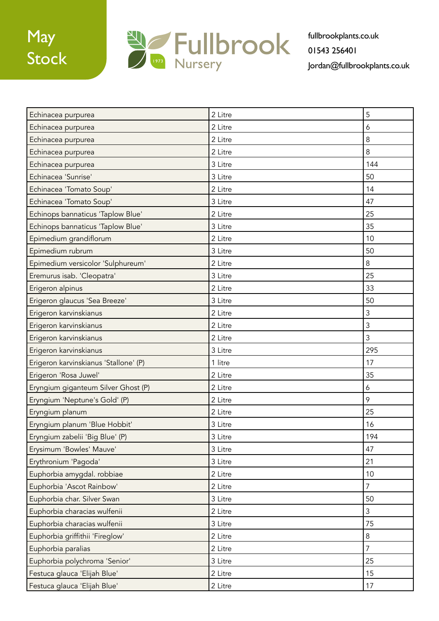

| Echinacea purpurea                    | 2 Litre | 5              |
|---------------------------------------|---------|----------------|
| Echinacea purpurea                    | 2 Litre | 6              |
| Echinacea purpurea                    | 2 Litre | 8              |
| Echinacea purpurea                    | 2 Litre | 8              |
| Echinacea purpurea                    | 3 Litre | 144            |
| Echinacea 'Sunrise'                   | 3 Litre | 50             |
| Echinacea 'Tomato Soup'               | 2 Litre | 14             |
| Echinacea 'Tomato Soup'               | 3 Litre | 47             |
| Echinops bannaticus 'Taplow Blue'     | 2 Litre | 25             |
| Echinops bannaticus 'Taplow Blue'     | 3 Litre | 35             |
| Epimedium grandiflorum                | 2 Litre | 10             |
| Epimedium rubrum                      | 3 Litre | 50             |
| Epimedium versicolor 'Sulphureum'     | 2 Litre | 8              |
| Eremurus isab. 'Cleopatra'            | 3 Litre | 25             |
| Erigeron alpinus                      | 2 Litre | 33             |
| Erigeron glaucus 'Sea Breeze'         | 3 Litre | 50             |
| Erigeron karvinskianus                | 2 Litre | $\mathsf 3$    |
| Erigeron karvinskianus                | 2 Litre | $\mathfrak{Z}$ |
| Erigeron karvinskianus                | 2 Litre | 3              |
| Erigeron karvinskianus                | 3 Litre | 295            |
| Erigeron karvinskianus 'Stallone' (P) | 1 litre | 17             |
| Erigeron 'Rosa Juwel'                 | 2 Litre | 35             |
| Eryngium giganteum Silver Ghost (P)   | 2 Litre | 6              |
| Eryngium 'Neptune's Gold' (P)         | 2 Litre | 9              |
| Eryngium planum                       | 2 Litre | 25             |
| Eryngium planum 'Blue Hobbit'         | 3 Litre | 16             |
| Eryngium zabelii 'Big Blue' (P)       | 3 Litre | 194            |
| Erysimum 'Bowles' Mauve'              | 3 Litre | 47             |
| Erythronium 'Pagoda'                  | 3 Litre | 21             |
| Euphorbia amygdal. robbiae            | 2 Litre | 10             |
| Euphorbia 'Ascot Rainbow'             | 2 Litre | $\overline{7}$ |
| Euphorbia char. Silver Swan           | 3 Litre | 50             |
| Euphorbia characias wulfenii          | 2 Litre | 3              |
| Euphorbia characias wulfenii          | 3 Litre | 75             |
| Euphorbia griffithii 'Fireglow'       | 2 Litre | $\,8\,$        |
| Euphorbia paralias                    | 2 Litre | $\overline{7}$ |
| Euphorbia polychroma 'Senior'         | 3 Litre | 25             |
| Festuca glauca 'Elijah Blue'          | 2 Litre | 15             |
| Festuca glauca 'Elijah Blue'          | 2 Litre | 17             |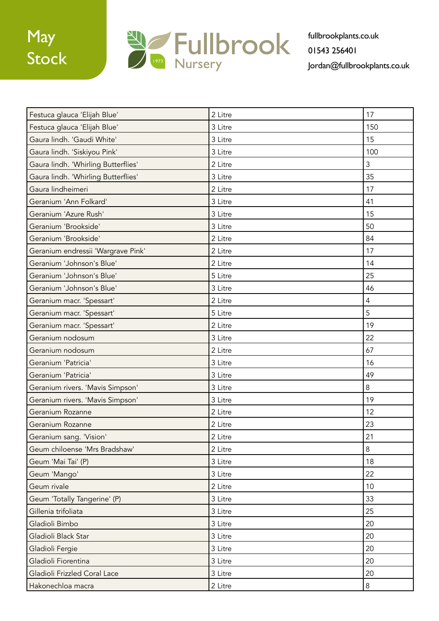

| Festuca glauca 'Elijah Blue'        | 2 Litre | 17             |
|-------------------------------------|---------|----------------|
| Festuca glauca 'Elijah Blue'        | 3 Litre | 150            |
| Gaura lindh. 'Gaudi White'          | 3 Litre | 15             |
| Gaura lindh. 'Siskiyou Pink'        | 3 Litre | 100            |
| Gaura lindh. 'Whirling Butterflies' | 2 Litre | 3              |
| Gaura lindh. 'Whirling Butterflies' | 3 Litre | 35             |
| Gaura lindheimeri                   | 2 Litre | 17             |
| Geranium 'Ann Folkard'              | 3 Litre | 41             |
| Geranium 'Azure Rush'               | 3 Litre | 15             |
| Geranium 'Brookside'                | 3 Litre | 50             |
| Geranium 'Brookside'                | 2 Litre | 84             |
| Geranium endressii 'Wargrave Pink'  | 2 Litre | 17             |
| Geranium 'Johnson's Blue'           | 2 Litre | 14             |
| Geranium 'Johnson's Blue'           | 5 Litre | 25             |
| Geranium 'Johnson's Blue'           | 3 Litre | 46             |
| Geranium macr. 'Spessart'           | 2 Litre | $\overline{4}$ |
| Geranium macr. 'Spessart'           | 5 Litre | 5              |
| Geranium macr. 'Spessart'           | 2 Litre | 19             |
| Geranium nodosum                    | 3 Litre | 22             |
| Geranium nodosum                    | 2 Litre | 67             |
| Geranium 'Patricia'                 | 3 Litre | 16             |
| Geranium 'Patricia'                 | 3 Litre | 49             |
| Geranium rivers. 'Mavis Simpson'    | 3 Litre | 8              |
| Geranium rivers. 'Mavis Simpson'    | 3 Litre | 19             |
| Geranium Rozanne                    | 2 Litre | 12             |
| Geranium Rozanne                    | 2 Litre | 23             |
| Geranium sang. 'Vision'             | 2 Litre | 21             |
| Geum chiloense 'Mrs Bradshaw'       | 2 Litre | 8              |
| Geum 'Mai Tai' (P)                  | 3 Litre | 18             |
| Geum 'Mango'                        | 3 Litre | 22             |
| Geum rivale                         | 2 Litre | 10             |
| Geum 'Totally Tangerine' (P)        | 3 Litre | 33             |
| Gillenia trifoliata                 | 3 Litre | 25             |
| Gladioli Bimbo                      | 3 Litre | 20             |
| Gladioli Black Star                 | 3 Litre | 20             |
| Gladioli Fergie                     | 3 Litre | 20             |
| Gladioli Fiorentina                 | 3 Litre | 20             |
| Gladioli Frizzled Coral Lace        | 3 Litre | 20             |
| Hakonechloa macra                   | 2 Litre | 8              |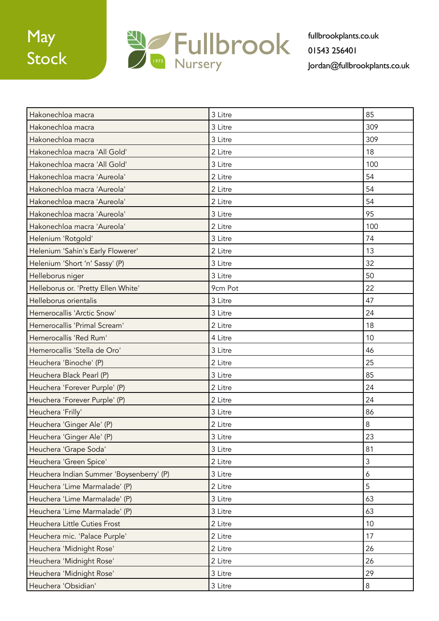

| Hakonechloa macra                        | 3 Litre | 85  |
|------------------------------------------|---------|-----|
| Hakonechloa macra                        | 3 Litre | 309 |
| Hakonechloa macra                        | 3 Litre | 309 |
| Hakonechloa macra 'All Gold'             | 2 Litre | 18  |
| Hakonechloa macra 'All Gold'             | 3 Litre | 100 |
| Hakonechloa macra 'Aureola'              | 2 Litre | 54  |
| Hakonechloa macra 'Aureola'              | 2 Litre | 54  |
| Hakonechloa macra 'Aureola'              | 2 Litre | 54  |
| Hakonechloa macra 'Aureola'              | 3 Litre | 95  |
| Hakonechloa macra 'Aureola'              | 2 Litre | 100 |
| Helenium 'Rotgold'                       | 3 Litre | 74  |
| Helenium 'Sahin's Early Flowerer'        | 2 Litre | 13  |
| Helenium 'Short 'n' Sassy' (P)           | 3 Litre | 32  |
| Helleborus niger                         | 3 Litre | 50  |
| Helleborus or. 'Pretty Ellen White'      | 9cm Pot | 22  |
| Helleborus orientalis                    | 3 Litre | 47  |
| Hemerocallis 'Arctic Snow'               | 3 Litre | 24  |
| Hemerocallis 'Primal Scream'             | 2 Litre | 18  |
| Hemerocallis 'Red Rum'                   | 4 Litre | 10  |
| Hemerocallis 'Stella de Oro'             | 3 Litre | 46  |
| Heuchera 'Binoche' (P)                   | 2 Litre | 25  |
| Heuchera Black Pearl (P)                 | 3 Litre | 85  |
| Heuchera 'Forever Purple' (P)            | 2 Litre | 24  |
| Heuchera 'Forever Purple' (P)            | 2 Litre | 24  |
| Heuchera 'Frilly'                        | 3 Litre | 86  |
| Heuchera 'Ginger Ale' (P)                | 2 Litre | 8   |
| Heuchera 'Ginger Ale' (P)                | 3 Litre | 23  |
| Heuchera 'Grape Soda'                    | 3 Litre | 81  |
| Heuchera 'Green Spice'                   | 2 Litre | 3   |
| Heuchera Indian Summer 'Boysenberry' (P) | 3 Litre | 6   |
| Heuchera 'Lime Marmalade' (P)            | 2 Litre | 5   |
| Heuchera 'Lime Marmalade' (P)            | 3 Litre | 63  |
| Heuchera 'Lime Marmalade' (P)            | 3 Litre | 63  |
| Heuchera Little Cuties Frost             | 2 Litre | 10  |
| Heuchera mic. 'Palace Purple'            | 2 Litre | 17  |
| Heuchera 'Midnight Rose'                 | 2 Litre | 26  |
| Heuchera 'Midnight Rose'                 | 2 Litre | 26  |
| Heuchera 'Midnight Rose'                 | 3 Litre | 29  |
| Heuchera 'Obsidian'                      | 3 Litre | 8   |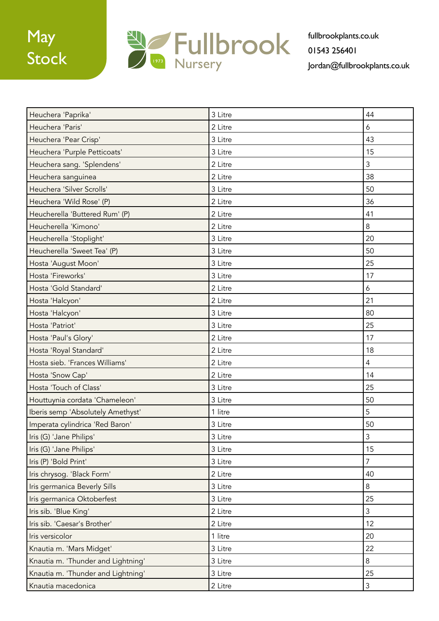

| Heuchera 'Paprika'                 | 3 Litre | 44             |
|------------------------------------|---------|----------------|
| Heuchera 'Paris'                   | 2 Litre | 6              |
| Heuchera 'Pear Crisp'              | 3 Litre | 43             |
| Heuchera 'Purple Petticoats'       | 3 Litre | 15             |
| Heuchera sang. 'Splendens'         | 2 Litre | $\mathfrak{Z}$ |
| Heuchera sanguinea                 | 2 Litre | 38             |
| Heuchera 'Silver Scrolls'          | 3 Litre | 50             |
| Heuchera 'Wild Rose' (P)           | 2 Litre | 36             |
| Heucherella 'Buttered Rum' (P)     | 2 Litre | 41             |
| Heucherella 'Kimono'               | 2 Litre | $\,8\,$        |
| Heucherella 'Stoplight'            | 3 Litre | 20             |
| Heucherella 'Sweet Tea' (P)        | 3 Litre | 50             |
| Hosta 'August Moon'                | 3 Litre | 25             |
| Hosta 'Fireworks'                  | 3 Litre | 17             |
| Hosta 'Gold Standard'              | 2 Litre | 6              |
| Hosta 'Halcyon'                    | 2 Litre | 21             |
| Hosta 'Halcyon'                    | 3 Litre | 80             |
| Hosta 'Patriot'                    | 3 Litre | 25             |
| Hosta 'Paul's Glory'               | 2 Litre | 17             |
| Hosta 'Royal Standard'             | 2 Litre | 18             |
| Hosta sieb. 'Frances Williams'     | 2 Litre | $\overline{4}$ |
| Hosta 'Snow Cap'                   | 2 Litre | 14             |
| Hosta 'Touch of Class'             | 3 Litre | 25             |
| Houttuynia cordata 'Chameleon'     | 3 Litre | 50             |
| Iberis semp 'Absolutely Amethyst'  | 1 litre | 5              |
| Imperata cylindrica 'Red Baron'    | 3 Litre | 50             |
| Iris (G) 'Jane Philips'            | 3 Litre | $\mathfrak{Z}$ |
| Iris (G) 'Jane Philips'            | 3 Litre | 15             |
| Iris (P) 'Bold Print'              | 3 Litre | $\overline{7}$ |
| Iris chrysog. 'Black Form'         | 2 Litre | 40             |
| Iris germanica Beverly Sills       | 3 Litre | $\,8\,$        |
| Iris germanica Oktoberfest         | 3 Litre | 25             |
| Iris sib. 'Blue King'              | 2 Litre | $\mathfrak{Z}$ |
| Iris sib. 'Caesar's Brother'       | 2 Litre | 12             |
| Iris versicolor                    | 1 litre | 20             |
| Knautia m. 'Mars Midget'           | 3 Litre | 22             |
| Knautia m. 'Thunder and Lightning' | 3 Litre | 8              |
| Knautia m. 'Thunder and Lightning' | 3 Litre | 25             |
| Knautia macedonica                 | 2 Litre | $\mathfrak{Z}$ |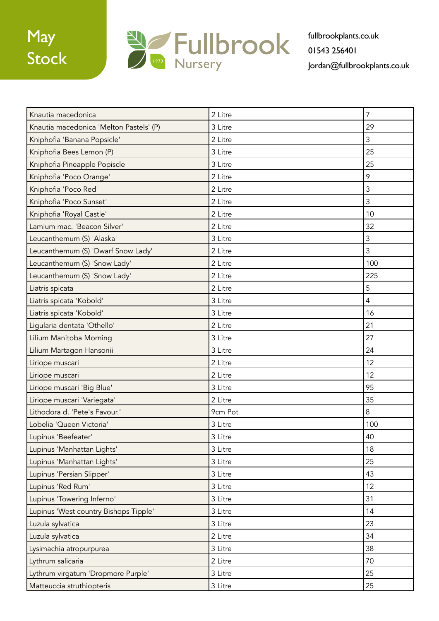

| Knautia macedonica                      | 2 Litre | $\overline{7}$ |
|-----------------------------------------|---------|----------------|
| Knautia macedonica 'Melton Pastels' (P) | 3 Litre | 29             |
| Kniphofia 'Banana Popsicle'             | 2 Litre | 3              |
| Kniphofia Bees Lemon (P)                | 3 Litre | 25             |
| Kniphofia Pineapple Popiscle            | 3 Litre | 25             |
| Kniphofia 'Poco Orange'                 | 2 Litre | 9              |
| Kniphofia 'Poco Red'                    | 2 Litre | $\mathsf 3$    |
| Kniphofia 'Poco Sunset'                 | 2 Litre | $\mathfrak{Z}$ |
| Kniphofia 'Royal Castle'                | 2 Litre | 10             |
| Lamium mac. 'Beacon Silver'             | 2 Litre | 32             |
| Leucanthemum (S) 'Alaska'               | 3 Litre | $\mathfrak{Z}$ |
| Leucanthemum (S) 'Dwarf Snow Lady'      | 2 Litre | $\mathfrak{Z}$ |
| Leucanthemum (S) 'Snow Lady'            | 2 Litre | 100            |
| Leucanthemum (S) 'Snow Lady'            | 2 Litre | 225            |
| Liatris spicata                         | 2 Litre | 5              |
| Liatris spicata 'Kobold'                | 3 Litre | $\overline{4}$ |
| Liatris spicata 'Kobold'                | 3 Litre | 16             |
| Ligularia dentata 'Othello'             | 2 Litre | 21             |
| Lilium Manitoba Morning                 | 3 Litre | 27             |
| Lilium Martagon Hansonii                | 3 Litre | 24             |
| Liriope muscari                         | 2 Litre | 12             |
| Liriope muscari                         | 2 Litre | 12             |
| Liriope muscari 'Big Blue'              | 3 Litre | 95             |
| Liriope muscari 'Variegata'             | 2 Litre | 35             |
| Lithodora d. 'Pete's Favour.'           | 9cm Pot | 8              |
| Lobelia 'Queen Victoria'                | 3 Litre | 100            |
| Lupinus 'Beefeater'                     | 3 Litre | 40             |
| Lupinus 'Manhattan Lights'              | 3 Litre | 18             |
| Lupinus 'Manhattan Lights'              | 3 Litre | 25             |
| Lupinus 'Persian Slipper'               | 3 Litre | 43             |
| Lupinus 'Red Rum'                       | 3 Litre | 12             |
| Lupinus 'Towering Inferno'              | 3 Litre | 31             |
| Lupinus 'West country Bishops Tipple'   | 3 Litre | 14             |
| Luzula sylvatica                        | 3 Litre | 23             |
| Luzula sylvatica                        | 2 Litre | 34             |
| Lysimachia atropurpurea                 | 3 Litre | 38             |
| Lythrum salicaria                       | 2 Litre | 70             |
| Lythrum virgatum 'Dropmore Purple'      | 3 Litre | 25             |
| Matteuccia struthiopteris               | 3 Litre | 25             |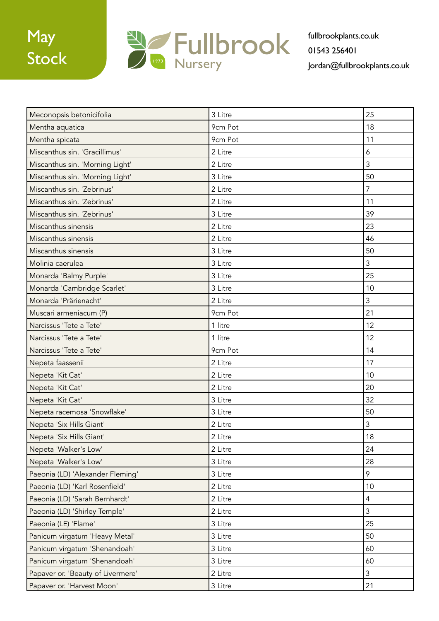

| Meconopsis betonicifolia          | 3 Litre | 25             |
|-----------------------------------|---------|----------------|
| Mentha aquatica                   | 9cm Pot | 18             |
| Mentha spicata                    | 9cm Pot | 11             |
| Miscanthus sin. 'Gracillimus'     | 2 Litre | 6              |
| Miscanthus sin. 'Morning Light'   | 2 Litre | $\mathfrak{Z}$ |
| Miscanthus sin. 'Morning Light'   | 3 Litre | 50             |
| Miscanthus sin. 'Zebrinus'        | 2 Litre | $\overline{7}$ |
| Miscanthus sin. 'Zebrinus'        | 2 Litre | 11             |
| Miscanthus sin. 'Zebrinus'        | 3 Litre | 39             |
| Miscanthus sinensis               | 2 Litre | 23             |
| Miscanthus sinensis               | 2 Litre | 46             |
| Miscanthus sinensis               | 3 Litre | 50             |
| Molinia caerulea                  | 3 Litre | $\mathfrak{Z}$ |
| Monarda 'Balmy Purple'            | 3 Litre | 25             |
| Monarda 'Cambridge Scarlet'       | 3 Litre | 10             |
| Monarda 'Prärienacht'             | 2 Litre | $\mathfrak{Z}$ |
| Muscari armeniacum (P)            | 9cm Pot | 21             |
| Narcissus 'Tete a Tete'           | 1 litre | 12             |
| Narcissus 'Tete a Tete'           | 1 litre | 12             |
| Narcissus 'Tete a Tete'           | 9cm Pot | 14             |
| Nepeta faassenii                  | 2 Litre | 17             |
| Nepeta 'Kit Cat'                  | 2 Litre | 10             |
| Nepeta 'Kit Cat'                  | 2 Litre | 20             |
| Nepeta 'Kit Cat'                  | 3 Litre | 32             |
| Nepeta racemosa 'Snowflake'       | 3 Litre | 50             |
| Nepeta 'Six Hills Giant'          | 2 Litre | $\mathfrak{Z}$ |
| Nepeta 'Six Hills Giant'          | 2 Litre | 18             |
| Nepeta 'Walker's Low'             | 2 Litre | 24             |
| Nepeta 'Walker's Low'             | 3 Litre | 28             |
| Paeonia (LD) 'Alexander Fleming'  | 3 Litre | 9              |
| Paeonia (LD) 'Karl Rosenfield'    | 2 Litre | 10             |
| Paeonia (LD) 'Sarah Bernhardt'    | 2 Litre | $\overline{4}$ |
| Paeonia (LD) 'Shirley Temple'     | 2 Litre | $\overline{3}$ |
| Paeonia (LE) 'Flame'              | 3 Litre | 25             |
| Panicum virgatum 'Heavy Metal'    | 3 Litre | 50             |
| Panicum virgatum 'Shenandoah'     | 3 Litre | 60             |
| Panicum virgatum 'Shenandoah'     | 3 Litre | 60             |
| Papaver or. 'Beauty of Livermere' | 2 Litre | $\mathfrak{Z}$ |
| Papaver or. 'Harvest Moon'        | 3 Litre | 21             |
|                                   |         |                |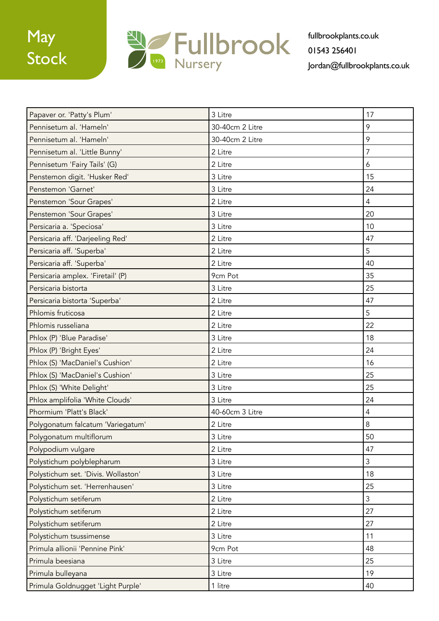

| Papaver or. 'Patty's Plum'          | 3 Litre         | 17             |
|-------------------------------------|-----------------|----------------|
| Pennisetum al. 'Hameln'             | 30-40cm 2 Litre | 9              |
| Pennisetum al. 'Hameln'             | 30-40cm 2 Litre | 9              |
| Pennisetum al. 'Little Bunny'       | 2 Litre         | $\overline{7}$ |
| Pennisetum 'Fairy Tails' (G)        | 2 Litre         | 6              |
| Penstemon digit. 'Husker Red'       | 3 Litre         | 15             |
| Penstemon 'Garnet'                  | 3 Litre         | 24             |
| Penstemon 'Sour Grapes'             | 2 Litre         | $\overline{4}$ |
| Penstemon 'Sour Grapes'             | 3 Litre         | 20             |
| Persicaria a. 'Speciosa'            | 3 Litre         | 10             |
| Persicaria aff. 'Darjeeling Red'    | 2 Litre         | 47             |
| Persicaria aff. 'Superba'           | 2 Litre         | 5              |
| Persicaria aff. 'Superba'           | 2 Litre         | 40             |
| Persicaria amplex. 'Firetail' (P)   | 9cm Pot         | 35             |
| Persicaria bistorta                 | 3 Litre         | 25             |
| Persicaria bistorta 'Superba'       | 2 Litre         | 47             |
| Phlomis fruticosa                   | 2 Litre         | 5              |
| Phlomis russeliana                  | 2 Litre         | 22             |
| Phlox (P) 'Blue Paradise'           | 3 Litre         | 18             |
| Phlox (P) 'Bright Eyes'             | 2 Litre         | 24             |
| Phlox (S) 'MacDaniel's Cushion'     | 2 Litre         | 16             |
| Phlox (S) 'MacDaniel's Cushion'     | 3 Litre         | 25             |
| Phlox (S) 'White Delight'           | 3 Litre         | 25             |
| Phlox amplifolia 'White Clouds'     | 3 Litre         | 24             |
| Phormium 'Platt's Black'            | 40-60cm 3 Litre | 4              |
| Polygonatum falcatum 'Variegatum'   | 2 Litre         | $\,8\,$        |
| Polygonatum multiflorum             | 3 Litre         | 50             |
| Polypodium vulgare                  | 2 Litre         | 47             |
| Polystichum polyblepharum           | 3 Litre         | 3              |
| Polystichum set. 'Divis. Wollaston' | 3 Litre         | 18             |
| Polystichum set. 'Herrenhausen'     | 3 Litre         | 25             |
| Polystichum setiferum               | 2 Litre         | $\mathfrak{Z}$ |
| Polystichum setiferum               | 2 Litre         | 27             |
| Polystichum setiferum               | 2 Litre         | 27             |
| Polystichum tsussimense             | 3 Litre         | 11             |
| Primula allionii 'Pennine Pink'     | 9cm Pot         | 48             |
| Primula beesiana                    | 3 Litre         | 25             |
| Primula bulleyana                   | 3 Litre         | 19             |
| Primula Goldnugget 'Light Purple'   | 1 litre         | 40             |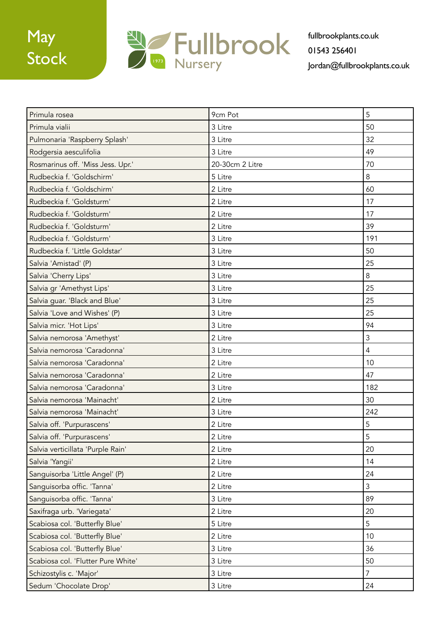

| Primula rosea                      | 9cm Pot         | 5              |
|------------------------------------|-----------------|----------------|
| Primula vialii                     | 3 Litre         | 50             |
| Pulmonaria 'Raspberry Splash'      | 3 Litre         | 32             |
| Rodgersia aesculifolia             | 3 Litre         | 49             |
| Rosmarinus off. 'Miss Jess. Upr.'  | 20-30cm 2 Litre | 70             |
| Rudbeckia f. 'Goldschirm'          | 5 Litre         | 8              |
| Rudbeckia f. 'Goldschirm'          | 2 Litre         | 60             |
| Rudbeckia f. 'Goldsturm'           | 2 Litre         | 17             |
| Rudbeckia f. 'Goldsturm'           | 2 Litre         | 17             |
| Rudbeckia f. 'Goldsturm'           | 2 Litre         | 39             |
| Rudbeckia f. 'Goldsturm'           | 3 Litre         | 191            |
| Rudbeckia f. 'Little Goldstar'     | 3 Litre         | 50             |
| Salvia 'Amistad' (P)               | 3 Litre         | 25             |
| Salvia 'Cherry Lips'               | 3 Litre         | 8              |
| Salvia gr 'Amethyst Lips'          | 3 Litre         | 25             |
| Salvia guar. 'Black and Blue'      | 3 Litre         | 25             |
| Salvia 'Love and Wishes' (P)       | 3 Litre         | 25             |
| Salvia micr. 'Hot Lips'            | 3 Litre         | 94             |
| Salvia nemorosa 'Amethyst'         | 2 Litre         | 3              |
| Salvia nemorosa 'Caradonna'        | 3 Litre         | $\overline{4}$ |
| Salvia nemorosa 'Caradonna'        | 2 Litre         | 10             |
| Salvia nemorosa 'Caradonna'        | 2 Litre         | 47             |
| Salvia nemorosa 'Caradonna'        | 3 Litre         | 182            |
| Salvia nemorosa 'Mainacht'         | 2 Litre         | 30             |
| Salvia nemorosa 'Mainacht'         | 3 Litre         | 242            |
| Salvia off. 'Purpurascens'         | 2 Litre         | 5              |
| Salvia off. 'Purpurascens'         | 2 Litre         | 5              |
| Salvia verticillata 'Purple Rain'  | 2 Litre         | 20             |
| Salvia 'Yangii'                    | 2 Litre         | 14             |
| Sanguisorba 'Little Angel' (P)     | 2 Litre         | 24             |
| Sanguisorba offic. 'Tanna'         | 2 Litre         | $\mathfrak{Z}$ |
| Sanguisorba offic. 'Tanna'         | 3 Litre         | 89             |
| Saxifraga urb. 'Variegata'         | 2 Litre         | 20             |
| Scabiosa col. 'Butterfly Blue'     | 5 Litre         | 5              |
| Scabiosa col. 'Butterfly Blue'     | 2 Litre         | 10             |
| Scabiosa col. 'Butterfly Blue'     | 3 Litre         | 36             |
| Scabiosa col. 'Flutter Pure White' | 3 Litre         | 50             |
| Schizostylis c. 'Major'            | 3 Litre         | $\overline{7}$ |
| Sedum 'Chocolate Drop'             | 3 Litre         | 24             |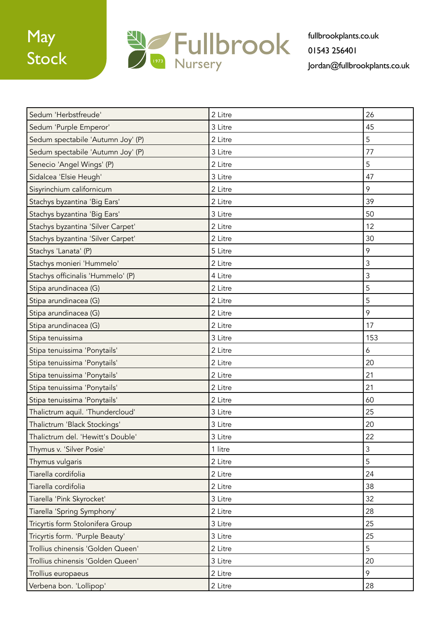

| Sedum 'Herbstfreude'              | 2 Litre | 26  |
|-----------------------------------|---------|-----|
| Sedum 'Purple Emperor'            | 3 Litre | 45  |
| Sedum spectabile 'Autumn Joy' (P) | 2 Litre | 5   |
| Sedum spectabile 'Autumn Joy' (P) | 3 Litre | 77  |
| Senecio 'Angel Wings' (P)         | 2 Litre | 5   |
| Sidalcea 'Elsie Heugh'            | 3 Litre | 47  |
| Sisyrinchium californicum         | 2 Litre | 9   |
| Stachys byzantina 'Big Ears'      | 2 Litre | 39  |
| Stachys byzantina 'Big Ears'      | 3 Litre | 50  |
| Stachys byzantina 'Silver Carpet' | 2 Litre | 12  |
| Stachys byzantina 'Silver Carpet' | 2 Litre | 30  |
| Stachys 'Lanata' (P)              | 5 Litre | 9   |
| Stachys monieri 'Hummelo'         | 2 Litre | 3   |
| Stachys officinalis 'Hummelo' (P) | 4 Litre | 3   |
| Stipa arundinacea (G)             | 2 Litre | 5   |
| Stipa arundinacea (G)             | 2 Litre | 5   |
| Stipa arundinacea (G)             | 2 Litre | 9   |
| Stipa arundinacea (G)             | 2 Litre | 17  |
| Stipa tenuissima                  | 3 Litre | 153 |
| Stipa tenuissima 'Ponytails'      | 2 Litre | 6   |
| Stipa tenuissima 'Ponytails'      | 2 Litre | 20  |
| Stipa tenuissima 'Ponytails'      | 2 Litre | 21  |
| Stipa tenuissima 'Ponytails'      | 2 Litre | 21  |
| Stipa tenuissima 'Ponytails'      | 2 Litre | 60  |
| Thalictrum aquil. 'Thundercloud'  | 3 Litre | 25  |
| Thalictrum 'Black Stockings'      | 3 Litre | 20  |
| Thalictrum del. 'Hewitt's Double' | 3 Litre | 22  |
| Thymus v. 'Silver Posie'          | 1 litre | 3   |
| Thymus vulgaris                   | 2 Litre | 5   |
| Tiarella cordifolia               | 2 Litre | 24  |
| Tiarella cordifolia               | 2 Litre | 38  |
| Tiarella 'Pink Skyrocket'         | 3 Litre | 32  |
| Tiarella 'Spring Symphony'        | 2 Litre | 28  |
| Tricyrtis form Stolonifera Group  | 3 Litre | 25  |
| Tricyrtis form. 'Purple Beauty'   | 3 Litre | 25  |
| Trollius chinensis 'Golden Queen' | 2 Litre | 5   |
| Trollius chinensis 'Golden Queen' | 3 Litre | 20  |
| Trollius europaeus                | 2 Litre | 9   |
| Verbena bon. 'Lollipop'           | 2 Litre | 28  |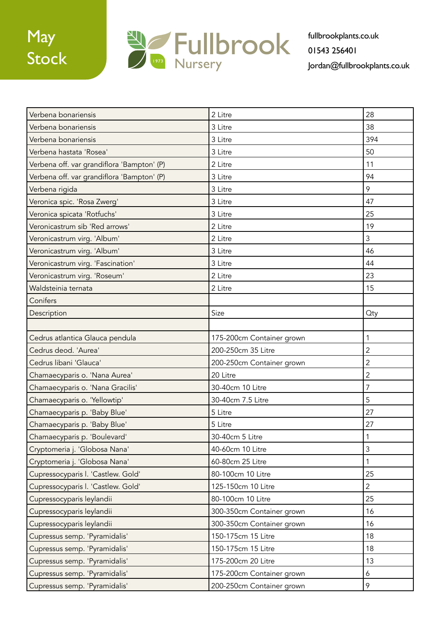

| Verbena bonariensis                        | 2 Litre                   | 28             |
|--------------------------------------------|---------------------------|----------------|
| Verbena bonariensis                        | 3 Litre                   | 38             |
| Verbena bonariensis                        | 3 Litre                   | 394            |
| Verbena hastata 'Rosea'                    | 3 Litre                   | 50             |
| Verbena off. var grandiflora 'Bampton' (P) | 2 Litre                   | 11             |
| Verbena off. var grandiflora 'Bampton' (P) | 3 Litre                   | 94             |
| Verbena rigida                             | 3 Litre                   | 9              |
| Veronica spic. 'Rosa Zwerg'                | 3 Litre                   | 47             |
| Veronica spicata 'Rotfuchs'                | 3 Litre                   | 25             |
| Veronicastrum sib 'Red arrows'             | 2 Litre                   | 19             |
| Veronicastrum virg. 'Album'                | 2 Litre                   | 3              |
| Veronicastrum virg. 'Album'                | 3 Litre                   | 46             |
| Veronicastrum virg. 'Fascination'          | 3 Litre                   | 44             |
| Veronicastrum virg. 'Roseum'               | 2 Litre                   | 23             |
| Waldsteinia ternata                        | 2 Litre                   | 15             |
| Conifers                                   |                           |                |
| Description                                | Size                      | <b>Oty</b>     |
|                                            |                           |                |
| Cedrus atlantica Glauca pendula            | 175-200cm Container grown | 1              |
| Cedrus deod. 'Aurea'                       | 200-250cm 35 Litre        | $\overline{2}$ |
| Cedrus libani 'Glauca'                     | 200-250cm Container grown | $\overline{2}$ |
| Chamaecyparis o. 'Nana Aurea'              | 20 Litre                  | $\overline{2}$ |
| Chamaecyparis o. 'Nana Gracilis'           | 30-40cm 10 Litre          | 7              |
| Chamaecyparis o. 'Yellowtip'               | 30-40cm 7.5 Litre         | 5              |
| Chamaecyparis p. 'Baby Blue'               | 5 Litre                   | 27             |
| Chamaecyparis p. 'Baby Blue'               | 5 Litre                   | 27             |
| Chamaecyparis p. 'Boulevard'               | 30-40cm 5 Litre           | $\mathbf{1}$   |
| Cryptomeria j. 'Globosa Nana'              | 40-60cm 10 Litre          | 3              |
| Cryptomeria j. 'Globosa Nana'              | 60-80cm 25 Litre          | $\mathbf{1}$   |
| Cupressocyparis I. 'Castlew. Gold'         | 80-100cm 10 Litre         | 25             |
| Cupressocyparis I. 'Castlew. Gold'         | 125-150cm 10 Litre        | $\overline{2}$ |
| Cupressocyparis leylandii                  | 80-100cm 10 Litre         | 25             |
| Cupressocyparis leylandii                  | 300-350cm Container grown | 16             |
| Cupressocyparis leylandii                  | 300-350cm Container grown | 16             |
| Cupressus semp. 'Pyramidalis'              | 150-175cm 15 Litre        | 18             |
| Cupressus semp. 'Pyramidalis'              | 150-175cm 15 Litre        | 18             |
| Cupressus semp. 'Pyramidalis'              | 175-200cm 20 Litre        | 13             |
| Cupressus semp. 'Pyramidalis'              | 175-200cm Container grown | 6              |
| Cupressus semp. 'Pyramidalis'              | 200-250cm Container grown | 9              |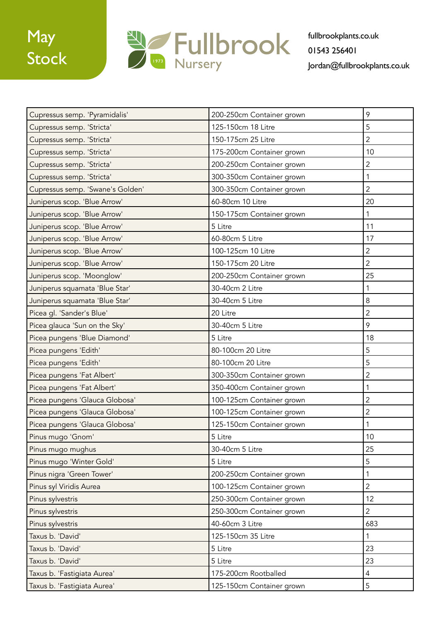

| Cupressus semp. 'Pyramidalis'    | 200-250cm Container grown | 9              |
|----------------------------------|---------------------------|----------------|
| Cupressus semp. 'Stricta'        | 125-150cm 18 Litre        | 5              |
| Cupressus semp. 'Stricta'        | 150-175cm 25 Litre        | $\overline{2}$ |
| Cupressus semp. 'Stricta'        | 175-200cm Container grown | 10             |
| Cupressus semp. 'Stricta'        | 200-250cm Container grown | 2              |
| Cupressus semp. 'Stricta'        | 300-350cm Container grown | 1              |
| Cupressus semp. 'Swane's Golden' | 300-350cm Container grown | $\overline{2}$ |
| Juniperus scop. 'Blue Arrow'     | 60-80cm 10 Litre          | 20             |
| Juniperus scop. 'Blue Arrow'     | 150-175cm Container grown | 1              |
| Juniperus scop. 'Blue Arrow'     | 5 Litre                   | 11             |
| Juniperus scop. 'Blue Arrow'     | 60-80cm 5 Litre           | 17             |
| Juniperus scop. 'Blue Arrow'     | 100-125cm 10 Litre        | $\overline{2}$ |
| Juniperus scop. 'Blue Arrow'     | 150-175cm 20 Litre        | $\overline{2}$ |
| Juniperus scop. 'Moonglow'       | 200-250cm Container grown | 25             |
| Juniperus squamata 'Blue Star'   | 30-40cm 2 Litre           | 1              |
| Juniperus squamata 'Blue Star'   | 30-40cm 5 Litre           | 8              |
| Picea gl. 'Sander's Blue'        | 20 Litre                  | 2              |
| Picea glauca 'Sun on the Sky'    | 30-40cm 5 Litre           | 9              |
| Picea pungens 'Blue Diamond'     | 5 Litre                   | 18             |
| Picea pungens 'Edith'            | 80-100cm 20 Litre         | 5              |
| Picea pungens 'Edith'            | 80-100cm 20 Litre         | 5              |
| Picea pungens 'Fat Albert'       | 300-350cm Container grown | $\overline{2}$ |
| Picea pungens 'Fat Albert'       | 350-400cm Container grown | 1              |
| Picea pungens 'Glauca Globosa'   | 100-125cm Container grown | $\overline{2}$ |
| Picea pungens 'Glauca Globosa'   | 100-125cm Container grown | $\overline{2}$ |
| Picea pungens 'Glauca Globosa'   | 125-150cm Container grown |                |
| Pinus mugo 'Gnom'                | 5 Litre                   | 10             |
| Pinus mugo mughus                | 30-40cm 5 Litre           | 25             |
| Pinus mugo 'Winter Gold'         | 5 Litre                   | 5              |
| Pinus nigra 'Green Tower'        | 200-250cm Container grown | 1              |
| Pinus syl Viridis Aurea          | 100-125cm Container grown | $\overline{2}$ |
| Pinus sylvestris                 | 250-300cm Container grown | 12             |
| Pinus sylvestris                 | 250-300cm Container grown | $\overline{2}$ |
| Pinus sylvestris                 | 40-60cm 3 Litre           | 683            |
| Taxus b. 'David'                 | 125-150cm 35 Litre        | 1              |
| Taxus b. 'David'                 | 5 Litre                   | 23             |
| Taxus b. 'David'                 | 5 Litre                   | 23             |
| Taxus b. 'Fastigiata Aurea'      | 175-200cm Rootballed      | $\overline{4}$ |
| Taxus b. 'Fastigiata Aurea'      | 125-150cm Container grown | 5              |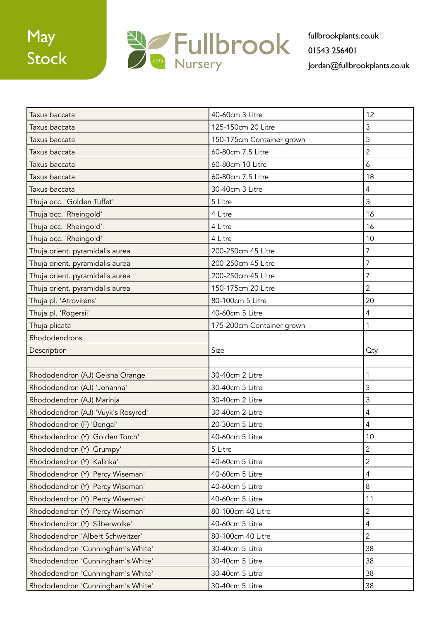

| Taxus baccata                      | 40-60cm 3 Litre           | 12             |
|------------------------------------|---------------------------|----------------|
| Taxus baccata                      | 125-150cm 20 Litre        | 3              |
| Taxus baccata                      | 150-175cm Container grown | 5              |
| Taxus baccata                      | 60-80cm 7.5 Litre         | $\overline{2}$ |
| Taxus baccata                      | 60-80cm 10 Litre          | 6              |
| Taxus baccata                      | 60-80cm 7.5 Litre         | 18             |
| Taxus baccata                      | 30-40cm 3 Litre           | $\overline{4}$ |
| Thuja occ. 'Golden Tuffet'         | 5 Litre                   | $\mathfrak{Z}$ |
| Thuja occ. 'Rheingold'             | 4 Litre                   | 16             |
| Thuja occ. 'Rheingold'             | 4 Litre                   | 16             |
| Thuja occ. 'Rheingold'             | 4 Litre                   | 10             |
| Thuja orient. pyramidalis aurea    | 200-250cm 45 Litre        | $\overline{7}$ |
| Thuja orient. pyramidalis aurea    | 200-250cm 45 Litre        | $\overline{7}$ |
| Thuja orient. pyramidalis aurea    | 200-250cm 45 Litre        | $\overline{7}$ |
| Thuja orient. pyramidalis aurea    | 150-175cm 20 Litre        | $\overline{2}$ |
| Thuja pl. 'Atrovirens'             | 80-100cm 5 Litre          | 20             |
| Thuja pl. 'Rogersii'               | 40-60cm 5 Litre           | 4              |
| Thuja plicata                      | 175-200cm Container grown | 1              |
| Rhododendrons                      |                           |                |
| Description                        | Size                      | <b>Oty</b>     |
|                                    |                           |                |
| Rhododendron (AJ) Geisha Orange    | 30-40cm 2 Litre           | 1              |
| Rhododendron (AJ) 'Johanna'        | 30-40cm 5 Litre           | 3              |
| Rhododendron (AJ) Marinja          | 30-40cm 2 Litre           | 3              |
| Rhododendron (AJ) 'Vuyk's Rosyred' | 30-40cm 2 Litre           | 4              |
| Rhododendron (F) 'Bengal'          | 20-30cm 5 Litre           | 4              |
| Rhododendron (Y) 'Golden Torch'    | 40-60cm 5 Litre           | 10             |
| Rhododendron (Y) 'Grumpy'          | 5 Litre                   | $\overline{2}$ |
| Rhododendron (Y) 'Kalinka'         | 40-60cm 5 Litre           | $\overline{2}$ |
| Rhododendron (Y) 'Percy Wiseman'   | 40-60cm 5 Litre           | $\overline{4}$ |
| Rhododendron (Y) 'Percy Wiseman'   | 40-60cm 5 Litre           | $\,8\,$        |
| Rhododendron (Y) 'Percy Wiseman'   | 40-60cm 5 Litre           | 11             |
| Rhododendron (Y) 'Percy Wiseman'   | 80-100cm 40 Litre         | $\overline{2}$ |
| Rhododendron (Y) 'Silberwolke'     | 40-60cm 5 Litre           | $\overline{4}$ |
| Rhododendron 'Albert Schweitzer'   | 80-100cm 40 Litre         | $\overline{2}$ |
| Rhododendron 'Cunningham's White'  | 30-40cm 5 Litre           | 38             |
| Rhododendron 'Cunningham's White'  | 30-40cm 5 Litre           | 38             |
| Rhododendron 'Cunningham's White'  | 30-40cm 5 Litre           | 38             |
| Rhododendron 'Cunningham's White'  | 30-40cm 5 Litre           | 38             |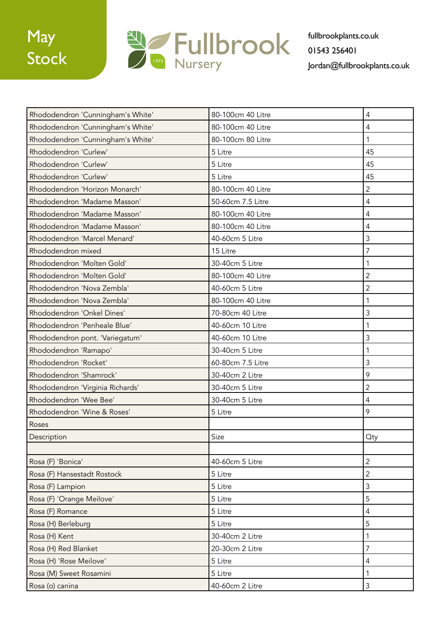



| Rhododendron 'Cunningham's White' | 80-100cm 40 Litre | $\overline{4}$ |
|-----------------------------------|-------------------|----------------|
| Rhododendron 'Cunningham's White' | 80-100cm 40 Litre | $\overline{4}$ |
| Rhododendron 'Cunningham's White' | 80-100cm 80 Litre | $\mathbf{1}$   |
| Rhododendron 'Curlew'             | 5 Litre           | 45             |
| Rhododendron 'Curlew'             | 5 Litre           | 45             |
| Rhododendron 'Curlew'             | 5 Litre           | 45             |
| Rhododendron 'Horizon Monarch'    | 80-100cm 40 Litre | $\overline{2}$ |
| Rhododendron 'Madame Masson'      | 50-60cm 7.5 Litre | $\overline{4}$ |
| Rhododendron 'Madame Masson'      | 80-100cm 40 Litre | $\overline{4}$ |
| Rhododendron 'Madame Masson'      | 80-100cm 40 Litre | $\overline{4}$ |
| Rhododendron 'Marcel Menard'      | 40-60cm 5 Litre   | $\overline{3}$ |
| Rhododendron mixed                | 15 Litre          | $\overline{7}$ |
| Rhododendron 'Molten Gold'        | 30-40cm 5 Litre   | 1              |
| Rhododendron 'Molten Gold'        | 80-100cm 40 Litre | $\overline{2}$ |
| Rhododendron 'Nova Zembla'        | 40-60cm 5 Litre   | $\overline{2}$ |
| Rhododendron 'Nova Zembla'        | 80-100cm 40 Litre | $\mathbf{1}$   |
| Rhododendron 'Onkel Dines'        | 70-80cm 40 Litre  | 3              |
| Rhododendron 'Penheale Blue'      | 40-60cm 10 Litre  | 1              |
| Rhododendron pont. 'Variegatum'   | 40-60cm 10 Litre  | 3              |
| Rhododendron 'Ramapo'             | 30-40cm 5 Litre   | $\mathbf{1}$   |
| Rhododendron 'Rocket'             | 60-80cm 7.5 Litre | $\overline{3}$ |
| Rhododendron 'Shamrock'           | 30-40cm 2 Litre   | 9              |
| Rhododendron 'Virginia Richards'  | 30-40cm 5 Litre   | $\overline{2}$ |
| Rhododendron 'Wee Bee'            | 30-40cm 5 Litre   | $\overline{4}$ |
| Rhododendron 'Wine & Roses'       | 5 Litre           | 9              |
| Roses                             |                   |                |
| Description                       | Size              | <b>Qty</b>     |
|                                   |                   |                |
| Rosa (F) 'Bonica'                 | 40-60cm 5 Litre   | $\overline{2}$ |
| Rosa (F) Hansestadt Rostock       | 5 Litre           | $\overline{2}$ |
| Rosa (F) Lampion                  | 5 Litre           | $\mathfrak{Z}$ |
| Rosa (F) 'Orange Meilove'         | 5 Litre           | 5              |
| Rosa (F) Romance                  | 5 Litre           | $\overline{4}$ |
| Rosa (H) Berleburg                | 5 Litre           | 5              |
| Rosa (H) Kent                     | 30-40cm 2 Litre   | $\mathbf{1}$   |
| Rosa (H) Red Blanket              | 20-30cm 2 Litre   | $\overline{7}$ |
| Rosa (H) 'Rose Meilove'           | 5 Litre           | $\overline{4}$ |
| Rosa (M) Sweet Rosamini           | 5 Litre           | 1              |
| Rosa (o) canina                   | 40-60cm 2 Litre   | $\mathfrak{Z}$ |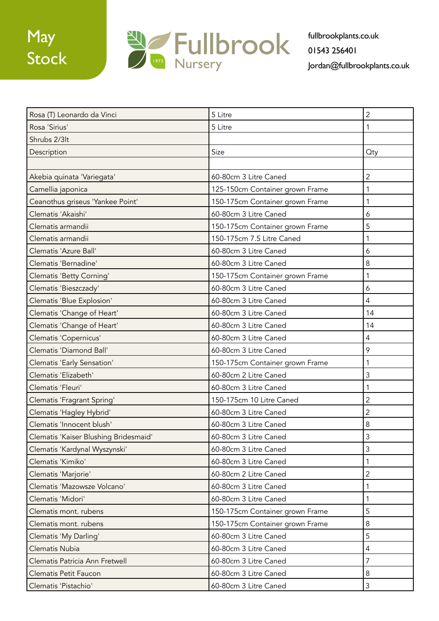

| Rosa (T) Leonardo da Vinci            | 5 Litre                         | $\overline{2}$ |
|---------------------------------------|---------------------------------|----------------|
| Rosa 'Sirius'                         | 5 Litre                         | 1              |
| Shrubs 2/3lt                          |                                 |                |
| Description                           | Size                            | <b>Qty</b>     |
|                                       |                                 |                |
| Akebia quinata 'Variegata'            | 60-80cm 3 Litre Caned           | $\overline{2}$ |
| Camellia japonica                     | 125-150cm Container grown Frame | 1              |
| Ceanothus griseus 'Yankee Point'      | 150-175cm Container grown Frame | 1              |
| Clematis 'Akaishi'                    | 60-80cm 3 Litre Caned           | 6              |
| Clematis armandii                     | 150-175cm Container grown Frame | 5              |
| Clematis armandii                     | 150-175cm 7.5 Litre Caned       | 1              |
| Clematis 'Azure Ball'                 | 60-80cm 3 Litre Caned           | 6              |
| Clematis 'Bernadine'                  | 60-80cm 3 Litre Caned           | 8              |
| Clematis 'Betty Corning'              | 150-175cm Container grown Frame | 1              |
| Clematis 'Bieszczady'                 | 60-80cm 3 Litre Caned           | 6              |
| Clematis 'Blue Explosion'             | 60-80cm 3 Litre Caned           | 4              |
| Clematis 'Change of Heart'            | 60-80cm 3 Litre Caned           | 14             |
| Clematis 'Change of Heart'            | 60-80cm 3 Litre Caned           | 14             |
| Clematis 'Copernicus'                 | 60-80cm 3 Litre Caned           | 4              |
| Clematis 'Diamond Ball'               | 60-80cm 3 Litre Caned           | 9              |
| Clematis 'Early Sensation'            | 150-175cm Container grown Frame | 1              |
| Clematis 'Elizabeth'                  | 60-80cm 2 Litre Caned           | 3              |
| Clematis 'Fleuri'                     | 60-80cm 3 Litre Caned           | 1              |
| Clematis 'Fragrant Spring'            | 150-175cm 10 Litre Caned        | $\overline{2}$ |
| Clematis 'Hagley Hybrid'              | 60-80cm 3 Litre Caned           | $\overline{c}$ |
| Clematis 'Innocent blush'             | 60-80cm 3 Litre Caned           | 8              |
| Clematis 'Kaiser Blushing Bridesmaid' | 60-80cm 3 Litre Caned           | 3              |
| Clematis 'Kardynal Wyszynski'         | 60-80cm 3 Litre Caned           | 3              |
| Clematis 'Kimiko'                     | 60-80cm 3 Litre Caned           | 1              |
| Clematis 'Marjorie'                   | 60-80cm 2 Litre Caned           | 2              |
| Clematis 'Mazowsze Volcano'           | 60-80cm 3 Litre Caned           | 1              |
| Clematis 'Midori'                     | 60-80cm 3 Litre Caned           | 1              |
| Clematis mont. rubens                 | 150-175cm Container grown Frame | 5              |
| Clematis mont. rubens                 | 150-175cm Container grown Frame | 8              |
| Clematis 'My Darling'                 | 60-80cm 3 Litre Caned           | 5              |
| Clematis Nubia                        | 60-80cm 3 Litre Caned           | 4              |
| Clematis Patricia Ann Fretwell        | 60-80cm 3 Litre Caned           | 7              |
| Clematis Petit Faucon                 | 60-80cm 3 Litre Caned           | 8              |
| Clematis 'Pistachio'                  | 60-80cm 3 Litre Caned           | 3              |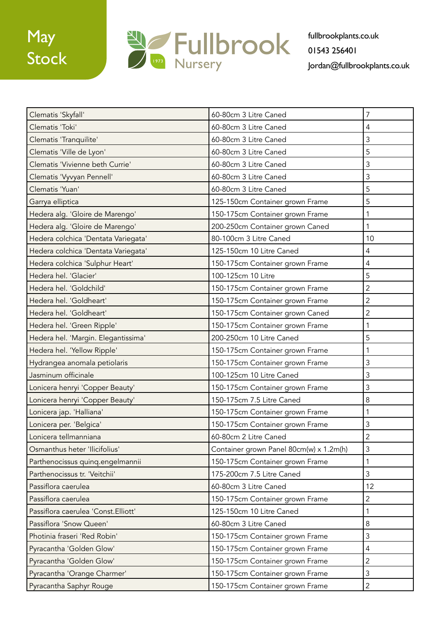

| Clematis 'Skyfall'                  | 60-80cm 3 Litre Caned                   | 7              |
|-------------------------------------|-----------------------------------------|----------------|
| Clematis 'Toki'                     | 60-80cm 3 Litre Caned                   | 4              |
| Clematis 'Tranquilite'              | 60-80cm 3 Litre Caned                   | 3              |
| Clematis 'Ville de Lyon'            | 60-80cm 3 Litre Caned                   | 5              |
| Clematis 'Vivienne beth Currie'     | 60-80cm 3 Litre Caned                   | 3              |
| Clematis 'Vyvyan Pennell'           | 60-80cm 3 Litre Caned                   | 3              |
| Clematis 'Yuan'                     | 60-80cm 3 Litre Caned                   | 5              |
| Garrya elliptica                    | 125-150cm Container grown Frame         | 5              |
| Hedera alg. 'Gloire de Marengo'     | 150-175cm Container grown Frame         | 1              |
| Hedera alg. 'Gloire de Marengo'     | 200-250cm Container grown Caned         | 1              |
| Hedera colchica 'Dentata Variegata' | 80-100cm 3 Litre Caned                  | 10             |
| Hedera colchica 'Dentata Variegata' | 125-150cm 10 Litre Caned                | 4              |
| Hedera colchica 'Sulphur Heart'     | 150-175cm Container grown Frame         | 4              |
| Hedera hel. 'Glacier'               | 100-125cm 10 Litre                      | 5              |
| Hedera hel. 'Goldchild'             | 150-175cm Container grown Frame         | $\overline{2}$ |
| Hedera hel. 'Goldheart'             | 150-175cm Container grown Frame         | 2              |
| Hedera hel. 'Goldheart'             | 150-175cm Container grown Caned         | $\overline{2}$ |
| Hedera hel. 'Green Ripple'          | 150-175cm Container grown Frame         | 1              |
| Hedera hel. 'Margin. Elegantissima' | 200-250cm 10 Litre Caned                | 5              |
| Hedera hel. 'Yellow Ripple'         | 150-175cm Container grown Frame         | 1              |
| Hydrangea anomala petiolaris        | 150-175cm Container grown Frame         | 3              |
| Jasminum officinale                 | 100-125cm 10 Litre Caned                | 3              |
| Lonicera henryi 'Copper Beauty'     | 150-175cm Container grown Frame         | 3              |
| Lonicera henryi 'Copper Beauty'     | 150-175cm 7.5 Litre Caned               | 8              |
| Lonicera jap. 'Halliana'            | 150-175cm Container grown Frame         | 1              |
| Lonicera per. 'Belgica'             | 150-175cm Container grown Frame         | 3              |
| Lonicera tellmanniana               | 60-80cm 2 Litre Caned                   | $\overline{c}$ |
| Osmanthus heter 'Ilicifolius'       | Container grown Panel 80cm(w) x 1.2m(h) | 3              |
| Parthenocissus quinq.engelmannii    | 150-175cm Container grown Frame         | 1              |
| Parthenocissus tr. 'Veitchii'       | 175-200cm 7.5 Litre Caned               | 3              |
| Passiflora caerulea                 | 60-80cm 3 Litre Caned                   | 12             |
| Passiflora caerulea                 | 150-175cm Container grown Frame         | $\overline{2}$ |
| Passiflora caerulea 'Const.Elliott' | 125-150cm 10 Litre Caned                | 1              |
| Passiflora 'Snow Queen'             | 60-80cm 3 Litre Caned                   | $\,8\,$        |
| Photinia fraseri 'Red Robin'        | 150-175cm Container grown Frame         | 3              |
| Pyracantha 'Golden Glow'            | 150-175cm Container grown Frame         | $\overline{4}$ |
| Pyracantha 'Golden Glow'            | 150-175cm Container grown Frame         | $\overline{2}$ |
| Pyracantha 'Orange Charmer'         | 150-175cm Container grown Frame         | $\mathfrak{Z}$ |
| Pyracantha Saphyr Rouge             | 150-175cm Container grown Frame         | $\overline{2}$ |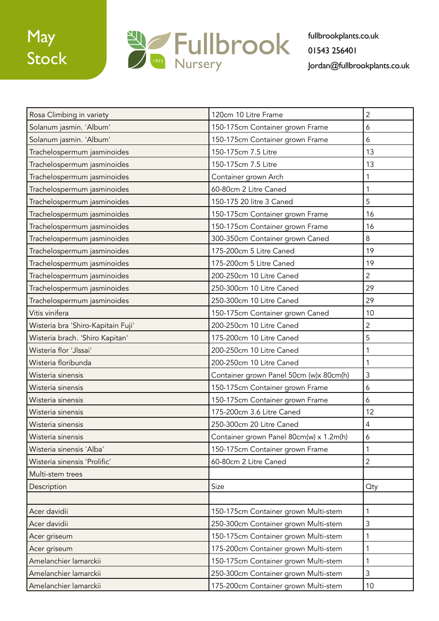

| Rosa Climbing in variety           | 120cm 10 Litre Frame                    | 2              |
|------------------------------------|-----------------------------------------|----------------|
| Solanum jasmin. 'Album'            | 150-175cm Container grown Frame         | 6              |
| Solanum jasmin. 'Album'            | 150-175cm Container grown Frame         | 6              |
| Trachelospermum jasminoides        | 150-175cm 7.5 Litre                     | 13             |
| Trachelospermum jasminoides        | 150-175cm 7.5 Litre                     | 13             |
| Trachelospermum jasminoides        | Container grown Arch                    | 1              |
| Trachelospermum jasminoides        | 60-80cm 2 Litre Caned                   | $\mathbf 1$    |
| Trachelospermum jasminoides        | 150-175 20 litre 3 Caned                | 5              |
| Trachelospermum jasminoides        | 150-175cm Container grown Frame         | 16             |
| Trachelospermum jasminoides        | 150-175cm Container grown Frame         | 16             |
| Trachelospermum jasminoides        | 300-350cm Container grown Caned         | 8              |
| Trachelospermum jasminoides        | 175-200cm 5 Litre Caned                 | 19             |
| Trachelospermum jasminoides        | 175-200cm 5 Litre Caned                 | 19             |
| Trachelospermum jasminoides        | 200-250cm 10 Litre Caned                | $\overline{2}$ |
| Trachelospermum jasminoides        | 250-300cm 10 Litre Caned                | 29             |
| Trachelospermum jasminoides        | 250-300cm 10 Litre Caned                | 29             |
| Vitis vinifera                     | 150-175cm Container grown Caned         | 10             |
| Wisteria bra 'Shiro-Kapitain Fuji' | 200-250cm 10 Litre Caned                | 2              |
| Wisteria brach. 'Shiro Kapitan'    | 175-200cm 10 Litre Caned                | 5              |
| Wisteria flor 'Jlssai'             | 200-250cm 10 Litre Caned                | 1              |
| Wisteria floribunda                | 200-250cm 10 Litre Caned                | 1              |
| Wisteria sinensis                  | Container grown Panel 50cm (w)x 80cm(h) | 3              |
| Wisteria sinensis                  | 150-175cm Container grown Frame         | 6              |
| Wisteria sinensis                  | 150-175cm Container grown Frame         | 6              |
| Wisteria sinensis                  | 175-200cm 3.6 Litre Caned               | 12             |
| Wisteria sinensis                  | 250-300cm 20 Litre Caned                | 4              |
| Wisteria sinensis                  | Container grown Panel 80cm(w) x 1.2m(h) | 6              |
| Wisteria sinensis 'Alba'           | 150-175cm Container grown Frame         | 1              |
| Wisteria sinensis 'Prolific'       | 60-80cm 2 Litre Caned                   | $\overline{2}$ |
| Multi-stem trees                   |                                         |                |
| Description                        | Size                                    | Qty            |
|                                    |                                         |                |
| Acer davidii                       | 150-175cm Container grown Multi-stem    | $\mathbf{1}$   |
| Acer davidii                       | 250-300cm Container grown Multi-stem    | $\mathfrak{Z}$ |
| Acer griseum                       | 150-175cm Container grown Multi-stem    | 1              |
| Acer griseum                       | 175-200cm Container grown Multi-stem    | 1              |
| Amelanchier lamarckii              | 150-175cm Container grown Multi-stem    | 1              |
| Amelanchier lamarckii              | 250-300cm Container grown Multi-stem    | $\mathfrak{Z}$ |
| Amelanchier lamarckii              | 175-200cm Container grown Multi-stem    | 10             |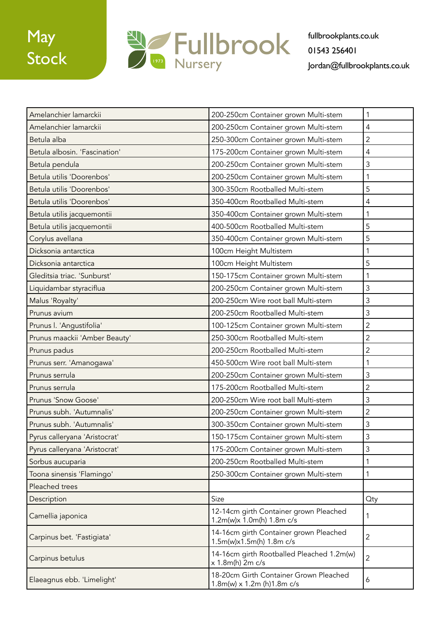

| Amelanchier lamarckii         | 200-250cm Container grown Multi-stem                                       | 1              |
|-------------------------------|----------------------------------------------------------------------------|----------------|
| Amelanchier lamarckii         | 200-250cm Container grown Multi-stem                                       | $\overline{4}$ |
| Betula alba                   | 250-300cm Container grown Multi-stem                                       | $\overline{2}$ |
| Betula albosin. 'Fascination' | 175-200cm Container grown Multi-stem                                       | 4              |
| Betula pendula                | 200-250cm Container grown Multi-stem                                       | 3              |
| Betula utilis 'Doorenbos'     | 200-250cm Container grown Multi-stem                                       | 1              |
| Betula utilis 'Doorenbos'     | 300-350cm Rootballed Multi-stem                                            | 5              |
| Betula utilis 'Doorenbos'     | 350-400cm Rootballed Multi-stem                                            | 4              |
| Betula utilis jacquemontii    | 350-400cm Container grown Multi-stem                                       | 1              |
| Betula utilis jacquemontii    | 400-500cm Rootballed Multi-stem                                            | 5              |
| Corylus avellana              | 350-400cm Container grown Multi-stem                                       | 5              |
| Dicksonia antarctica          | 100cm Height Multistem                                                     | 1              |
| Dicksonia antarctica          | 100cm Height Multistem                                                     | 5              |
| Gleditsia triac. 'Sunburst'   | 150-175cm Container grown Multi-stem                                       | 1              |
| Liquidambar styraciflua       | 200-250cm Container grown Multi-stem                                       | 3              |
| Malus 'Royalty'               | 200-250cm Wire root ball Multi-stem                                        | 3              |
| Prunus avium                  | 200-250cm Rootballed Multi-stem                                            | 3              |
| Prunus I. 'Angustifolia'      | 100-125cm Container grown Multi-stem                                       | $\overline{2}$ |
| Prunus maackii 'Amber Beauty' | 250-300cm Rootballed Multi-stem                                            | $\overline{2}$ |
| Prunus padus                  | 200-250cm Rootballed Multi-stem                                            | 2              |
| Prunus serr. 'Amanogawa'      | 450-500cm Wire root ball Multi-stem                                        | 1              |
| Prunus serrula                | 200-250cm Container grown Multi-stem                                       | 3              |
| Prunus serrula                | 175-200cm Rootballed Multi-stem                                            | $\overline{2}$ |
| Prunus 'Snow Goose'           | 200-250cm Wire root ball Multi-stem                                        | 3              |
| Prunus subh. 'Autumnalis'     | 200-250cm Container grown Multi-stem                                       | 2              |
| Prunus subh. 'Autumnalis'     | 300-350cm Container grown Multi-stem                                       | 3              |
| Pyrus calleryana 'Aristocrat' | 150-175cm Container grown Multi-stem                                       | 3              |
| Pyrus calleryana 'Aristocrat' | 175-200cm Container grown Multi-stem                                       | 3              |
| Sorbus aucuparia              | 200-250cm Rootballed Multi-stem                                            | 1              |
| Toona sinensis 'Flamingo'     | 250-300cm Container grown Multi-stem                                       | 1              |
| Pleached trees                |                                                                            |                |
| Description                   | Size                                                                       | Qty            |
| Camellia japonica             | 12-14cm girth Container grown Pleached<br>1.2m(w)x 1.0m(h) 1.8m c/s        | 1              |
| Carpinus bet. 'Fastigiata'    | 14-16cm girth Container grown Pleached<br>1.5m(w)x1.5m(h) 1.8m c/s         | $\overline{2}$ |
| Carpinus betulus              | 14-16cm girth Rootballed Pleached 1.2m(w)<br>x 1.8m(h) 2m c/s              | $\overline{2}$ |
| Elaeagnus ebb. 'Limelight'    | 18-20cm Girth Container Grown Pleached<br>$1.8m(w) \times 1.2m(h)1.8m c/s$ | 6              |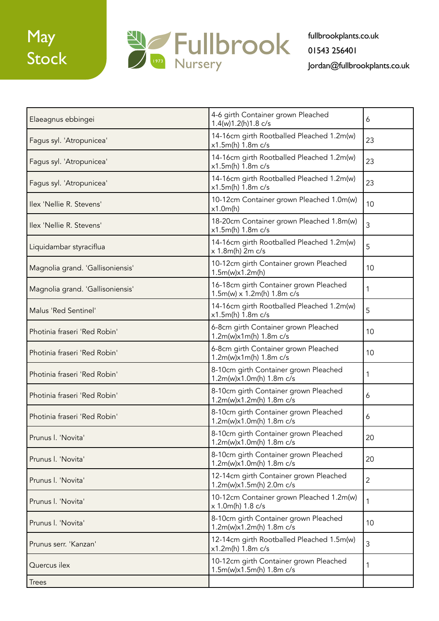

| Elaeagnus ebbingei               | 4-6 girth Container grown Pleached<br>1.4(w)1.2(h)1.8 c/s                   | 6              |
|----------------------------------|-----------------------------------------------------------------------------|----------------|
| Fagus syl. 'Atropunicea'         | 14-16cm girth Rootballed Pleached 1.2m(w)<br>x1.5m(h) 1.8m c/s              | 23             |
| Fagus syl. 'Atropunicea'         | 14-16cm girth Rootballed Pleached 1.2m(w)<br>x1.5m(h) 1.8m c/s              | 23             |
| Fagus syl. 'Atropunicea'         | 14-16cm girth Rootballed Pleached 1.2m(w)<br>x1.5m(h) 1.8m c/s              | 23             |
| Ilex 'Nellie R. Stevens'         | 10-12cm Container grown Pleached 1.0m(w)<br>x1.0m(h)                        | 10             |
| Ilex 'Nellie R. Stevens'         | 18-20cm Container grown Pleached 1.8m(w)<br>x1.5m(h) 1.8m c/s               | $\mathfrak{Z}$ |
| Liquidambar styraciflua          | 14-16cm girth Rootballed Pleached 1.2m(w)<br>x 1.8m(h) 2m c/s               | 5              |
| Magnolia grand. 'Gallisoniensis' | 10-12cm girth Container grown Pleached<br>1.5m(w)x1.2m(h)                   | 10             |
| Magnolia grand. 'Gallisoniensis' | 16-18cm girth Container grown Pleached<br>$1.5m(w) \times 1.2m(h)$ 1.8m c/s | 1              |
| Malus 'Red Sentinel'             | 14-16cm girth Rootballed Pleached 1.2m(w)<br>x1.5m(h) 1.8m c/s              | 5              |
| Photinia fraseri 'Red Robin'     | 6-8cm girth Container grown Pleached<br>1.2m(w)x1m(h) 1.8m c/s              | 10             |
| Photinia fraseri 'Red Robin'     | 6-8cm girth Container grown Pleached<br>1.2m(w)x1m(h) 1.8m c/s              | 10             |
| Photinia fraseri 'Red Robin'     | 8-10cm girth Container grown Pleached<br>1.2m(w)x1.0m(h) 1.8m c/s           | 1              |
| Photinia fraseri 'Red Robin'     | 8-10cm girth Container grown Pleached<br>1.2m(w)x1.2m(h) 1.8m c/s           | 6              |
| Photinia fraseri 'Red Robin'     | 8-10cm girth Container grown Pleached<br>1.2m(w)x1.0m(h) 1.8m c/s           | 6              |
| Prunus I. 'Novita'               | 8-10cm girth Container grown Pleached<br>1.2m(w)x1.0m(h) 1.8m c/s           | 20             |
| Prunus I. 'Novita'               | 8-10cm girth Container grown Pleached<br>1.2m(w)x1.0m(h) 1.8m c/s           | 20             |
| Prunus I. 'Novita'               | 12-14cm girth Container grown Pleached<br>1.2m(w)x1.5m(h) 2.0m c/s          | $\overline{2}$ |
| Prunus I. 'Novita'               | 10-12cm Container grown Pleached 1.2m(w)<br>x 1.0m(h) 1.8 c/s               | $\mathbf 1$    |
| Prunus I. 'Novita'               | 8-10cm girth Container grown Pleached<br>1.2m(w)x1.2m(h) 1.8m c/s           | 10             |
| Prunus serr. 'Kanzan'            | 12-14cm girth Rootballed Pleached 1.5m(w)<br>x1.2m(h) 1.8m c/s              | 3              |
| Quercus ilex                     | 10-12cm girth Container grown Pleached<br>1.5m(w)x1.5m(h) 1.8m c/s          | 1              |
| <b>Trees</b>                     |                                                                             |                |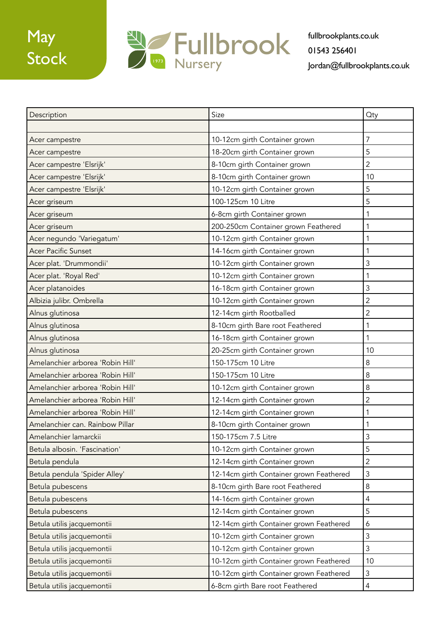# May Stock



| Description                      | Size                                    | <b>Qty</b>     |
|----------------------------------|-----------------------------------------|----------------|
|                                  |                                         |                |
| Acer campestre                   | 10-12cm girth Container grown           | $\overline{7}$ |
| Acer campestre                   | 18-20cm girth Container grown           | 5              |
| Acer campestre 'Elsrijk'         | 8-10cm girth Container grown            | $\overline{2}$ |
| Acer campestre 'Elsrijk'         | 8-10cm girth Container grown            | 10             |
| Acer campestre 'Elsrijk'         | 10-12cm girth Container grown           | 5              |
| Acer griseum                     | 100-125cm 10 Litre                      | 5              |
| Acer griseum                     | 6-8cm girth Container grown             | 1              |
| Acer griseum                     | 200-250cm Container grown Feathered     | 1              |
| Acer negundo 'Variegatum'        | 10-12cm girth Container grown           | 1              |
| Acer Pacific Sunset              | 14-16cm girth Container grown           | 1              |
| Acer plat. 'Drummondii'          | 10-12cm girth Container grown           | 3              |
| Acer plat. 'Royal Red'           | 10-12cm girth Container grown           | 1              |
| Acer platanoides                 | 16-18cm girth Container grown           | 3              |
| Albizia julibr. Ombrella         | 10-12cm girth Container grown           | 2              |
| Alnus glutinosa                  | 12-14cm girth Rootballed                | 2              |
| Alnus glutinosa                  | 8-10cm girth Bare root Feathered        | 1              |
| Alnus glutinosa                  | 16-18cm girth Container grown           | 1              |
| Alnus glutinosa                  | 20-25cm girth Container grown           | 10             |
| Amelanchier arborea 'Robin Hill' | 150-175cm 10 Litre                      | 8              |
| Amelanchier arborea 'Robin Hill' | 150-175cm 10 Litre                      | $\,8\,$        |
| Amelanchier arborea 'Robin Hill' | 10-12cm girth Container grown           | 8              |
| Amelanchier arborea 'Robin Hill' | 12-14cm girth Container grown           | 2              |
| Amelanchier arborea 'Robin Hill' | 12-14cm girth Container grown           | 1              |
| Amelanchier can. Rainbow Pillar  | 8-10cm girth Container grown            | 1              |
| Amelanchier lamarckii            | 150-175cm 7.5 Litre                     | 3              |
| Betula albosin. 'Fascination'    | 10-12cm girth Container grown           | 5              |
| Betula pendula                   | 12-14cm girth Container grown           | 2              |
| Betula pendula 'Spider Alley'    | 12-14cm girth Container grown Feathered | 3              |
| Betula pubescens                 | 8-10cm girth Bare root Feathered        | 8              |
| Betula pubescens                 | 14-16cm girth Container grown           | $\overline{4}$ |
| Betula pubescens                 | 12-14cm girth Container grown           | 5              |
| Betula utilis jacquemontii       | 12-14cm girth Container grown Feathered | 6              |
| Betula utilis jacquemontii       | 10-12cm girth Container grown           | 3              |
| Betula utilis jacquemontii       | 10-12cm girth Container grown           | 3              |
| Betula utilis jacquemontii       | 10-12cm girth Container grown Feathered | 10             |
| Betula utilis jacquemontii       | 10-12cm girth Container grown Feathered | 3              |
| Betula utilis jacquemontii       | 6-8cm girth Bare root Feathered         | 4              |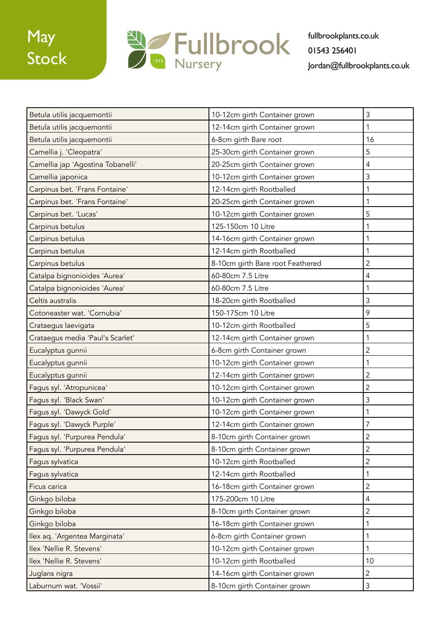

| Betula utilis jacquemontii        | 10-12cm girth Container grown    | 3              |
|-----------------------------------|----------------------------------|----------------|
| Betula utilis jacquemontii        | 12-14cm girth Container grown    | 1              |
| Betula utilis jacquemontii        | 6-8cm girth Bare root            | 16             |
| Camellia j. 'Cleopatra'           | 25-30cm girth Container grown    | 5              |
| Camellia jap 'Agostina Tobanelli' | 20-25cm girth Container grown    | 4              |
| Camellia japonica                 | 10-12cm girth Container grown    | 3              |
| Carpinus bet. 'Frans Fontaine'    | 12-14cm girth Rootballed         | 1              |
| Carpinus bet. 'Frans Fontaine'    | 20-25cm girth Container grown    | 1              |
| Carpinus bet. 'Lucas'             | 10-12cm girth Container grown    | 5              |
| Carpinus betulus                  | 125-150cm 10 Litre               | 1              |
| Carpinus betulus                  | 14-16cm girth Container grown    | 1              |
| Carpinus betulus                  | 12-14cm girth Rootballed         | 1              |
| Carpinus betulus                  | 8-10cm girth Bare root Feathered | 2              |
| Catalpa bignonioides 'Aurea'      | 60-80cm 7.5 Litre                | 4              |
| Catalpa bignonioides 'Aurea'      | 60-80cm 7.5 Litre                | 1              |
| Celtis australis                  | 18-20cm girth Rootballed         | 3              |
| Cotoneaster wat. 'Cornubia'       | 150-175cm 10 Litre               | 9              |
| Crataegus laevigata               | 10-12cm girth Rootballed         | 5              |
| Crataegus media 'Paul's Scarlet'  | 12-14cm girth Container grown    | 1              |
| Eucalyptus gunnii                 | 6-8cm girth Container grown      | 2              |
| Eucalyptus gunnii                 | 10-12cm girth Container grown    | 1              |
| Eucalyptus gunnii                 | 12-14cm girth Container grown    | $\overline{2}$ |
| Fagus syl. 'Atropunicea'          | 10-12cm girth Container grown    | 2              |
| Fagus syl. 'Black Swan'           | 10-12cm girth Container grown    | 3              |
| Fagus syl. 'Dawyck Gold'          | 10-12cm girth Container grown    | 1              |
| Fagus syl. 'Dawyck Purple'        | 12-14cm girth Container grown    | 7              |
| Fagus syl. 'Purpurea Pendula'     | 8-10cm girth Container grown     | $\overline{c}$ |
| Fagus syl. 'Purpurea Pendula'     | 8-10cm girth Container grown     | $\overline{2}$ |
| Fagus sylvatica                   | 10-12cm girth Rootballed         | 2              |
| Fagus sylvatica                   | 12-14cm girth Rootballed         | 1              |
| Ficus carica                      | 16-18cm girth Container grown    | $\overline{2}$ |
| Ginkgo biloba                     | 175-200cm 10 Litre               | $\overline{4}$ |
| Ginkgo biloba                     | 8-10cm girth Container grown     | $\overline{2}$ |
| Ginkgo biloba                     | 16-18cm girth Container grown    | 1              |
| Ilex aq. 'Argentea Marginata'     | 6-8cm girth Container grown      | 1              |
| Ilex 'Nellie R. Stevens'          | 10-12cm girth Container grown    | 1              |
| Ilex 'Nellie R. Stevens'          | 10-12cm girth Rootballed         | 10             |
| Juglans nigra                     | 14-16cm girth Container grown    | $\overline{2}$ |
| Laburnum wat. 'Vossii'            | 8-10cm girth Container grown     | $\mathfrak{Z}$ |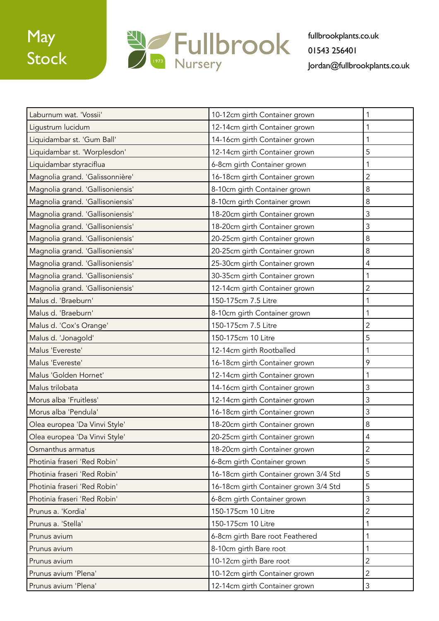

| Laburnum wat. 'Vossii'           | 10-12cm girth Container grown         | 1              |
|----------------------------------|---------------------------------------|----------------|
| Ligustrum lucidum                | 12-14cm girth Container grown         | 1              |
| Liquidambar st. 'Gum Ball'       | 14-16cm girth Container grown         | 1              |
| Liquidambar st. 'Worplesdon'     | 12-14cm girth Container grown         | 5              |
| Liquidambar styraciflua          | 6-8cm girth Container grown           | 1              |
| Magnolia grand. 'Galissonnière'  | 16-18cm girth Container grown         | 2              |
| Magnolia grand. 'Gallisoniensis' | 8-10cm girth Container grown          | 8              |
| Magnolia grand. 'Gallisoniensis' | 8-10cm girth Container grown          | 8              |
| Magnolia grand. 'Gallisoniensis' | 18-20cm girth Container grown         | 3              |
| Magnolia grand. 'Gallisoniensis' | 18-20cm girth Container grown         | 3              |
| Magnolia grand. 'Gallisoniensis' | 20-25cm girth Container grown         | 8              |
| Magnolia grand. 'Gallisoniensis' | 20-25cm girth Container grown         | $\,8\,$        |
| Magnolia grand. 'Gallisoniensis' | 25-30cm girth Container grown         | 4              |
| Magnolia grand. 'Gallisoniensis' | 30-35cm girth Container grown         | 1              |
| Magnolia grand. 'Gallisoniensis' | 12-14cm girth Container grown         | 2              |
| Malus d. 'Braeburn'              | 150-175cm 7.5 Litre                   | 1              |
| Malus d. 'Braeburn'              | 8-10cm girth Container grown          | 1              |
| Malus d. 'Cox's Orange'          | 150-175cm 7.5 Litre                   | 2              |
| Malus d. 'Jonagold'              | 150-175cm 10 Litre                    | 5              |
| Malus 'Evereste'                 | 12-14cm girth Rootballed              | 1              |
| Malus 'Evereste'                 | 16-18cm girth Container grown         | 9              |
| Malus 'Golden Hornet'            | 12-14cm girth Container grown         | 1              |
| Malus trilobata                  | 14-16cm girth Container grown         | 3              |
| Morus alba 'Fruitless'           | 12-14cm girth Container grown         | 3              |
| Morus alba 'Pendula'             | 16-18cm girth Container grown         | 3              |
| Olea europea 'Da Vinvi Style'    | 18-20cm girth Container grown         | $\,8\,$        |
| Olea europea 'Da Vinvi Style'    | 20-25cm girth Container grown         | 4              |
| Osmanthus armatus                | 18-20cm girth Container grown         | $\overline{2}$ |
| Photinia fraseri 'Red Robin'     | 6-8cm girth Container grown           | 5              |
| Photinia fraseri 'Red Robin'     | 16-18cm girth Container grown 3/4 Std | 5              |
| Photinia fraseri 'Red Robin'     | 16-18cm girth Container grown 3/4 Std | 5              |
| Photinia fraseri 'Red Robin'     | 6-8cm girth Container grown           | 3              |
| Prunus a. 'Kordia'               | 150-175cm 10 Litre                    | $\overline{2}$ |
| Prunus a. 'Stella'               | 150-175cm 10 Litre                    | 1              |
| Prunus avium                     | 6-8cm girth Bare root Feathered       | 1              |
| Prunus avium                     | 8-10cm girth Bare root                | 1              |
| Prunus avium                     | 10-12cm girth Bare root               | $\overline{2}$ |
| Prunus avium 'Plena'             | 10-12cm girth Container grown         | $\overline{2}$ |
| Prunus avium 'Plena'             | 12-14cm girth Container grown         | $\mathfrak{Z}$ |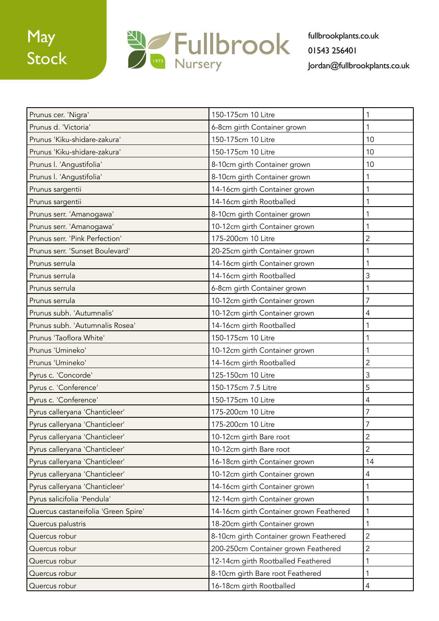

| Prunus cer. 'Nigra'                 | 150-175cm 10 Litre                      | 1              |
|-------------------------------------|-----------------------------------------|----------------|
| Prunus d. 'Victoria'                | 6-8cm girth Container grown             | 1              |
| Prunus 'Kiku-shidare-zakura'        | 150-175cm 10 Litre                      | 10             |
| Prunus 'Kiku-shidare-zakura'        | 150-175cm 10 Litre                      | 10             |
| Prunus I. 'Angustifolia'            | 8-10cm girth Container grown            | 10             |
| Prunus I. 'Angustifolia'            | 8-10cm girth Container grown            | 1              |
| Prunus sargentii                    | 14-16cm girth Container grown           | 1              |
| Prunus sargentii                    | 14-16cm girth Rootballed                | 1              |
| Prunus serr. 'Amanogawa'            | 8-10cm girth Container grown            | 1              |
| Prunus serr. 'Amanogawa'            | 10-12cm girth Container grown           | 1              |
| Prunus serr. 'Pink Perfection'      | 175-200cm 10 Litre                      | $\overline{2}$ |
| Prunus serr. 'Sunset Boulevard'     | 20-25cm girth Container grown           | 1              |
| Prunus serrula                      | 14-16cm girth Container grown           | 1              |
| Prunus serrula                      | 14-16cm girth Rootballed                | 3              |
| Prunus serrula                      | 6-8cm girth Container grown             | 1              |
| Prunus serrula                      | 10-12cm girth Container grown           | 7              |
| Prunus subh. 'Autumnalis'           | 10-12cm girth Container grown           | 4              |
| Prunus subh. 'Autumnalis Rosea'     | 14-16cm girth Rootballed                | 1              |
| Prunus 'Taoflora White'             | 150-175cm 10 Litre                      | 1              |
| Prunus 'Umineko'                    | 10-12cm girth Container grown           | 1              |
| Prunus 'Umineko'                    | 14-16cm girth Rootballed                | $\overline{2}$ |
| Pyrus c. 'Concorde'                 | 125-150cm 10 Litre                      | 3              |
| Pyrus c. 'Conference'               | 150-175cm 7.5 Litre                     | 5              |
| Pyrus c. 'Conference'               | 150-175cm 10 Litre                      | 4              |
| Pyrus calleryana 'Chanticleer'      | 175-200cm 10 Litre                      | 7              |
| Pyrus calleryana 'Chanticleer'      | 175-200cm 10 Litre                      | 7              |
| Pyrus calleryana 'Chanticleer'      | 10-12cm girth Bare root                 | $\overline{c}$ |
| Pyrus calleryana 'Chanticleer'      | 10-12cm girth Bare root                 | $\overline{2}$ |
| Pyrus calleryana 'Chanticleer'      | 16-18cm girth Container grown           | 14             |
| Pyrus calleryana 'Chanticleer'      | 10-12cm girth Container grown           | 4              |
| Pyrus calleryana 'Chanticleer'      | 14-16cm girth Container grown           | 1              |
| Pyrus salicifolia 'Pendula'         | 12-14cm girth Container grown           | 1              |
| Quercus castaneifolia 'Green Spire' | 14-16cm girth Container grown Feathered | 1              |
| Quercus palustris                   | 18-20cm girth Container grown           | 1              |
| Quercus robur                       | 8-10cm girth Container grown Feathered  | 2              |
| Quercus robur                       | 200-250cm Container grown Feathered     | $\overline{2}$ |
| Quercus robur                       | 12-14cm girth Rootballed Feathered      | 1              |
| Quercus robur                       | 8-10cm girth Bare root Feathered        | 1              |
| Quercus robur                       | 16-18cm girth Rootballed                | 4              |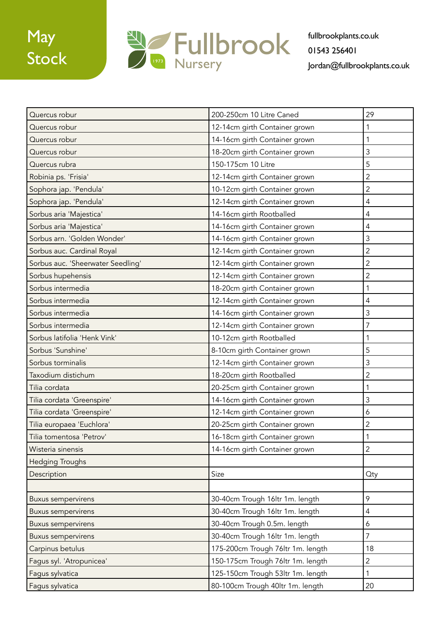## May Stock



| Quercus robur                     | 200-250cm 10 Litre Caned          | 29             |
|-----------------------------------|-----------------------------------|----------------|
| Quercus robur                     | 12-14cm girth Container grown     | 1              |
| Quercus robur                     | 14-16cm girth Container grown     | 1              |
| Quercus robur                     | 18-20cm girth Container grown     | 3              |
| Quercus rubra                     | 150-175cm 10 Litre                | 5              |
| Robinia ps. 'Frisia'              | 12-14cm girth Container grown     | $\overline{2}$ |
| Sophora jap. 'Pendula'            | 10-12cm girth Container grown     | 2              |
| Sophora jap. 'Pendula'            | 12-14cm girth Container grown     | 4              |
| Sorbus aria 'Majestica'           | 14-16cm girth Rootballed          | 4              |
| Sorbus aria 'Majestica'           | 14-16cm girth Container grown     | 4              |
| Sorbus arn. 'Golden Wonder'       | 14-16cm girth Container grown     | 3              |
| Sorbus auc. Cardinal Royal        | 12-14cm girth Container grown     | 2              |
| Sorbus auc. 'Sheerwater Seedling' | 12-14cm girth Container grown     | 2              |
| Sorbus hupehensis                 | 12-14cm girth Container grown     | $\overline{2}$ |
| Sorbus intermedia                 | 18-20cm girth Container grown     | 1              |
| Sorbus intermedia                 | 12-14cm girth Container grown     | 4              |
| Sorbus intermedia                 | 14-16cm girth Container grown     | 3              |
| Sorbus intermedia                 | 12-14cm girth Container grown     | 7              |
| Sorbus latifolia 'Henk Vink'      | 10-12cm girth Rootballed          | 1              |
| Sorbus 'Sunshine'                 | 8-10cm girth Container grown      | 5              |
| Sorbus torminalis                 | 12-14cm girth Container grown     | 3              |
| Taxodium distichum                | 18-20cm girth Rootballed          | 2              |
| Tilia cordata                     | 20-25cm girth Container grown     | 1              |
| Tilia cordata 'Greenspire'        | 14-16cm girth Container grown     | 3              |
| Tilia cordata 'Greenspire'        | 12-14cm girth Container grown     | 6              |
| Tilia europaea 'Euchlora'         | 20-25cm girth Container grown     | 2              |
| Tilia tomentosa 'Petrov'          | 16-18cm girth Container grown     | $\mathbf{1}$   |
| Wisteria sinensis                 | 14-16cm girth Container grown     | $\overline{2}$ |
| <b>Hedging Troughs</b>            |                                   |                |
| Description                       | Size                              | Qty            |
|                                   |                                   |                |
| <b>Buxus sempervirens</b>         | 30-40cm Trough 16ltr 1m. length   | 9              |
| <b>Buxus sempervirens</b>         | 30-40cm Trough 16ltr 1m. length   | 4              |
| <b>Buxus sempervirens</b>         | 30-40cm Trough 0.5m. length       | 6              |
| <b>Buxus sempervirens</b>         | 30-40cm Trough 16ltr 1m. length   | 7              |
| Carpinus betulus                  | 175-200cm Trough 76ltr 1m. length | 18             |
| Fagus syl. 'Atropunicea'          | 150-175cm Trough 76ltr 1m. length | 2              |
| Fagus sylvatica                   | 125-150cm Trough 53ltr 1m. length | 1              |
| Fagus sylvatica                   | 80-100cm Trough 40ltr 1m. length  | 20             |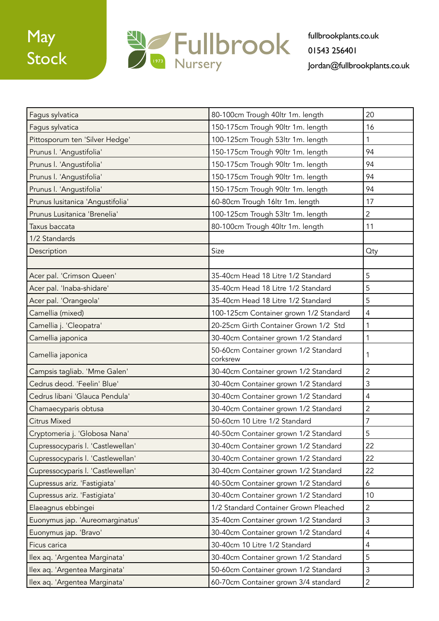

| Fagus sylvatica                   | 80-100cm Trough 40ltr 1m. length                 | 20             |
|-----------------------------------|--------------------------------------------------|----------------|
| Fagus sylvatica                   | 150-175cm Trough 90ltr 1m. length                | 16             |
| Pittosporum ten 'Silver Hedge'    | 100-125cm Trough 53ltr 1m. length                | 1              |
| Prunus I. 'Angustifolia'          | 150-175cm Trough 90ltr 1m. length                | 94             |
| Prunus I. 'Angustifolia'          | 150-175cm Trough 90ltr 1m. length                | 94             |
| Prunus I. 'Angustifolia'          | 150-175cm Trough 90ltr 1m. length                | 94             |
| Prunus I. 'Angustifolia'          | 150-175cm Trough 90ltr 1m. length                | 94             |
| Prunus lusitanica 'Angustifolia'  | 60-80cm Trough 16ltr 1m. length                  | 17             |
| Prunus Lusitanica 'Brenelia'      | 100-125cm Trough 53ltr 1m. length                | $\overline{2}$ |
| Taxus baccata                     | 80-100cm Trough 40ltr 1m. length                 | 11             |
| 1/2 Standards                     |                                                  |                |
| Description                       | Size                                             | Qty            |
|                                   |                                                  |                |
| Acer pal. 'Crimson Queen'         | 35-40cm Head 18 Litre 1/2 Standard               | 5              |
| Acer pal. 'Inaba-shidare'         | 35-40cm Head 18 Litre 1/2 Standard               | 5              |
| Acer pal. 'Orangeola'             | 35-40cm Head 18 Litre 1/2 Standard               | 5              |
| Camellia (mixed)                  | 100-125cm Container grown 1/2 Standard           | $\overline{4}$ |
| Camellia j. 'Cleopatra'           | 20-25cm Girth Container Grown 1/2 Std            | 1              |
| Camellia japonica                 | 30-40cm Container grown 1/2 Standard             | $\mathbf 1$    |
| Camellia japonica                 | 50-60cm Container grown 1/2 Standard<br>corksrew | 1              |
| Campsis tagliab. 'Mme Galen'      | 30-40cm Container grown 1/2 Standard             | $\overline{2}$ |
| Cedrus deod. 'Feelin' Blue'       | 30-40cm Container grown 1/2 Standard             | $\mathfrak{Z}$ |
| Cedrus libani 'Glauca Pendula'    | 30-40cm Container grown 1/2 Standard             | 4              |
| Chamaecyparis obtusa              | 30-40cm Container grown 1/2 Standard             | $\overline{c}$ |
| <b>Citrus Mixed</b>               | 50-60cm 10 Litre 1/2 Standard                    | $\overline{7}$ |
| Cryptomeria j. 'Globosa Nana'     | 40-50cm Container grown 1/2 Standard             | 5              |
| Cupressocyparis I. 'Castlewellan' | 30-40cm Container grown 1/2 Standard             | 22             |
| Cupressocyparis I. 'Castlewellan' | 30-40cm Container grown 1/2 Standard             | 22             |
| Cupressocyparis I. 'Castlewellan' | 30-40cm Container grown 1/2 Standard             | 22             |
| Cupressus ariz. 'Fastigiata'      | 40-50cm Container grown 1/2 Standard             | 6              |
| Cupressus ariz. 'Fastigiata'      | 30-40cm Container grown 1/2 Standard             | 10             |
| Elaeagnus ebbingei                | 1/2 Standard Container Grown Pleached            | $\overline{2}$ |
| Euonymus jap. 'Aureomarginatus'   | 35-40cm Container grown 1/2 Standard             | 3              |
| Euonymus jap. 'Bravo'             | 30-40cm Container grown 1/2 Standard             | 4              |
| Ficus carica                      | 30-40cm 10 Litre 1/2 Standard                    | 4              |
| Ilex aq. 'Argentea Marginata'     | 30-40cm Container grown 1/2 Standard             | 5              |
| Ilex aq. 'Argentea Marginata'     | 50-60cm Container grown 1/2 Standard             | $\mathfrak{Z}$ |
| Ilex aq. 'Argentea Marginata'     | 60-70cm Container grown 3/4 standard             | $\overline{2}$ |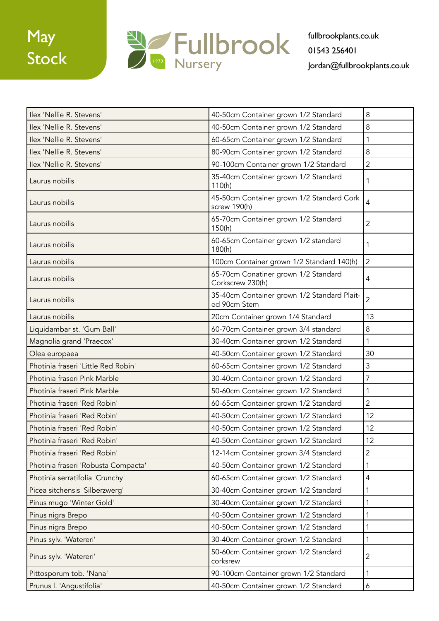## **May** Stock



| Ilex 'Nellie R. Stevens'            | 40-50cm Container grown 1/2 Standard                        | 8              |
|-------------------------------------|-------------------------------------------------------------|----------------|
| Ilex 'Nellie R. Stevens'            | 40-50cm Container grown 1/2 Standard                        | 8              |
| Ilex 'Nellie R. Stevens'            | 60-65cm Container grown 1/2 Standard                        | 1              |
| Ilex 'Nellie R. Stevens'            | 80-90cm Container grown 1/2 Standard                        | 8              |
| Ilex 'Nellie R. Stevens'            | 90-100cm Container grown 1/2 Standard                       | $\overline{2}$ |
| Laurus nobilis                      | 35-40cm Container grown 1/2 Standard<br>110(h)              | 1              |
| Laurus nobilis                      | 45-50cm Container grown 1/2 Standard Cork<br>screw 190(h)   | 4              |
| Laurus nobilis                      | 65-70cm Container grown 1/2 Standard<br>150(h)              | $\overline{2}$ |
| Laurus nobilis                      | 60-65cm Container grown 1/2 standard<br>180(h)              | 1              |
| Laurus nobilis                      | 100cm Container grown 1/2 Standard 140(h)                   | $\overline{2}$ |
| Laurus nobilis                      | 65-70cm Conatiner grown 1/2 Standard<br>Corkscrew 230(h)    | $\overline{4}$ |
| Laurus nobilis                      | 35-40cm Container grown 1/2 Standard Plait-<br>ed 90cm Stem | $\overline{2}$ |
| Laurus nobilis                      | 20cm Container grown 1/4 Standard                           | 13             |
| Liquidambar st. 'Gum Ball'          | 60-70cm Container grown 3/4 standard                        | 8              |
| Magnolia grand 'Praecox'            | 30-40cm Container grown 1/2 Standard                        | 1              |
| Olea europaea                       | 40-50cm Container grown 1/2 Standard                        | 30             |
| Photinia fraseri 'Little Red Robin' | 60-65cm Container grown 1/2 Standard                        | 3              |
| Photinia fraseri Pink Marble        | 30-40cm Container grown 1/2 Standard                        | 7              |
| Photinia fraseri Pink Marble        | 50-60cm Container grown 1/2 Standard                        | 1              |
| Photinia fraseri 'Red Robin'        | 60-65cm Container grown 1/2 Standard                        | 2              |
| Photinia fraseri 'Red Robin'        | 40-50cm Container grown 1/2 Standard                        | 12             |
| Photinia fraseri 'Red Robin'        | 40-50cm Container grown 1/2 Standard                        | 12             |
| Photinia fraseri 'Red Robin'        | 40-50cm Container grown 1/2 Standard                        | 12             |
| Photinia fraseri 'Red Robin'        | 12-14cm Container grown 3/4 Standard                        | $\overline{2}$ |
| Photinia fraseri 'Robusta Compacta' | 40-50cm Container grown 1/2 Standard                        | 1              |
| Photinia serratifolia 'Crunchy'     | 60-65cm Container grown 1/2 Standard                        | 4              |
| Picea sitchensis 'Silberzwerg'      | 30-40cm Container grown 1/2 Standard                        | 1              |
| Pinus mugo 'Winter Gold'            | 30-40cm Container grown 1/2 Standard                        | 1              |
| Pinus nigra Brepo                   | 40-50cm Container grown 1/2 Standard                        | 1              |
| Pinus nigra Brepo                   | 40-50cm Container grown 1/2 Standard                        | 1              |
| Pinus sylv. 'Watereri'              | 30-40cm Container grown 1/2 Standard                        | 1              |
| Pinus sylv. 'Watereri'              | 50-60cm Container grown 1/2 Standard<br>corksrew            | $\overline{2}$ |
| Pittosporum tob. 'Nana'             | 90-100cm Container grown 1/2 Standard                       | 1              |
| Prunus I. 'Angustifolia'            | 40-50cm Container grown 1/2 Standard                        | 6              |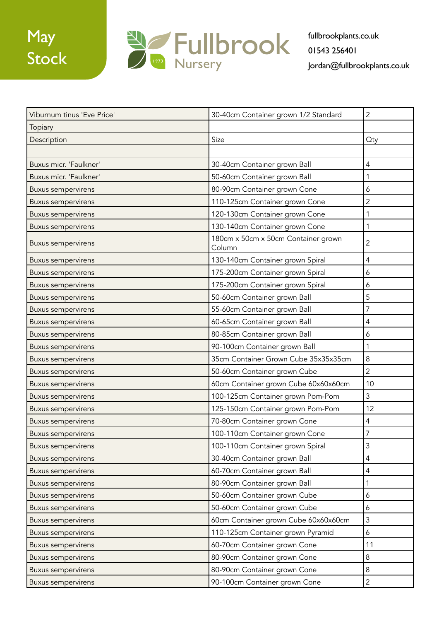

| Viburnum tinus 'Eve Price' | 30-40cm Container grown 1/2 Standard          | $\overline{2}$   |
|----------------------------|-----------------------------------------------|------------------|
| Topiary                    |                                               |                  |
| Description                | Size                                          | <b>Qty</b>       |
|                            |                                               |                  |
| Buxus micr. 'Faulkner'     | 30-40cm Container grown Ball                  | $\overline{4}$   |
| Buxus micr. 'Faulkner'     | 50-60cm Container grown Ball                  | 1                |
| <b>Buxus sempervirens</b>  | 80-90cm Container grown Cone                  | 6                |
| <b>Buxus sempervirens</b>  | 110-125cm Container grown Cone                | $\overline{c}$   |
| <b>Buxus sempervirens</b>  | 120-130cm Container grown Cone                | 1                |
| <b>Buxus sempervirens</b>  | 130-140cm Container grown Cone                | 1                |
| <b>Buxus sempervirens</b>  | 180cm x 50cm x 50cm Container grown<br>Column | $\overline{2}$   |
| <b>Buxus sempervirens</b>  | 130-140cm Container grown Spiral              | 4                |
| <b>Buxus sempervirens</b>  | 175-200cm Container grown Spiral              | 6                |
| <b>Buxus sempervirens</b>  | 175-200cm Container grown Spiral              | 6                |
| <b>Buxus sempervirens</b>  | 50-60cm Container grown Ball                  | 5                |
| <b>Buxus sempervirens</b>  | 55-60cm Container grown Ball                  | $\overline{7}$   |
| <b>Buxus sempervirens</b>  | 60-65cm Container grown Ball                  | 4                |
| <b>Buxus sempervirens</b>  | 80-85cm Container grown Ball                  | 6                |
| <b>Buxus sempervirens</b>  | 90-100cm Container grown Ball                 | $\mathbf{1}$     |
| <b>Buxus sempervirens</b>  | 35cm Container Grown Cube 35x35x35cm          | 8                |
| <b>Buxus sempervirens</b>  | 50-60cm Container grown Cube                  | $\overline{2}$   |
| <b>Buxus sempervirens</b>  | 60cm Container grown Cube 60x60x60cm          | 10               |
| <b>Buxus sempervirens</b>  | 100-125cm Container grown Pom-Pom             | 3                |
| <b>Buxus sempervirens</b>  | 125-150cm Container grown Pom-Pom             | 12               |
| <b>Buxus sempervirens</b>  | 70-80cm Container grown Cone                  | $\overline{4}$   |
| <b>Buxus sempervirens</b>  | 100-110cm Container grown Cone                | $\overline{7}$   |
| <b>Buxus sempervirens</b>  | 100-110cm Container grown Spiral              | 3                |
| <b>Buxus sempervirens</b>  | 30-40cm Container grown Ball                  | 4                |
| <b>Buxus sempervirens</b>  | 60-70cm Container grown Ball                  | $\overline{4}$   |
| <b>Buxus sempervirens</b>  | 80-90cm Container grown Ball                  | $\mathbf{1}$     |
| <b>Buxus sempervirens</b>  | 50-60cm Container grown Cube                  | 6                |
| <b>Buxus sempervirens</b>  | 50-60cm Container grown Cube                  | 6                |
| <b>Buxus sempervirens</b>  | 60cm Container grown Cube 60x60x60cm          | $\mathfrak{Z}$   |
| <b>Buxus sempervirens</b>  | 110-125cm Container grown Pyramid             | $\boldsymbol{6}$ |
| <b>Buxus sempervirens</b>  | 60-70cm Container grown Cone                  | 11               |
| <b>Buxus sempervirens</b>  | 80-90cm Container grown Cone                  | $\,8\,$          |
| <b>Buxus sempervirens</b>  | 80-90cm Container grown Cone                  | $\,8\,$          |
| <b>Buxus sempervirens</b>  | 90-100cm Container grown Cone                 | $\mathbf{2}$     |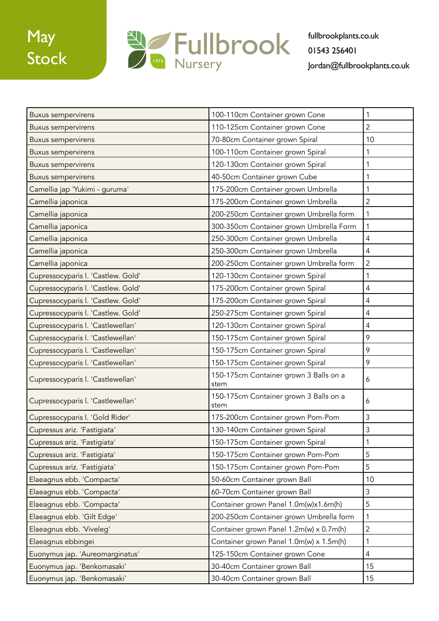## May Stock



| <b>Buxus sempervirens</b>          | 100-110cm Container grown Cone                 | 1              |
|------------------------------------|------------------------------------------------|----------------|
| <b>Buxus sempervirens</b>          | 110-125cm Container grown Cone                 | $\overline{2}$ |
| <b>Buxus sempervirens</b>          | 70-80cm Container grown Spiral                 | 10             |
| <b>Buxus sempervirens</b>          | 100-110cm Container grown Spiral               | 1              |
| <b>Buxus sempervirens</b>          | 120-130cm Container grown Spiral               | 1              |
| <b>Buxus sempervirens</b>          | 40-50cm Container grown Cube                   | 1              |
| Camellia jap 'Yukimi - guruma'     | 175-200cm Container grown Umbrella             | 1              |
| Camellia japonica                  | 175-200cm Container grown Umbrella             | $\overline{2}$ |
| Camellia japonica                  | 200-250cm Container grown Umbrella form        | $\mathbf{1}$   |
| Camellia japonica                  | 300-350cm Container grown Umbrella Form        | 1              |
| Camellia japonica                  | 250-300cm Container grown Umbrella             | 4              |
| Camellia japonica                  | 250-300cm Container grown Umbrella             | $\overline{4}$ |
| Camellia japonica                  | 200-250cm Container grown Umbrella form        | $\overline{2}$ |
| Cupressocyparis I. 'Castlew. Gold' | 120-130cm Container grown Spiral               | $\mathbf{1}$   |
| Cupressocyparis I. 'Castlew. Gold' | 175-200cm Container grown Spiral               | 4              |
| Cupressocyparis I. 'Castlew. Gold' | 175-200cm Container grown Spiral               | 4              |
| Cupressocyparis I. 'Castlew. Gold' | 250-275cm Container grown Spiral               | 4              |
| Cupressocyparis I. 'Castlewellan'  | 120-130cm Container grown Spiral               | 4              |
| Cupressocyparis I. 'Castlewellan'  | 150-175cm Container grown Spiral               | 9              |
| Cupressocyparis I. 'Castlewellan'  | 150-175cm Container grown Spiral               | 9              |
| Cupressocyparis I. 'Castlewellan'  | 150-175cm Container grown Spiral               | 9              |
| Cupressocyparis I. 'Castlewellan'  | 150-175cm Container grown 3 Balls on a<br>stem | 6              |
| Cupressocyparis I. 'Castlewellan'  | 150-175cm Container grown 3 Balls on a<br>stem | 6              |
| Cupressocyparis I. 'Gold Rider'    | 175-200cm Container grown Pom-Pom              | 3              |
| Cupressus ariz. 'Fastigiata'       | 130-140cm Container grown Spiral               | 3              |
| Cupressus ariz. 'Fastigiata'       | 150-175cm Container grown Spiral               | 1              |
| Cupressus ariz. 'Fastigiata'       | 150-175cm Container grown Pom-Pom              | 5              |
| Cupressus ariz. 'Fastigiata'       | 150-175cm Container grown Pom-Pom              | 5              |
| Elaeagnus ebb. 'Compacta'          | 50-60cm Container grown Ball                   | 10             |
| Elaeagnus ebb. 'Compacta'          | 60-70cm Container grown Ball                   | 3              |
| Elaeagnus ebb. 'Compacta'          | Container grown Panel 1.0m(w)x1.6m(h)          | 5              |
| Elaeagnus ebb. 'Gilt Edge'         | 200-250cm Container grown Umbrella form        | $\mathbf{1}$   |
| Elaeagnus ebb. 'Viveleg'           | Container grown Panel 1.2m(w) x 0.7m(h)        | $\overline{2}$ |
| Elaeagnus ebbingei                 | Container grown Panel 1.0m(w) x 1.5m(h)        | 1              |
| Euonymus jap. 'Aureomarginatus'    | 125-150cm Container grown Cone                 | 4              |
| Euonymus jap. 'Benkomasaki'        | 30-40cm Container grown Ball                   | 15             |
| Euonymus jap. 'Benkomasaki'        | 30-40cm Container grown Ball                   | 15             |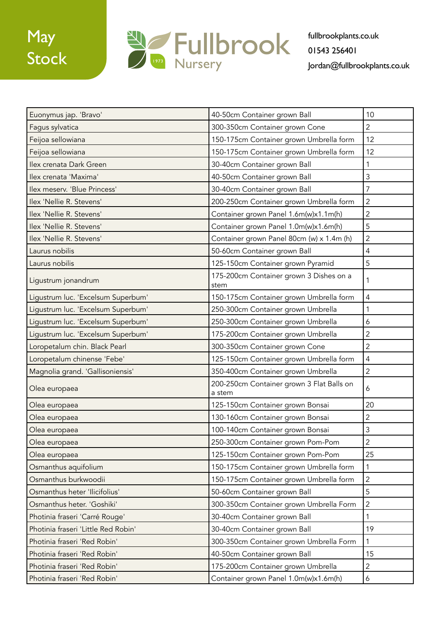

| Euonymus jap. 'Bravo'               | 40-50cm Container grown Ball                        | 10             |
|-------------------------------------|-----------------------------------------------------|----------------|
| Fagus sylvatica                     | 300-350cm Container grown Cone                      | $\overline{2}$ |
| Feijoa sellowiana                   | 150-175cm Container grown Umbrella form             | 12             |
| Feijoa sellowiana                   | 150-175cm Container grown Umbrella form             | 12             |
| Ilex crenata Dark Green             | 30-40cm Container grown Ball                        | 1              |
| Ilex crenata 'Maxima'               | 40-50cm Container grown Ball                        | 3              |
| Ilex meserv. 'Blue Princess'        | 30-40cm Container grown Ball                        | 7              |
| Ilex 'Nellie R. Stevens'            | 200-250cm Container grown Umbrella form             | $\overline{c}$ |
| Ilex 'Nellie R. Stevens'            | Container grown Panel 1.6m(w)x1.1m(h)               | $\overline{2}$ |
| Ilex 'Nellie R. Stevens'            | Container grown Panel 1.0m(w)x1.6m(h)               | 5              |
| Ilex 'Nellie R. Stevens'            | Container grown Panel 80cm (w) x 1.4m (h)           | $\overline{2}$ |
| Laurus nobilis                      | 50-60cm Container grown Ball                        | 4              |
| Laurus nobilis                      | 125-150cm Container grown Pyramid                   | 5              |
| Ligustrum jonandrum                 | 175-200cm Container grown 3 Dishes on a<br>stem     | 1              |
| Ligustrum luc. 'Excelsum Superbum'  | 150-175cm Container grown Umbrella form             | 4              |
| Ligustrum luc. 'Excelsum Superbum'  | 250-300cm Container grown Umbrella                  | 1              |
| Ligustrum luc. 'Excelsum Superbum'  | 250-300cm Container grown Umbrella                  | 6              |
| Ligustrum luc. 'Excelsum Superbum'  | 175-200cm Container grown Umbrella                  | $\overline{c}$ |
| Loropetalum chin. Black Pearl       | 300-350cm Container grown Cone                      | $\overline{2}$ |
| Loropetalum chinense 'Febe'         | 125-150cm Container grown Umbrella form             | $\overline{4}$ |
| Magnolia grand. 'Gallisoniensis'    | 350-400cm Container grown Umbrella                  | $\overline{2}$ |
| Olea europaea                       | 200-250cm Container grown 3 Flat Balls on<br>a stem | 6              |
| Olea europaea                       | 125-150cm Container grown Bonsai                    | 20             |
| Olea europaea                       | 130-160cm Container grown Bonsai                    | $\overline{2}$ |
| Olea europaea                       | 100-140cm Container grown Bonsai                    | 3              |
| Olea europaea                       | 250-300cm Container grown Pom-Pom                   | $\overline{2}$ |
| Olea europaea                       | 125-150cm Container grown Pom-Pom                   | 25             |
| Osmanthus aquifolium                | 150-175cm Container grown Umbrella form             | $\mathbf{1}$   |
| Osmanthus burkwoodii                | 150-175cm Container grown Umbrella form             | $\overline{2}$ |
| Osmanthus heter 'Ilicifolius'       | 50-60cm Container grown Ball                        | 5              |
| Osmanthus heter. 'Goshiki'          | 300-350cm Container grown Umbrella Form             | $\overline{2}$ |
| Photinia fraseri 'Carré Rouge'      | 30-40cm Container grown Ball                        | 1              |
| Photinia fraseri 'Little Red Robin' | 30-40cm Container grown Ball                        | 19             |
| Photinia fraseri 'Red Robin'        | 300-350cm Container grown Umbrella Form             | 1              |
| Photinia fraseri 'Red Robin'        | 40-50cm Container grown Ball                        | 15             |
| Photinia fraseri 'Red Robin'        | 175-200cm Container grown Umbrella                  | 2              |
| Photinia fraseri 'Red Robin'        | Container grown Panel 1.0m(w)x1.6m(h)               | 6              |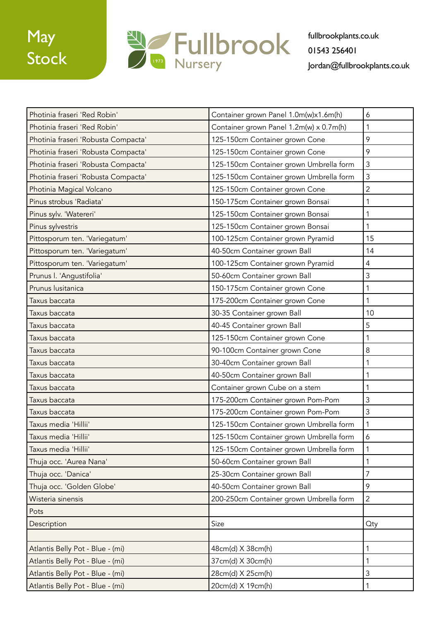

| Photinia fraseri 'Red Robin'        | Container grown Panel 1.0m(w)x1.6m(h)   | 6                |
|-------------------------------------|-----------------------------------------|------------------|
| Photinia fraseri 'Red Robin'        | Container grown Panel 1.2m(w) x 0.7m(h) | 1                |
| Photinia fraseri 'Robusta Compacta' | 125-150cm Container grown Cone          | 9                |
| Photinia fraseri 'Robusta Compacta' | 125-150cm Container grown Cone          | 9                |
| Photinia fraseri 'Robusta Compacta' | 125-150cm Container grown Umbrella form | $\mathsf 3$      |
| Photinia fraseri 'Robusta Compacta' | 125-150cm Container grown Umbrella form | $\mathfrak{Z}$   |
| Photinia Magical Volcano            | 125-150cm Container grown Cone          | $\overline{c}$   |
| Pinus strobus 'Radiata'             | 150-175cm Container grown Bonsai        | 1                |
| Pinus sylv. 'Watereri'              | 125-150cm Container grown Bonsai        | 1                |
| Pinus sylvestris                    | 125-150cm Container grown Bonsai        | 1                |
| Pittosporum ten. 'Variegatum'       | 100-125cm Container grown Pyramid       | 15               |
| Pittosporum ten. 'Variegatum'       | 40-50cm Container grown Ball            | 14               |
| Pittosporum ten. 'Variegatum'       | 100-125cm Container grown Pyramid       | $\overline{4}$   |
| Prunus I. 'Angustifolia'            | 50-60cm Container grown Ball            | 3                |
| Prunus lusitanica                   | 150-175cm Container grown Cone          | 1                |
| Taxus baccata                       | 175-200cm Container grown Cone          | 1                |
| Taxus baccata                       | 30-35 Container grown Ball              | 10               |
| Taxus baccata                       | 40-45 Container grown Ball              | 5                |
| Taxus baccata                       | 125-150cm Container grown Cone          | 1                |
| Taxus baccata                       | 90-100cm Container grown Cone           | 8                |
| Taxus baccata                       | 30-40cm Container grown Ball            | 1                |
| Taxus baccata                       | 40-50cm Container grown Ball            | 1                |
| Taxus baccata                       | Container grown Cube on a stem          | 1                |
| Taxus baccata                       | 175-200cm Container grown Pom-Pom       | 3                |
| Taxus baccata                       | 175-200cm Container grown Pom-Pom       | 3                |
| Taxus media 'Hillii'                | 125-150cm Container grown Umbrella form | $\mathbf 1$      |
| Taxus media 'Hillii'                | 125-150cm Container grown Umbrella form | $\boldsymbol{6}$ |
| Taxus media 'Hillii'                | 125-150cm Container grown Umbrella form | $\mathbf{1}$     |
| Thuja occ. 'Aurea Nana'             | 50-60cm Container grown Ball            | $\mathbf{1}$     |
| Thuja occ. 'Danica'                 | 25-30cm Container grown Ball            | $\overline{7}$   |
| Thuja occ. 'Golden Globe'           | 40-50cm Container grown Ball            | 9                |
| Wisteria sinensis                   | 200-250cm Container grown Umbrella form | $\overline{c}$   |
| Pots                                |                                         |                  |
| Description                         | Size                                    | Qty              |
|                                     |                                         |                  |
| Atlantis Belly Pot - Blue - (mi)    | 48cm(d) X 38cm(h)                       | $\mathbf{1}$     |
| Atlantis Belly Pot - Blue - (mi)    | 37cm(d) X 30cm(h)                       | 1                |
| Atlantis Belly Pot - Blue - (mi)    | 28cm(d) X 25cm(h)                       | $\mathsf 3$      |
| Atlantis Belly Pot - Blue - (mi)    | 20cm(d) X 19cm(h)                       | $\mathbf{1}$     |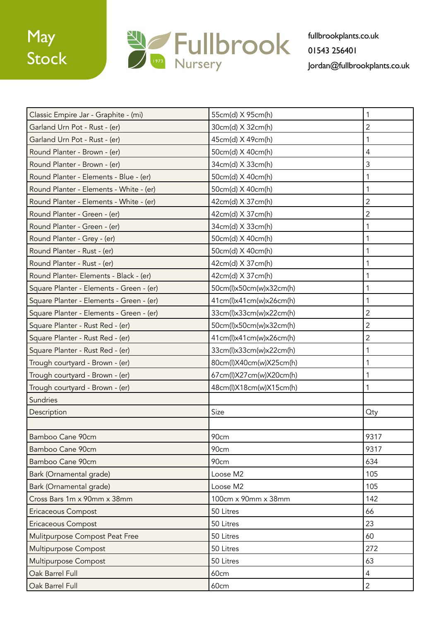

| Classic Empire Jar - Graphite - (mi)     | 55cm(d) X 95cm(h)       | 1              |
|------------------------------------------|-------------------------|----------------|
| Garland Urn Pot - Rust - (er)            | 30cm(d) X 32cm(h)       | $\overline{2}$ |
| Garland Urn Pot - Rust - (er)            | 45cm(d) X 49cm(h)       | 1              |
| Round Planter - Brown - (er)             | 50cm(d) X 40cm(h)       | 4              |
| Round Planter - Brown - (er)             | 34cm(d) X 33cm(h)       | 3              |
| Round Planter - Elements - Blue - (er)   | 50cm(d) X 40cm(h)       |                |
| Round Planter - Elements - White - (er)  | 50cm(d) X 40cm(h)       | 1              |
| Round Planter - Elements - White - (er)  | 42cm(d) X 37cm(h)       | $\overline{2}$ |
| Round Planter - Green - (er)             | 42cm(d) X 37cm(h)       | 2              |
| Round Planter - Green - (er)             | 34cm(d) X 33cm(h)       | 1              |
| Round Planter - Grey - (er)              | 50cm(d) X 40cm(h)       | 1              |
| Round Planter - Rust - (er)              | 50cm(d) X 40cm(h)       | 1              |
| Round Planter - Rust - (er)              | 42cm(d) X 37cm(h)       | 1              |
| Round Planter- Elements - Black - (er)   | 42cm(d) X 37cm(h)       | 1              |
| Square Planter - Elements - Green - (er) | 50cm(l)x50cm(w)x32cm(h) | 1              |
| Square Planter - Elements - Green - (er) | 41cm(l)x41cm(w)x26cm(h) | 1              |
| Square Planter - Elements - Green - (er) | 33cm(l)x33cm(w)x22cm(h) | $\overline{2}$ |
| Square Planter - Rust Red - (er)         | 50cm(l)x50cm(w)x32cm(h) | $\overline{c}$ |
| Square Planter - Rust Red - (er)         | 41cm(l)x41cm(w)x26cm(h) | $\overline{2}$ |
| Square Planter - Rust Red - (er)         | 33cm(l)x33cm(w)x22cm(h) | 1              |
| Trough courtyard - Brown - (er)          | 80cm(l)X40cm(w)X25cm(h) | 1              |
| Trough courtyard - Brown - (er)          | 67cm(l)X27cm(w)X20cm(h) | 1              |
| Trough courtyard - Brown - (er)          | 48cm(l)X18cm(w)X15cm(h) | 1              |
| <b>Sundries</b>                          |                         |                |
| Description                              | Size                    | Qty            |
|                                          |                         |                |
| Bamboo Cane 90cm                         | 90cm                    | 9317           |
| Bamboo Cane 90cm                         | 90cm                    | 9317           |
| Bamboo Cane 90cm                         | 90cm                    | 634            |
| Bark (Ornamental grade)                  | Loose M2                | 105            |
| Bark (Ornamental grade)                  | Loose M2                | 105            |
| Cross Bars 1m x 90mm x 38mm              | 100cm x 90mm x 38mm     | 142            |
| Ericaceous Compost                       | 50 Litres               | 66             |
| <b>Ericaceous Compost</b>                | 50 Litres               | 23             |
| Mulitpurpose Compost Peat Free           | 50 Litres               | 60             |
| Multipurpose Compost                     | 50 Litres               | 272            |
| Multipurpose Compost                     | 50 Litres               | 63             |
| Oak Barrel Full                          | 60cm                    | 4              |
| Oak Barrel Full                          | 60cm                    | $\overline{2}$ |